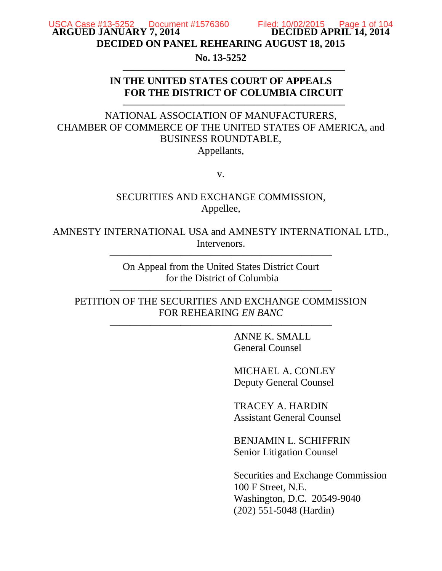**ARGUED JANUARY 7, 2014 DECIDED APRIL 14, 2014 DECIDED ON PANEL REHEARING AUGUST 18, 2015** USCA Case #13-5252 Document #1576360 Filed: 10/02/2015 Page 1 of 104

**No. 13-5252**

## **IN THE UNITED STATES COURT OF APPEALS FOR THE DISTRICT OF COLUMBIA CIRCUIT**

**——————————————————————**

**——————————————————————** NATIONAL ASSOCIATION OF MANUFACTURERS, CHAMBER OF COMMERCE OF THE UNITED STATES OF AMERICA, and BUSINESS ROUNDTABLE, Appellants,

v.

SECURITIES AND EXCHANGE COMMISSION, Appellee,

AMNESTY INTERNATIONAL USA and AMNESTY INTERNATIONAL LTD., Intervenors.

——————————————————————

On Appeal from the United States District Court for the District of Columbia

PETITION OF THE SECURITIES AND EXCHANGE COMMISSION FOR REHEARING *EN BANC*

——————————————————————

——————————————————————

ANNE K. SMALL General Counsel

MICHAEL A. CONLEY Deputy General Counsel

TRACEY A. HARDIN Assistant General Counsel

BENJAMIN L. SCHIFFRIN Senior Litigation Counsel

Securities and Exchange Commission 100 F Street, N.E. Washington, D.C. 20549-9040 (202) 551-5048 (Hardin)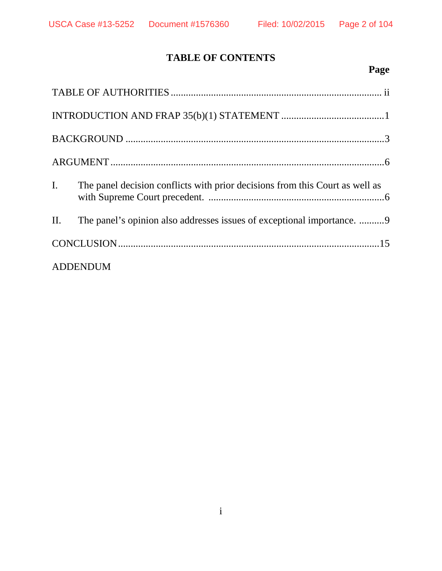## **TABLE OF CONTENTS**

# **Page**

| $\mathbf{I}$ . | The panel decision conflicts with prior decisions from this Court as well as |
|----------------|------------------------------------------------------------------------------|
| II.            | The panel's opinion also addresses issues of exceptional importance. 9       |
|                |                                                                              |
|                | <b>ADDENDUM</b>                                                              |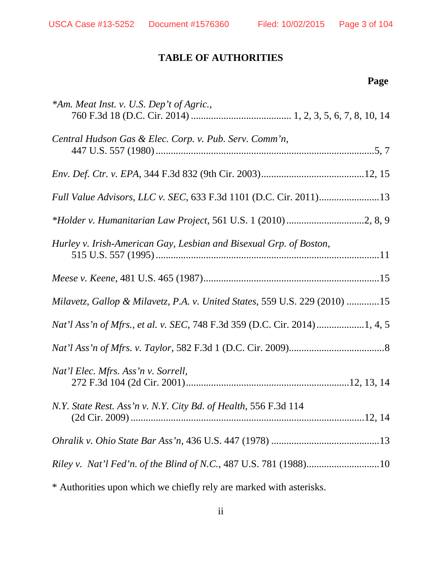## **TABLE OF AUTHORITIES**

## **Page**

| *Am. Meat Inst. v. U.S. Dep't of Agric.,                                   |
|----------------------------------------------------------------------------|
| Central Hudson Gas & Elec. Corp. v. Pub. Serv. Comm'n,                     |
|                                                                            |
|                                                                            |
|                                                                            |
| Hurley v. Irish-American Gay, Lesbian and Bisexual Grp. of Boston,         |
|                                                                            |
| Milavetz, Gallop & Milavetz, P.A. v. United States, 559 U.S. 229 (2010) 15 |
|                                                                            |
|                                                                            |
| Nat'l Elec. Mfrs. Ass'n v. Sorrell,                                        |
| N.Y. State Rest. Ass'n v. N.Y. City Bd. of Health, 556 F.3d 114            |
|                                                                            |
| Riley v. Nat'l Fed'n. of the Blind of N.C., 487 U.S. 781 (1988)10          |
|                                                                            |

\* Authorities upon which we chiefly rely are marked with asterisks.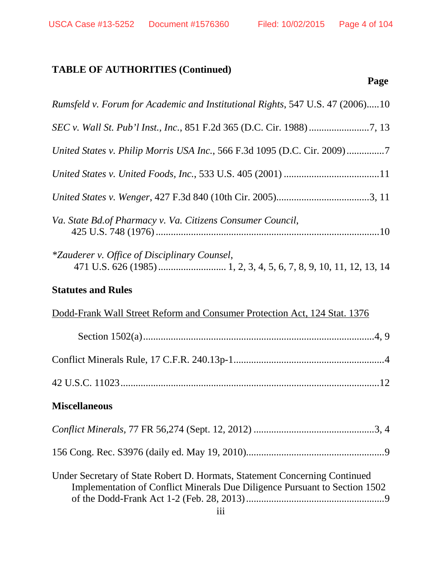# **TABLE OF AUTHORITIES (Continued)**

| Rumsfeld v. Forum for Academic and Institutional Rights, 547 U.S. 47 (2006)10 |
|-------------------------------------------------------------------------------|
|                                                                               |
| United States v. Philip Morris USA Inc., 566 F.3d 1095 (D.C. Cir. 2009)7      |
|                                                                               |
|                                                                               |
| Va. State Bd. of Pharmacy v. Va. Citizens Consumer Council,                   |
| <i>*Zauderer v. Office of Disciplinary Counsel,</i>                           |
| <b>Statutes and Rules</b>                                                     |
|                                                                               |
| Dodd-Frank Wall Street Reform and Consumer Protection Act, 124 Stat. 1376     |
|                                                                               |
|                                                                               |
|                                                                               |
| <b>Miscellaneous</b>                                                          |
|                                                                               |
|                                                                               |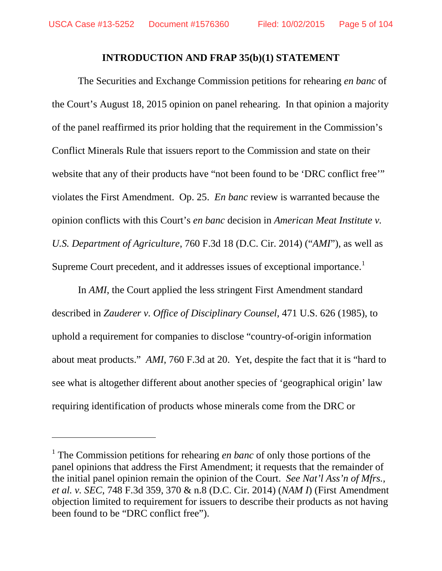$\overline{a}$ 

#### **INTRODUCTION AND FRAP 35(b)(1) STATEMENT**

The Securities and Exchange Commission petitions for rehearing *en banc* of the Court's August 18, 2015 opinion on panel rehearing. In that opinion a majority of the panel reaffirmed its prior holding that the requirement in the Commission's Conflict Minerals Rule that issuers report to the Commission and state on their website that any of their products have "not been found to be 'DRC conflict free'" violates the First Amendment. Op. 25. *En banc* review is warranted because the opinion conflicts with this Court's *en banc* decision in *American Meat Institute v. U.S. Department of Agriculture*, 760 F.3d 18 (D.C. Cir. 2014) ("*AMI*"), as well as Supreme Court precedent, and it addresses issues of exceptional importance.<sup>1</sup>

In *AMI*, the Court applied the less stringent First Amendment standard described in *Zauderer v. Office of Disciplinary Counsel*, 471 U.S. 626 (1985), to uphold a requirement for companies to disclose "country-of-origin information about meat products." *AMI*, 760 F.3d at 20. Yet, despite the fact that it is "hard to see what is altogether different about another species of 'geographical origin' law requiring identification of products whose minerals come from the DRC or

<sup>1</sup> The Commission petitions for rehearing *en banc* of only those portions of the panel opinions that address the First Amendment; it requests that the remainder of the initial panel opinion remain the opinion of the Court. *See Nat'l Ass'n of Mfrs., et al. v. SEC*, 748 F.3d 359, 370 & n.8 (D.C. Cir. 2014) (*NAM I*) (First Amendment objection limited to requirement for issuers to describe their products as not having been found to be "DRC conflict free").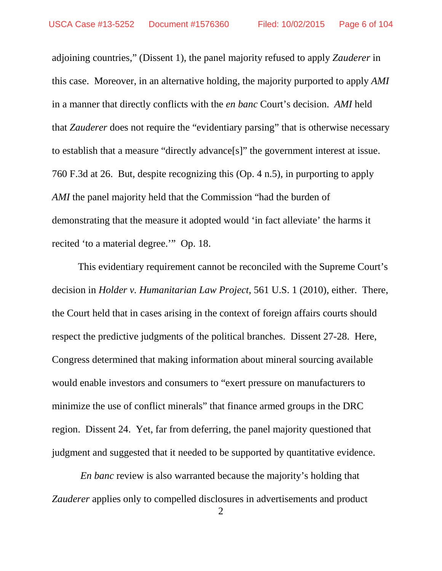adjoining countries," (Dissent 1), the panel majority refused to apply *Zauderer* in this case. Moreover, in an alternative holding, the majority purported to apply *AMI* in a manner that directly conflicts with the *en banc* Court's decision. *AMI* held that *Zauderer* does not require the "evidentiary parsing" that is otherwise necessary to establish that a measure "directly advance[s]" the government interest at issue. 760 F.3d at 26. But, despite recognizing this (Op. 4 n.5), in purporting to apply *AMI* the panel majority held that the Commission "had the burden of demonstrating that the measure it adopted would 'in fact alleviate' the harms it recited 'to a material degree.'" Op. 18.

This evidentiary requirement cannot be reconciled with the Supreme Court's decision in *Holder v. Humanitarian Law Project*, 561 U.S. 1 (2010), either. There, the Court held that in cases arising in the context of foreign affairs courts should respect the predictive judgments of the political branches. Dissent 27-28. Here, Congress determined that making information about mineral sourcing available would enable investors and consumers to "exert pressure on manufacturers to minimize the use of conflict minerals" that finance armed groups in the DRC region. Dissent 24. Yet, far from deferring, the panel majority questioned that judgment and suggested that it needed to be supported by quantitative evidence.

*En banc* review is also warranted because the majority's holding that *Zauderer* applies only to compelled disclosures in advertisements and product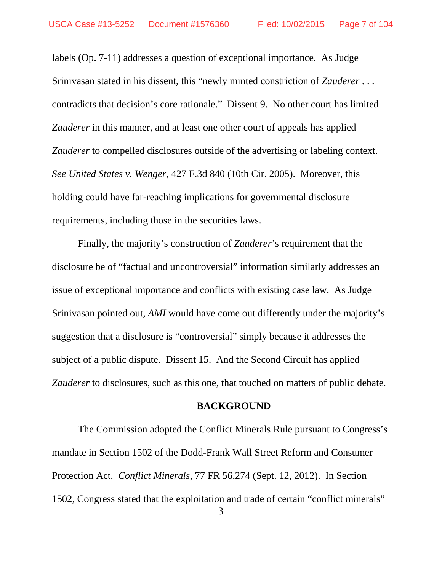labels (Op. 7-11) addresses a question of exceptional importance. As Judge Srinivasan stated in his dissent, this "newly minted constriction of *Zauderer* . . . contradicts that decision's core rationale." Dissent 9. No other court has limited *Zauderer* in this manner, and at least one other court of appeals has applied *Zauderer* to compelled disclosures outside of the advertising or labeling context. *See United States v. Wenger*, 427 F.3d 840 (10th Cir. 2005). Moreover, this holding could have far-reaching implications for governmental disclosure requirements, including those in the securities laws.

Finally, the majority's construction of *Zauderer*'s requirement that the disclosure be of "factual and uncontroversial" information similarly addresses an issue of exceptional importance and conflicts with existing case law. As Judge Srinivasan pointed out, *AMI* would have come out differently under the majority's suggestion that a disclosure is "controversial" simply because it addresses the subject of a public dispute. Dissent 15. And the Second Circuit has applied *Zauderer* to disclosures, such as this one, that touched on matters of public debate.

#### **BACKGROUND**

The Commission adopted the Conflict Minerals Rule pursuant to Congress's mandate in Section 1502 of the Dodd-Frank Wall Street Reform and Consumer Protection Act. *Conflict Minerals,* 77 FR 56,274 (Sept. 12, 2012). In Section 1502, Congress stated that the exploitation and trade of certain "conflict minerals"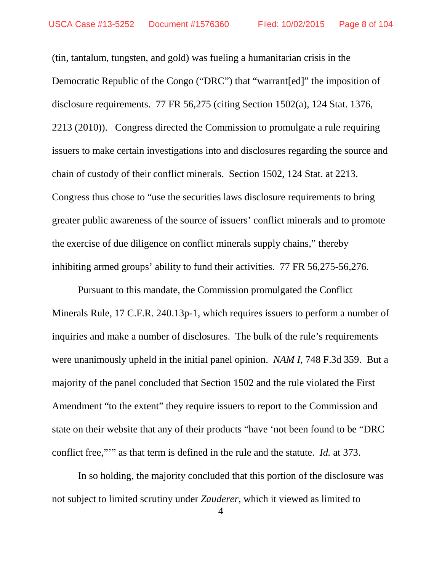(tin, tantalum, tungsten, and gold) was fueling a humanitarian crisis in the Democratic Republic of the Congo ("DRC") that "warrant[ed]" the imposition of disclosure requirements. 77 FR 56,275 (citing Section 1502(a), 124 Stat. 1376, 2213 (2010)). Congress directed the Commission to promulgate a rule requiring issuers to make certain investigations into and disclosures regarding the source and chain of custody of their conflict minerals. Section 1502, 124 Stat. at 2213. Congress thus chose to "use the securities laws disclosure requirements to bring greater public awareness of the source of issuers' conflict minerals and to promote the exercise of due diligence on conflict minerals supply chains," thereby inhibiting armed groups' ability to fund their activities. 77 FR 56,275-56,276.

Pursuant to this mandate, the Commission promulgated the Conflict Minerals Rule, 17 C.F.R. 240.13p-1, which requires issuers to perform a number of inquiries and make a number of disclosures. The bulk of the rule's requirements were unanimously upheld in the initial panel opinion. *NAM I*, 748 F.3d 359. But a majority of the panel concluded that Section 1502 and the rule violated the First Amendment "to the extent" they require issuers to report to the Commission and state on their website that any of their products "have 'not been found to be "DRC conflict free,"'" as that term is defined in the rule and the statute. *Id.* at 373.

In so holding, the majority concluded that this portion of the disclosure was not subject to limited scrutiny under *Zauderer*, which it viewed as limited to

<sup>4</sup>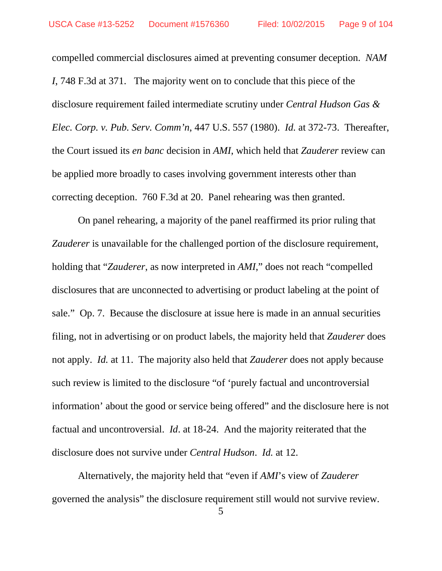compelled commercial disclosures aimed at preventing consumer deception. *NAM I*, 748 F.3d at 371. The majority went on to conclude that this piece of the disclosure requirement failed intermediate scrutiny under *Central Hudson Gas & Elec. Corp. v. Pub. Serv. Comm'n*, 447 U.S. 557 (1980). *Id.* at 372-73. Thereafter, the Court issued its *en banc* decision in *AMI*, which held that *Zauderer* review can be applied more broadly to cases involving government interests other than correcting deception. 760 F.3d at 20. Panel rehearing was then granted.

On panel rehearing, a majority of the panel reaffirmed its prior ruling that *Zauderer* is unavailable for the challenged portion of the disclosure requirement, holding that "*Zauderer*, as now interpreted in *AMI*," does not reach "compelled disclosures that are unconnected to advertising or product labeling at the point of sale." Op. 7. Because the disclosure at issue here is made in an annual securities filing, not in advertising or on product labels, the majority held that *Zauderer* does not apply. *Id.* at 11. The majority also held that *Zauderer* does not apply because such review is limited to the disclosure "of 'purely factual and uncontroversial information' about the good or service being offered" and the disclosure here is not factual and uncontroversial. *Id*. at 18-24. And the majority reiterated that the disclosure does not survive under *Central Hudson*. *Id.* at 12.

Alternatively, the majority held that "even if *AMI*'s view of *Zauderer*  governed the analysis" the disclosure requirement still would not survive review.

<sup>5</sup>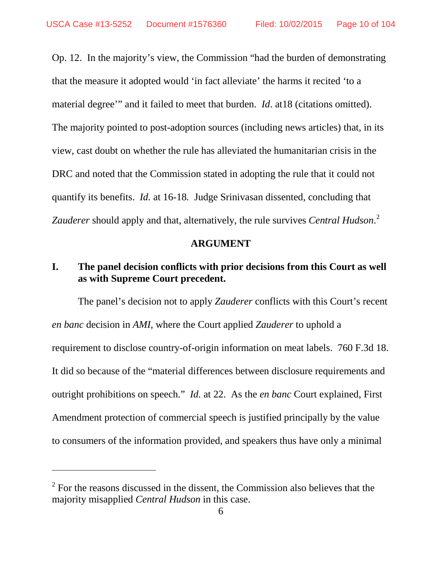Op. 12. In the majority's view, the Commission "had the burden of demonstrating that the measure it adopted would 'in fact alleviate' the harms it recited 'to a material degree'" and it failed to meet that burden. *Id*. at18 (citations omitted). The majority pointed to post-adoption sources (including news articles) that, in its view, cast doubt on whether the rule has alleviated the humanitarian crisis in the DRC and noted that the Commission stated in adopting the rule that it could not quantify its benefits. *Id.* at 16-18*.* Judge Srinivasan dissented, concluding that *Zauderer* should apply and that, alternatively, the rule survives *Central Hudson*. 2

#### **ARGUMENT**

## **I. The panel decision conflicts with prior decisions from this Court as well as with Supreme Court precedent.**

The panel's decision not to apply *Zauderer* conflicts with this Court's recent *en banc* decision in *AMI*, where the Court applied *Zauderer* to uphold a requirement to disclose country-of-origin information on meat labels. 760 F.3d 18. It did so because of the "material differences between disclosure requirements and outright prohibitions on speech." *Id.* at 22. As the *en banc* Court explained, First Amendment protection of commercial speech is justified principally by the value to consumers of the information provided, and speakers thus have only a minimal

 $2$  For the reasons discussed in the dissent, the Commission also believes that the majority misapplied *Central Hudson* in this case.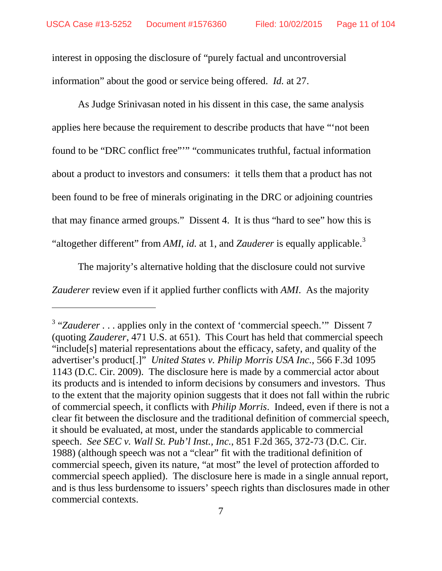interest in opposing the disclosure of "purely factual and uncontroversial information" about the good or service being offered. *Id.* at 27.

As Judge Srinivasan noted in his dissent in this case, the same analysis applies here because the requirement to describe products that have "'not been found to be "DRC conflict free"'" "communicates truthful, factual information about a product to investors and consumers: it tells them that a product has not been found to be free of minerals originating in the DRC or adjoining countries that may finance armed groups." Dissent 4. It is thus "hard to see" how this is "altogether different" from *AMI*, *id.* at 1, and *Zauderer* is equally applicable.<sup>3</sup>

 The majority's alternative holding that the disclosure could not survive *Zauderer* review even if it applied further conflicts with *AMI*. As the majority

<sup>&</sup>lt;sup>3</sup> "Zauderer . . . applies only in the context of 'commercial speech.'" Dissent 7 (quoting *Zauderer*, 471 U.S. at 651). This Court has held that commercial speech "include[s] material representations about the efficacy, safety, and quality of the advertiser's product[.]" *United States v. Philip Morris USA Inc.*, 566 F.3d 1095 1143 (D.C. Cir. 2009). The disclosure here is made by a commercial actor about its products and is intended to inform decisions by consumers and investors. Thus to the extent that the majority opinion suggests that it does not fall within the rubric of commercial speech, it conflicts with *Philip Morris*. Indeed, even if there is not a clear fit between the disclosure and the traditional definition of commercial speech, it should be evaluated, at most, under the standards applicable to commercial speech. *See SEC v. Wall St. Pub'l Inst., Inc.*, 851 F.2d 365, 372-73 (D.C. Cir. 1988) (although speech was not a "clear" fit with the traditional definition of commercial speech, given its nature, "at most" the level of protection afforded to commercial speech applied). The disclosure here is made in a single annual report, and is thus less burdensome to issuers' speech rights than disclosures made in other commercial contexts.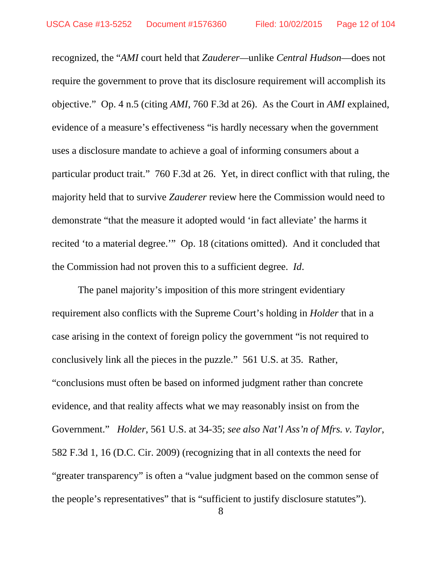recognized, the "*AMI* court held that *Zauderer—*unlike *Central Hudson*—does not require the government to prove that its disclosure requirement will accomplish its objective." Op. 4 n.5 (citing *AMI*, 760 F.3d at 26). As the Court in *AMI* explained, evidence of a measure's effectiveness "is hardly necessary when the government uses a disclosure mandate to achieve a goal of informing consumers about a particular product trait." 760 F.3d at 26. Yet, in direct conflict with that ruling, the majority held that to survive *Zauderer* review here the Commission would need to demonstrate "that the measure it adopted would 'in fact alleviate' the harms it recited 'to a material degree.'" Op. 18 (citations omitted). And it concluded that the Commission had not proven this to a sufficient degree. *Id*.

The panel majority's imposition of this more stringent evidentiary requirement also conflicts with the Supreme Court's holding in *Holder* that in a case arising in the context of foreign policy the government "is not required to conclusively link all the pieces in the puzzle." 561 U.S. at 35. Rather, "conclusions must often be based on informed judgment rather than concrete evidence, and that reality affects what we may reasonably insist on from the Government." *Holder*, 561 U.S. at 34-35; *see also Nat'l Ass'n of Mfrs. v. Taylor*, 582 F.3d 1, 16 (D.C. Cir. 2009) (recognizing that in all contexts the need for "greater transparency" is often a "value judgment based on the common sense of the people's representatives" that is "sufficient to justify disclosure statutes").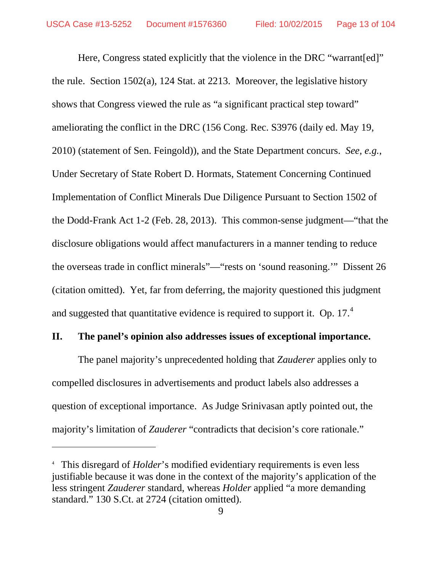Here, Congress stated explicitly that the violence in the DRC "warrant [ed]" the rule. Section 1502(a), 124 Stat. at 2213. Moreover, the legislative history shows that Congress viewed the rule as "a significant practical step toward" ameliorating the conflict in the DRC (156 Cong. Rec. S3976 (daily ed. May 19, 2010) (statement of Sen. Feingold)), and the State Department concurs. *See, e.g.*, Under Secretary of State Robert D. Hormats, Statement Concerning Continued Implementation of Conflict Minerals Due Diligence Pursuant to Section 1502 of the Dodd-Frank Act 1-2 (Feb. 28, 2013). This common-sense judgment—"that the disclosure obligations would affect manufacturers in a manner tending to reduce the overseas trade in conflict minerals"—"rests on 'sound reasoning.'" Dissent 26 (citation omitted). Yet, far from deferring, the majority questioned this judgment and suggested that quantitative evidence is required to support it. Op.  $17.^4$ 

### **II. The panel's opinion also addresses issues of exceptional importance.**

The panel majority's unprecedented holding that *Zauderer* applies only to compelled disclosures in advertisements and product labels also addresses a question of exceptional importance. As Judge Srinivasan aptly pointed out, the majority's limitation of *Zauderer* "contradicts that decision's core rationale."

<sup>4</sup> This disregard of *Holder*'s modified evidentiary requirements is even less justifiable because it was done in the context of the majority's application of the less stringent *Zauderer* standard, whereas *Holder* applied "a more demanding standard." 130 S.Ct. at 2724 (citation omitted).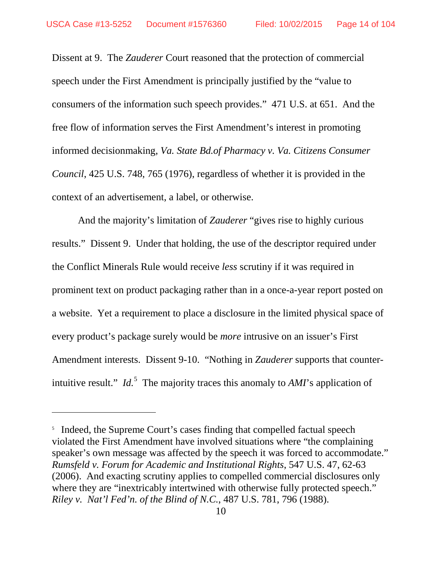Dissent at 9. The *Zauderer* Court reasoned that the protection of commercial speech under the First Amendment is principally justified by the "value to consumers of the information such speech provides." 471 U.S. at 651. And the free flow of information serves the First Amendment's interest in promoting informed decisionmaking, *Va. State Bd.of Pharmacy v. Va. Citizens Consumer Council*, 425 U.S. 748, 765 (1976), regardless of whether it is provided in the context of an advertisement, a label, or otherwise.

And the majority's limitation of *Zauderer* "gives rise to highly curious results." Dissent 9. Under that holding, the use of the descriptor required under the Conflict Minerals Rule would receive *less* scrutiny if it was required in prominent text on product packaging rather than in a once-a-year report posted on a website. Yet a requirement to place a disclosure in the limited physical space of every product's package surely would be *more* intrusive on an issuer's First Amendment interests. Dissent 9-10. "Nothing in *Zauderer* supports that counterintuitive result." *Id.*<sup>5</sup> The majority traces this anomaly to *AMI*'s application of

<sup>&</sup>lt;sup>5</sup> Indeed, the Supreme Court's cases finding that compelled factual speech violated the First Amendment have involved situations where "the complaining speaker's own message was affected by the speech it was forced to accommodate." *Rumsfeld v. Forum for Academic and Institutional Rights*, 547 U.S. 47, 62-63 (2006). And exacting scrutiny applies to compelled commercial disclosures only where they are "inextricably intertwined with otherwise fully protected speech." *Riley v. Nat'l Fed'n. of the Blind of N.C.*, 487 U.S. 781, 796 (1988).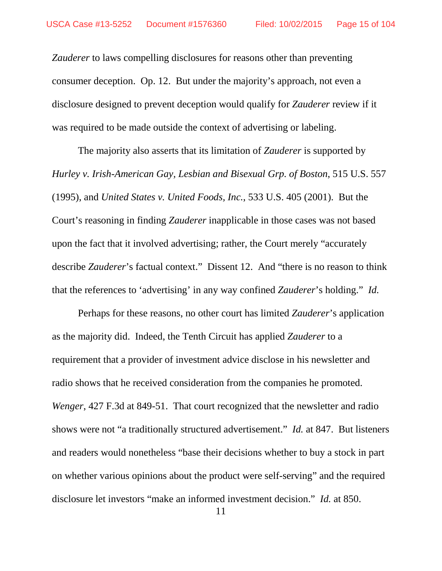*Zauderer* to laws compelling disclosures for reasons other than preventing consumer deception. Op. 12. But under the majority's approach, not even a disclosure designed to prevent deception would qualify for *Zauderer* review if it was required to be made outside the context of advertising or labeling.

The majority also asserts that its limitation of *Zauderer* is supported by *Hurley v. Irish-American Gay, Lesbian and Bisexual Grp. of Boston*, 515 U.S. 557 (1995), and *United States v. United Foods, Inc.*, 533 U.S. 405 (2001). But the Court's reasoning in finding *Zauderer* inapplicable in those cases was not based upon the fact that it involved advertising; rather, the Court merely "accurately describe *Zauderer*'s factual context." Dissent 12. And "there is no reason to think that the references to 'advertising' in any way confined *Zauderer*'s holding." *Id.* 

Perhaps for these reasons, no other court has limited *Zauderer*'s application as the majority did. Indeed, the Tenth Circuit has applied *Zauderer* to a requirement that a provider of investment advice disclose in his newsletter and radio shows that he received consideration from the companies he promoted. *Wenger*, 427 F.3d at 849-51. That court recognized that the newsletter and radio shows were not "a traditionally structured advertisement." *Id.* at 847. But listeners and readers would nonetheless "base their decisions whether to buy a stock in part on whether various opinions about the product were self-serving" and the required disclosure let investors "make an informed investment decision." *Id.* at 850.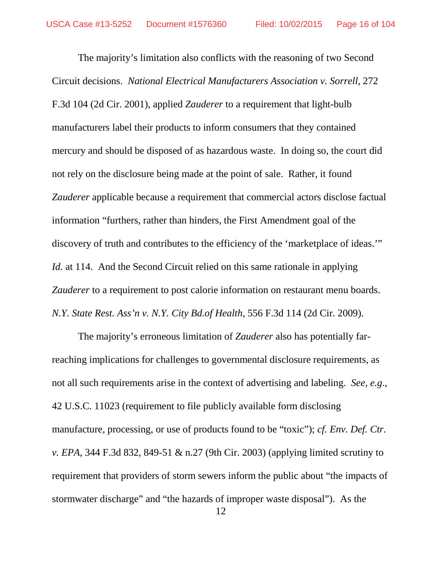The majority's limitation also conflicts with the reasoning of two Second Circuit decisions. *National Electrical Manufacturers Association v. Sorrell*, 272 F.3d 104 (2d Cir. 2001), applied *Zauderer* to a requirement that light-bulb manufacturers label their products to inform consumers that they contained mercury and should be disposed of as hazardous waste. In doing so, the court did not rely on the disclosure being made at the point of sale. Rather, it found *Zauderer* applicable because a requirement that commercial actors disclose factual information "furthers, rather than hinders, the First Amendment goal of the discovery of truth and contributes to the efficiency of the 'marketplace of ideas.'" *Id.* at 114. And the Second Circuit relied on this same rationale in applying *Zauderer* to a requirement to post calorie information on restaurant menu boards. *N.Y. State Rest. Ass'n v. N.Y. City Bd.of Health*, 556 F.3d 114 (2d Cir. 2009).

The majority's erroneous limitation of *Zauderer* also has potentially farreaching implications for challenges to governmental disclosure requirements, as not all such requirements arise in the context of advertising and labeling. *See*, *e.g*., 42 U.S.C. 11023 (requirement to file publicly available form disclosing manufacture, processing, or use of products found to be "toxic"); *cf. Env. Def. Ctr. v. EPA*, 344 F.3d 832, 849-51 & n.27 (9th Cir. 2003) (applying limited scrutiny to requirement that providers of storm sewers inform the public about "the impacts of stormwater discharge" and "the hazards of improper waste disposal"). As the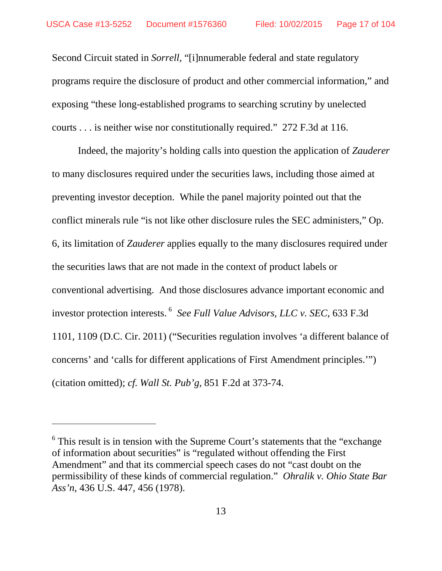Second Circuit stated in *Sorrell*, "[i]nnumerable federal and state regulatory programs require the disclosure of product and other commercial information," and exposing "these long-established programs to searching scrutiny by unelected courts . . . is neither wise nor constitutionally required." 272 F.3d at 116.

Indeed, the majority's holding calls into question the application of *Zauderer* to many disclosures required under the securities laws, including those aimed at preventing investor deception. While the panel majority pointed out that the conflict minerals rule "is not like other disclosure rules the SEC administers," Op. 6, its limitation of *Zauderer* applies equally to the many disclosures required under the securities laws that are not made in the context of product labels or conventional advertising. And those disclosures advance important economic and investor protection interests. <sup>6</sup> *See Full Value Advisors, LLC v. SEC*, 633 F.3d 1101, 1109 (D.C. Cir. 2011) ("Securities regulation involves 'a different balance of concerns' and 'calls for different applications of First Amendment principles.'") (citation omitted); *cf. Wall St. Pub'g*, 851 F.2d at 373-74.

 $6$  This result is in tension with the Supreme Court's statements that the "exchange" of information about securities" is "regulated without offending the First Amendment" and that its commercial speech cases do not "cast doubt on the permissibility of these kinds of commercial regulation." *Ohralik v. Ohio State Bar Ass'n*, 436 U.S. 447, 456 (1978).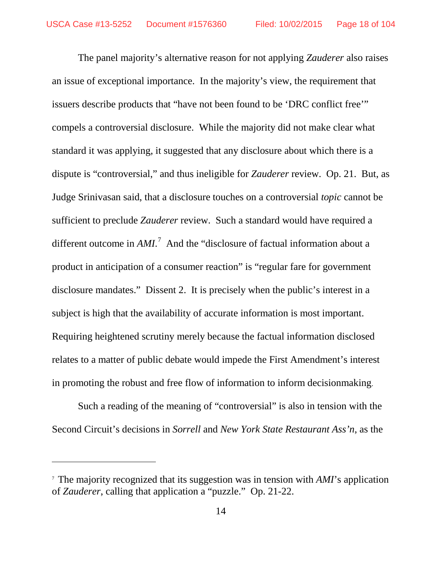The panel majority's alternative reason for not applying *Zauderer* also raises an issue of exceptional importance. In the majority's view, the requirement that issuers describe products that "have not been found to be 'DRC conflict free'" compels a controversial disclosure. While the majority did not make clear what standard it was applying, it suggested that any disclosure about which there is a dispute is "controversial," and thus ineligible for *Zauderer* review. Op. 21. But, as Judge Srinivasan said, that a disclosure touches on a controversial *topic* cannot be sufficient to preclude *Zauderer* review. Such a standard would have required a different outcome in *AMI*. <sup>7</sup> And the "disclosure of factual information about a product in anticipation of a consumer reaction" is "regular fare for government disclosure mandates." Dissent 2. It is precisely when the public's interest in a subject is high that the availability of accurate information is most important. Requiring heightened scrutiny merely because the factual information disclosed relates to a matter of public debate would impede the First Amendment's interest in promoting the robust and free flow of information to inform decisionmaking.

Such a reading of the meaning of "controversial" is also in tension with the Second Circuit's decisions in *Sorrell* and *New York State Restaurant Ass'n*, as the

<sup>7</sup> The majority recognized that its suggestion was in tension with *AMI*'s application of *Zauderer*, calling that application a "puzzle." Op. 21-22.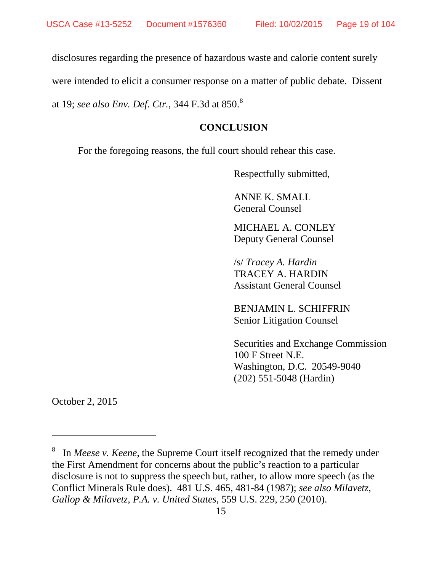disclosures regarding the presence of hazardous waste and calorie content surely

were intended to elicit a consumer response on a matter of public debate. Dissent

at 19; *see also Env. Def. Ctr.*, 344 F.3d at 850. 8

### **CONCLUSION**

For the foregoing reasons, the full court should rehear this case.

Respectfully submitted,

ANNE K. SMALL General Counsel

MICHAEL A. CONLEY Deputy General Counsel

/s/ *Tracey A. Hardin*  TRACEY A. HARDIN Assistant General Counsel

BENJAMIN L. SCHIFFRIN Senior Litigation Counsel

Securities and Exchange Commission 100 F Street N.E. Washington, D.C. 20549-9040 (202) 551-5048 (Hardin)

October 2, 2015

<sup>8</sup> In *Meese v. Keene*, the Supreme Court itself recognized that the remedy under the First Amendment for concerns about the public's reaction to a particular disclosure is not to suppress the speech but, rather, to allow more speech (as the Conflict Minerals Rule does). 481 U.S. 465, 481-84 (1987); *see also Milavetz, Gallop & Milavetz, P.A. v. United States*, 559 U.S. 229, 250 (2010).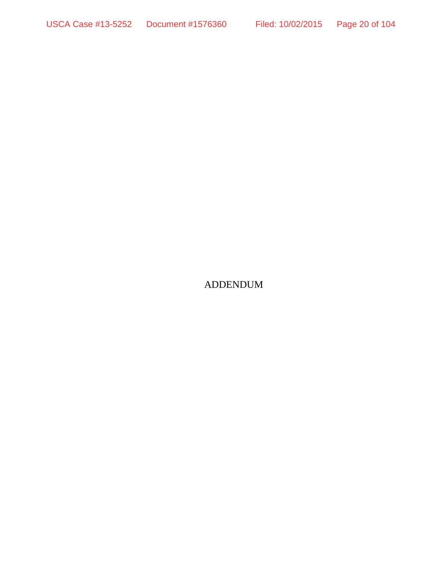ADDENDUM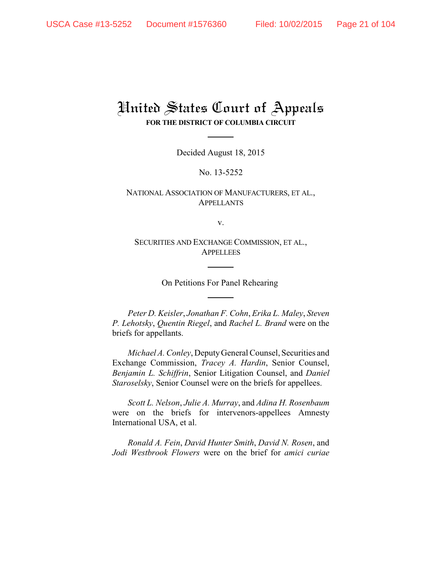## United States Court of Appeals **FOR THE DISTRICT OF COLUMBIA CIRCUIT**

Decided August 18, 2015

No. 13-5252

NATIONAL ASSOCIATION OF MANUFACTURERS, ET AL., APPELLANTS

v.

SECURITIES AND EXCHANGE COMMISSION, ET AL., **APPELLEES** 

On Petitions For Panel Rehearing

*Peter D. Keisler*, *Jonathan F. Cohn*, *Erika L. Maley*, *Steven P. Lehotsky*, *Quentin Riegel*, and *Rachel L. Brand* were on the briefs for appellants.

*Michael A. Conley*, DeputyGeneral Counsel, Securities and Exchange Commission, *Tracey A. Hardin*, Senior Counsel, *Benjamin L. Schiffrin*, Senior Litigation Counsel, and *Daniel Staroselsky*, Senior Counsel were on the briefs for appellees.

*Scott L. Nelson*, *Julie A. Murray*, and *Adina H. Rosenbaum* were on the briefs for intervenors-appellees Amnesty International USA, et al.

*Ronald A. Fein*, *David Hunter Smith*, *David N. Rosen*, and *Jodi Westbrook Flowers* were on the brief for *amici curiae*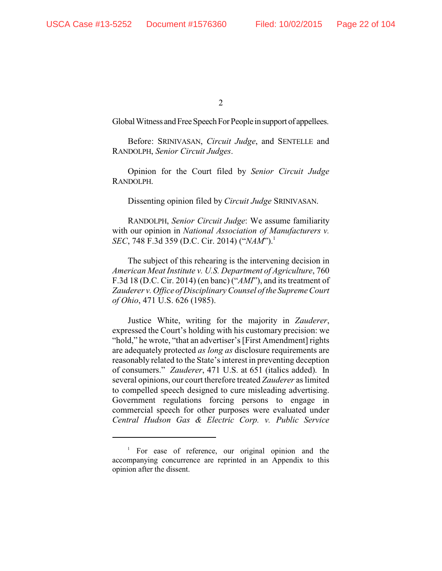Global Witness and Free Speech For People in support of appellees.

Before: SRINIVASAN, *Circuit Judge*, and SENTELLE and RANDOLPH, *Senior Circuit Judges*.

Opinion for the Court filed by *Senior Circuit Judge* RANDOLPH.

Dissenting opinion filed by *Circuit Judge* SRINIVASAN.

RANDOLPH, *Senior Circuit Judge*: We assume familiarity with our opinion in *National Association of Manufacturers v. SEC*, 748 F.3d 359 (D.C. Cir. 2014) ("*NAM*").<sup>1</sup>

The subject of this rehearing is the intervening decision in *American Meat Institute v. U.S. Department of Agriculture*, 760 F.3d 18 (D.C. Cir. 2014) (en banc) ("*AMI*"), and its treatment of *Zauderer v. Office of Disciplinary Counsel of the SupremeCourt of Ohio*, 471 U.S. 626 (1985).

Justice White, writing for the majority in *Zauderer*, expressed the Court's holding with his customary precision: we "hold," he wrote, "that an advertiser's [First Amendment] rights are adequately protected *as long as* disclosure requirements are reasonably related to the State's interest in preventing deception of consumers." *Zauderer*, 471 U.S. at 651 (italics added). In several opinions, our court therefore treated *Zauderer* as limited to compelled speech designed to cure misleading advertising. Government regulations forcing persons to engage in commercial speech for other purposes were evaluated under *Central Hudson Gas & Electric Corp. v. Public Service*

<sup>&</sup>lt;sup>1</sup> For ease of reference, our original opinion and the accompanying concurrence are reprinted in an Appendix to this opinion after the dissent.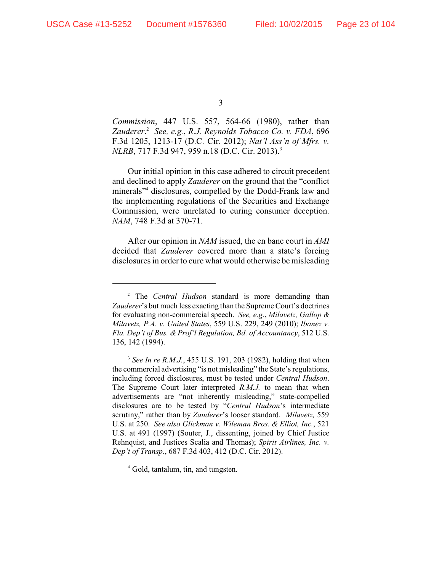*Commission*, 447 U.S. 557, 564-66 (1980), rather than *Zauderer*. *See, e.g.*, *R.J. Reynolds Tobacco Co. v. FDA*, 696 <sup>2</sup> F.3d 1205, 1213-17 (D.C. Cir. 2012); *Nat'l Ass'n of Mfrs. v. NLRB*, 717 F.3d 947, 959 n.18 (D.C. Cir. 2013).<sup>3</sup>

Our initial opinion in this case adhered to circuit precedent and declined to apply *Zauderer* on the ground that the "conflict minerals<sup>"4</sup> disclosures, compelled by the Dodd-Frank law and the implementing regulations of the Securities and Exchange Commission, were unrelated to curing consumer deception. *NAM*, 748 F.3d at 370-71.

After our opinion in *NAM* issued, the en banc court in *AMI* decided that *Zauderer* covered more than a state's forcing disclosures in order to cure what would otherwise be misleading

<sup>4</sup> Gold, tantalum, tin, and tungsten.

<sup>&</sup>lt;sup>2</sup> The *Central Hudson* standard is more demanding than *Zauderer*'s but much less exacting than the Supreme Court's doctrines for evaluating non-commercial speech. *See, e.g.*, *Milavetz, Gallop & Milavetz, P.A. v. United States*, 559 U.S. 229, 249 (2010); *Ibanez v. Fla. Dep't of Bus. & Prof'l Regulation, Bd. of Accountancy*, 512 U.S. 136, 142 (1994).

<sup>&</sup>lt;sup>3</sup> See In re R.M.J., 455 U.S. 191, 203 (1982), holding that when the commercial advertising "is not misleading" the State's regulations, including forced disclosures, must be tested under *Central Hudson*. The Supreme Court later interpreted *R.M.J.* to mean that when advertisements are "not inherently misleading," state-compelled disclosures are to be tested by "*Central Hudson*'s intermediate scrutiny," rather than by *Zauderer*'s looser standard. *Milavetz,* 559 U.S. at 250. *See also Glickman v. Wileman Bros. & Elliot, Inc.*, 521 U.S. at 491 (1997) (Souter, J., dissenting, joined by Chief Justice Rehnquist, and Justices Scalia and Thomas); *Spirit Airlines, Inc. v. Dep't of Transp.*, 687 F.3d 403, 412 (D.C. Cir. 2012).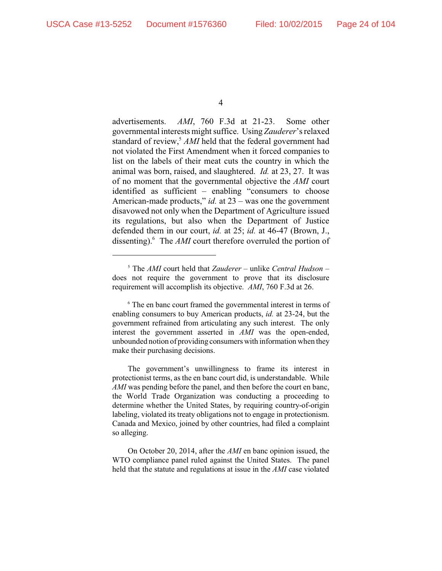advertisements. *AMI*, 760 F.3d at 21-23. Some other governmental interests might suffice. Using *Zauderer*'s relaxed standard of review,<sup>5</sup> AMI held that the federal government had not violated the First Amendment when it forced companies to list on the labels of their meat cuts the country in which the animal was born, raised, and slaughtered. *Id.* at 23, 27. It was of no moment that the governmental objective the *AMI* court identified as sufficient – enabling "consumers to choose American-made products," *id.* at 23 – was one the government disavowed not only when the Department of Agriculture issued its regulations, but also when the Department of Justice defended them in our court, *id.* at 25; *id.* at 46-47 (Brown, J., dissenting).<sup>6</sup> The *AMI* court therefore overruled the portion of

The government's unwillingness to frame its interest in protectionist terms, asthe en banc court did, is understandable. While *AMI* was pending before the panel, and then before the court en banc, the World Trade Organization was conducting a proceeding to determine whether the United States, by requiring country-of-origin labeling, violated its treaty obligations not to engage in protectionism. Canada and Mexico, joined by other countries, had filed a complaint so alleging.

On October 20, 2014, after the *AMI* en banc opinion issued, the WTO compliance panel ruled against the United States. The panel held that the statute and regulations at issue in the *AMI* case violated

The *AMI* court held that *Zauderer* – unlike *Central Hudson* – 5 does not require the government to prove that its disclosure requirement will accomplish its objective. *AMI*, 760 F.3d at 26.

 $\delta$  The en banc court framed the governmental interest in terms of enabling consumers to buy American products, *id.* at 23-24, but the government refrained from articulating any such interest. The only interest the government asserted in *AMI* was the open-ended, unbounded notion of providing consumers with information when they make their purchasing decisions.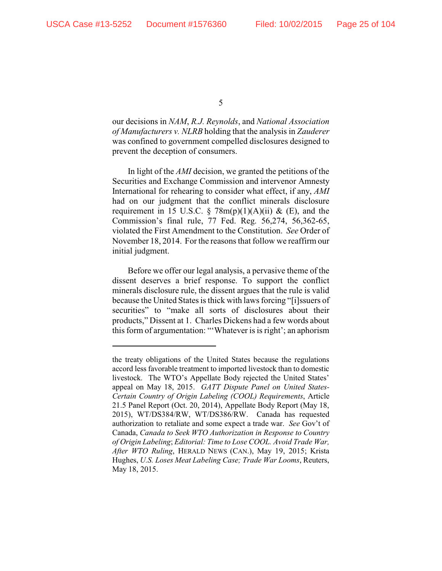our decisions in *NAM*, *R.J. Reynolds*, and *National Association of Manufacturers v. NLRB* holding that the analysis in *Zauderer* was confined to government compelled disclosures designed to prevent the deception of consumers.

In light of the *AMI* decision, we granted the petitions of the Securities and Exchange Commission and intervenor Amnesty International for rehearing to consider what effect, if any, *AMI* had on our judgment that the conflict minerals disclosure requirement in 15 U.S.C.  $\S$  78m(p)(1)(A)(ii) & (E), and the Commission's final rule, 77 Fed. Reg. 56,274, 56,362-65, violated the First Amendment to the Constitution. *See* Order of November 18, 2014. For the reasons that follow we reaffirm our initial judgment.

Before we offer our legal analysis, a pervasive theme of the dissent deserves a brief response. To support the conflict minerals disclosure rule, the dissent argues that the rule is valid because the United States is thick with laws forcing "[i]ssuers of securities" to "make all sorts of disclosures about their products," Dissent at 1. Charles Dickens had a few words about this form of argumentation: "'Whatever is is right'; an aphorism

the treaty obligations of the United States because the regulations accord less favorable treatment to imported livestock than to domestic livestock. The WTO's Appellate Body rejected the United States' appeal on May 18, 2015. *GATT Dispute Panel on United States-Certain Country of Origin Labeling (COOL) Requirements*, Article 21.5 Panel Report (Oct. 20, 2014), Appellate Body Report (May 18, 2015), WT/DS384/RW, WT/DS386/RW. Canada has requested authorization to retaliate and some expect a trade war. *See* Gov't of Canada, *Canada to Seek WTO Authorization in Response to Country of Origin Labeling*; *Editorial: Time to Lose COOL. Avoid Trade War, After WTO Ruling*, HERALD NEWS (CAN.), May 19, 2015; Krista Hughes, *U.S. Loses Meat Labeling Case; Trade War Looms*, Reuters, May 18, 2015.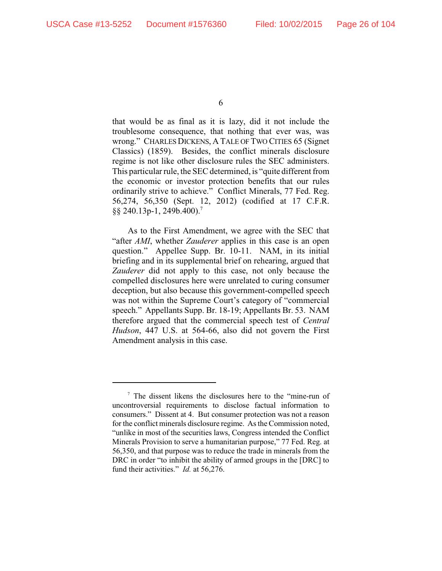that would be as final as it is lazy, did it not include the troublesome consequence, that nothing that ever was, was wrong." CHARLES DICKENS, A TALE OF TWO CITIES 65 (Signet Classics) (1859). Besides, the conflict minerals disclosure regime is not like other disclosure rules the SEC administers. This particular rule, the SEC determined, is "quite different from the economic or investor protection benefits that our rules ordinarily strive to achieve." Conflict Minerals, 77 Fed. Reg. 56,274, 56,350 (Sept. 12, 2012) (codified at 17 C.F.R.  $§$ § 240.13p-1, 249b.400).<sup>7</sup>

As to the First Amendment, we agree with the SEC that "after *AMI*, whether *Zauderer* applies in this case is an open question." Appellee Supp. Br. 10-11. NAM, in its initial briefing and in its supplemental brief on rehearing, argued that *Zauderer* did not apply to this case, not only because the compelled disclosures here were unrelated to curing consumer deception, but also because this government-compelled speech was not within the Supreme Court's category of "commercial speech." Appellants Supp. Br. 18-19; Appellants Br. 53. NAM therefore argued that the commercial speech test of *Central Hudson*, 447 U.S. at 564-66, also did not govern the First Amendment analysis in this case.

 $\alpha$ <sup>7</sup> The dissent likens the disclosures here to the "mine-run of uncontroversial requirements to disclose factual information to consumers." Dissent at 4. But consumer protection was not a reason for the conflict minerals disclosure regime. As the Commission noted, "unlike in most of the securities laws, Congress intended the Conflict Minerals Provision to serve a humanitarian purpose," 77 Fed. Reg. at 56,350, and that purpose was to reduce the trade in minerals from the DRC in order "to inhibit the ability of armed groups in the [DRC] to fund their activities." *Id.* at 56,276.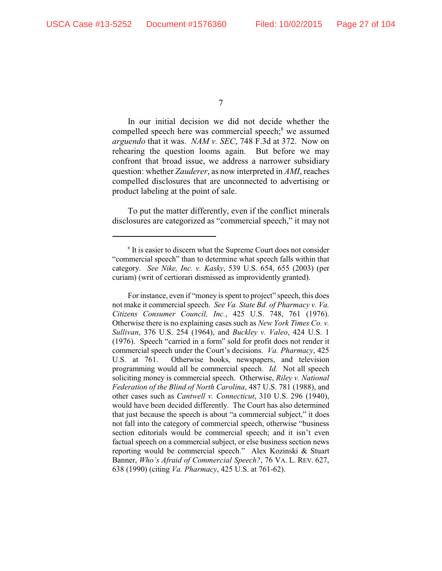In our initial decision we did not decide whether the compelled speech here was commercial speech;<sup>8</sup> we assumed *arguendo* that it was. *NAM v. SEC*, 748 F.3d at 372. Now on rehearing the question looms again. But before we may confront that broad issue, we address a narrower subsidiary question: whether *Zauderer*, as now interpreted in *AMI*, reaches compelled disclosures that are unconnected to advertising or product labeling at the point of sale.

To put the matter differently, even if the conflict minerals disclosures are categorized as "commercial speech," it may not

<sup>&</sup>lt;sup>8</sup> It is easier to discern what the Supreme Court does not consider "commercial speech" than to determine what speech falls within that category. *See Nike, Inc. v. Kasky*, 539 U.S. 654, 655 (2003) (per curiam) (writ of certiorari dismissed as improvidently granted).

For instance, even if "money is spent to project" speech, this does not make it commercial speech. *See Va. State Bd. of Pharmacy v. Va. Citizens Consumer Council, Inc.*, 425 U.S. 748, 761 (1976). Otherwise there is no explaining cases such as *New York Times Co. v. Sullivan*, 376 U.S. 254 (1964), and *Buckley v. Valeo*, 424 U.S. 1 (1976). Speech "carried in a form" sold for profit does not render it commercial speech under the Court's decisions. *Va. Pharmacy*, 425 U.S. at 761. Otherwise books, newspapers, and television programming would all be commercial speech. *Id.* Not all speech soliciting money is commercial speech. Otherwise, *Riley v. National Federation of the Blind of North Carolina*, 487 U.S. 781 (1988), and other cases such as *Cantwell v. Connecticut*, 310 U.S. 296 (1940), would have been decided differently. The Court has also determined that just because the speech is about "a commercial subject," it does not fall into the category of commercial speech, otherwise "business section editorials would be commercial speech; and it isn't even factual speech on a commercial subject, or else business section news reporting would be commercial speech." Alex Kozinski & Stuart Banner, *Who's Afraid of Commercial Speech?*, 76 VA. L. REV. 627, 638 (1990) (citing *Va. Pharmacy*, 425 U.S. at 761-62).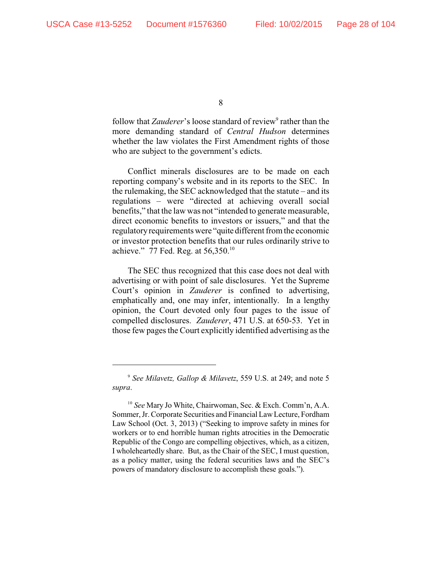follow that *Zauderer*'s loose standard of review<sup>9</sup> rather than the more demanding standard of *Central Hudson* determines whether the law violates the First Amendment rights of those who are subject to the government's edicts.

Conflict minerals disclosures are to be made on each reporting company's website and in its reports to the SEC. In the rulemaking, the SEC acknowledged that the statute – and its regulations – were "directed at achieving overall social benefits," that the law was not "intended to generate measurable, direct economic benefits to investors or issuers," and that the regulatory requirements were "quite different from the economic or investor protection benefits that our rules ordinarily strive to achieve." 77 Fed. Reg. at 56,350.<sup>10</sup>

The SEC thus recognized that this case does not deal with advertising or with point of sale disclosures. Yet the Supreme Court's opinion in *Zauderer* is confined to advertising, emphatically and, one may infer, intentionally. In a lengthy opinion, the Court devoted only four pages to the issue of compelled disclosures. *Zauderer*, 471 U.S. at 650-53. Yet in those few pages the Court explicitly identified advertising as the

*See Milavetz, Gallop & Milavetz*, 559 U.S. at 249; and note 5 9 *supra*.

<sup>&</sup>lt;sup>10</sup> See Mary Jo White, Chairwoman, Sec. & Exch. Comm'n, A.A. Sommer, Jr. Corporate Securities and Financial LawLecture, Fordham Law School (Oct. 3, 2013) ("Seeking to improve safety in mines for workers or to end horrible human rights atrocities in the Democratic Republic of the Congo are compelling objectives, which, as a citizen, I wholeheartedly share. But, as the Chair of the SEC, I must question, as a policy matter, using the federal securities laws and the SEC's powers of mandatory disclosure to accomplish these goals.").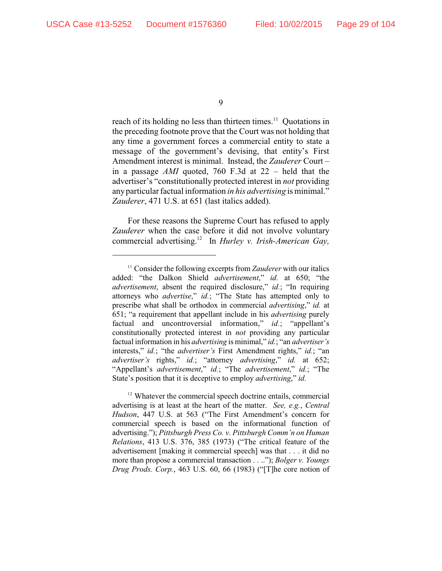reach of its holding no less than thirteen times. $\frac{11}{11}$  Quotations in the preceding footnote prove that the Court was not holding that any time a government forces a commercial entity to state a message of the government's devising, that entity's First Amendment interest is minimal. Instead, the *Zauderer* Court – in a passage *AMI* quoted, 760 F.3d at 22 – held that the advertiser's "constitutionally protected interest in *not* providing any particular factual information *in his advertising* is minimal." *Zauderer*, 471 U.S. at 651 (last italics added).

For these reasons the Supreme Court has refused to apply *Zauderer* when the case before it did not involve voluntary commercial advertising.<sup>12</sup> In *Hurley v. Irish-American Gay,* 

 $12$  Whatever the commercial speech doctrine entails, commercial advertising is at least at the heart of the matter. *See, e.g.*, *Central Hudson*, 447 U.S. at 563 ("The First Amendment's concern for commercial speech is based on the informational function of advertising."); *Pittsburgh Press Co. v. Pittsburgh Comm'n on Human Relations*, 413 U.S. 376, 385 (1973) ("The critical feature of the advertisement [making it commercial speech] was that . . . it did no more than propose a commercial transaction . . .."); *Bolger v. Youngs Drug Prods. Corp.*, 463 U.S. 60, 66 (1983) ("[T]he core notion of

<sup>&</sup>lt;sup>11</sup> Consider the following excerpts from *Zauderer* with our italics added: "the Dalkon Shield *advertisement*," *id.* at 650; "the *advertisement*, absent the required disclosure," *id.*; "In requiring attorneys who *advertise*," *id.*; "The State has attempted only to prescribe what shall be orthodox in commercial *advertising*," *id.* at 651; "a requirement that appellant include in his *advertising* purely factual and uncontroversial information," *id.*; "appellant's constitutionally protected interest in *not* providing any particular factual information in his *advertising* is minimal," *id.*; "an *advertiser's* interests," *id.*; "the *advertiser's* First Amendment rights," *id.*; "an *advertiser's* rights," *id.*; "attorney *advertising*," *id.* at 652; "Appellant's *advertisement*," *id.*; "The *advertisement*," *id.*; "The State's position that it is deceptive to employ *advertising*," *id.*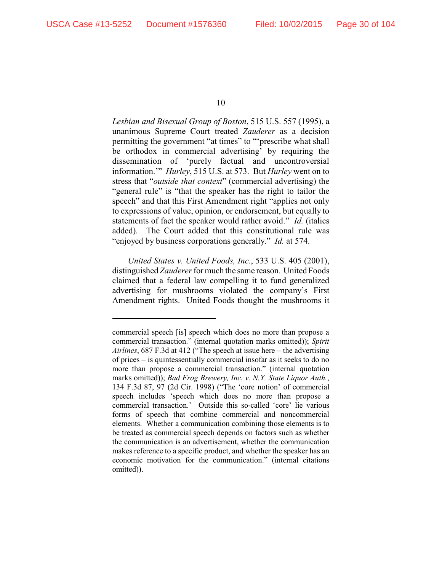*Lesbian and Bisexual Group of Boston*, 515 U.S. 557 (1995), a unanimous Supreme Court treated *Zauderer* as a decision permitting the government "at times" to "'prescribe what shall be orthodox in commercial advertising' by requiring the dissemination of 'purely factual and uncontroversial information.'" *Hurley*, 515 U.S. at 573. But *Hurley* went on to stress that "*outside that context*" (commercial advertising) the "general rule" is "that the speaker has the right to tailor the speech" and that this First Amendment right "applies not only to expressions of value, opinion, or endorsement, but equally to statements of fact the speaker would rather avoid." *Id.* (italics added). The Court added that this constitutional rule was "enjoyed by business corporations generally." *Id.* at 574.

*United States v. United Foods, Inc.*, 533 U.S. 405 (2001), distinguished *Zauderer*for much the same reason. United Foods claimed that a federal law compelling it to fund generalized advertising for mushrooms violated the company's First Amendment rights. United Foods thought the mushrooms it

commercial speech [is] speech which does no more than propose a commercial transaction." (internal quotation marks omitted)); *Spirit Airlines*, 687 F.3d at 412 ("The speech at issue here – the advertising of prices – is quintessentially commercial insofar as it seeks to do no more than propose a commercial transaction." (internal quotation marks omitted)); *Bad Frog Brewery, Inc. v. N.Y. State Liquor Auth.*, 134 F.3d 87, 97 (2d Cir. 1998) ("The 'core notion' of commercial speech includes 'speech which does no more than propose a commercial transaction.' Outside this so-called 'core' lie various forms of speech that combine commercial and noncommercial elements. Whether a communication combining those elements is to be treated as commercial speech depends on factors such as whether the communication is an advertisement, whether the communication makes reference to a specific product, and whether the speaker has an economic motivation for the communication." (internal citations omitted)).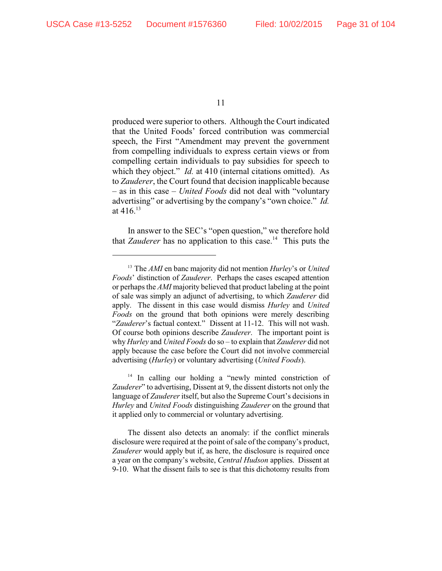produced were superior to others. Although the Court indicated that the United Foods' forced contribution was commercial speech, the First "Amendment may prevent the government from compelling individuals to express certain views or from compelling certain individuals to pay subsidies for speech to which they object." *Id.* at 410 (internal citations omitted). As to *Zauderer*, the Court found that decision inapplicable because – as in this case – *United Foods* did not deal with "voluntary advertising" or advertising by the company's "own choice." *Id.* at  $416^{13}$ 

In answer to the SEC's "open question," we therefore hold that *Zauderer* has no application to this case.<sup>14</sup> This puts the

 $14$  In calling our holding a "newly minted constriction of *Zauderer*" to advertising, Dissent at 9, the dissent distorts not only the language of *Zauderer* itself, but also the Supreme Court's decisions in *Hurley* and *United Foods* distinguishing *Zauderer* on the ground that it applied only to commercial or voluntary advertising.

The dissent also detects an anomaly: if the conflict minerals disclosure were required at the point of sale of the company's product, *Zauderer* would apply but if, as here, the disclosure is required once a year on the company's website, *Central Hudson* applies. Dissent at 9-10. What the dissent fails to see is that this dichotomy results from

<sup>&</sup>lt;sup>13</sup> The *AMI* en banc majority did not mention *Hurley*'s or *United Foods*' distinction of *Zauderer*. Perhaps the cases escaped attention or perhaps the *AMI* majority believed that product labeling at the point of sale was simply an adjunct of advertising, to which *Zauderer* did apply. The dissent in this case would dismiss *Hurley* and *United Foods* on the ground that both opinions were merely describing "*Zauderer*'s factual context." Dissent at 11-12. This will not wash. Of course both opinions describe *Zauderer*. The important point is why *Hurley* and *United Foods* do so – to explain that *Zauderer* did not apply because the case before the Court did not involve commercial advertising (*Hurley*) or voluntary advertising (*United Foods*).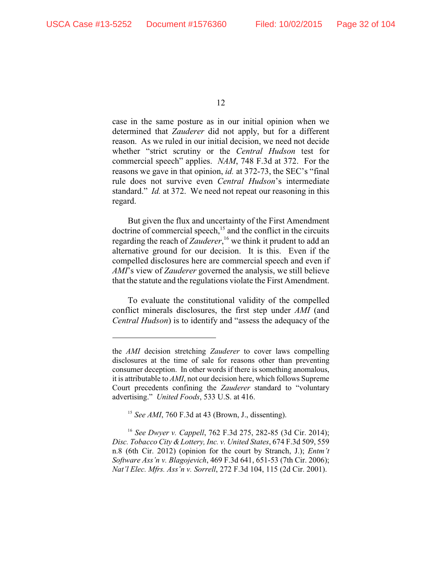case in the same posture as in our initial opinion when we determined that *Zauderer* did not apply, but for a different reason. As we ruled in our initial decision, we need not decide whether "strict scrutiny or the *Central Hudson* test for commercial speech" applies. *NAM*, 748 F.3d at 372. For the reasons we gave in that opinion, *id.* at 372-73, the SEC's "final rule does not survive even *Central Hudson*'s intermediate standard." *Id.* at 372. We need not repeat our reasoning in this regard.

But given the flux and uncertainty of the First Amendment doctrine of commercial speech,<sup>15</sup> and the conflict in the circuits regarding the reach of *Zauderer*,<sup>16</sup> we think it prudent to add an alternative ground for our decision. It is this. Even if the compelled disclosures here are commercial speech and even if *AMI*'s view of *Zauderer* governed the analysis, we still believe that the statute and the regulations violate the First Amendment.

To evaluate the constitutional validity of the compelled conflict minerals disclosures, the first step under *AMI* (and *Central Hudson*) is to identify and "assess the adequacy of the

the *AMI* decision stretching *Zauderer* to cover laws compelling disclosures at the time of sale for reasons other than preventing consumer deception. In other words if there is something anomalous, it is attributable to *AMI*, not our decision here, which follows Supreme Court precedents confining the *Zauderer* standard to "voluntary advertising." *United Foods*, 533 U.S. at 416.

<sup>&</sup>lt;sup>15</sup> See AMI, 760 F.3d at 43 (Brown, J., dissenting).

*See Dwyer v. Cappell*, 762 F.3d 275, 282-85 (3d Cir. 2014); <sup>16</sup> *Disc. Tobacco City &Lottery, Inc. v. United States*, 674 F.3d 509, 559 n.8 (6th Cir. 2012) (opinion for the court by Stranch, J.); *Entm't Software Ass'n v. Blagojevich*, 469 F.3d 641, 651-53 (7th Cir. 2006); *Nat'l Elec. Mfrs. Ass'n v. Sorrell*, 272 F.3d 104, 115 (2d Cir. 2001).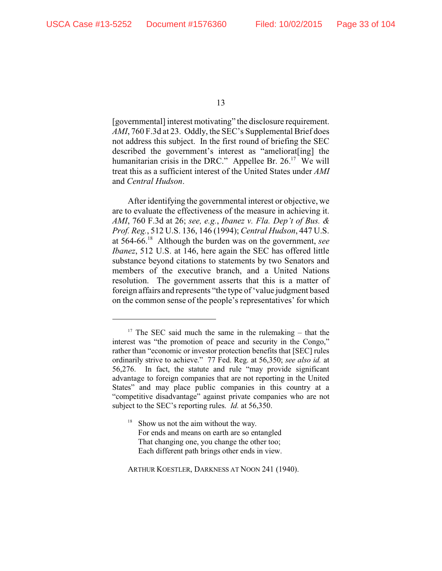[governmental] interest motivating" the disclosure requirement. *AMI*, 760 F.3d at 23. Oddly, the SEC's Supplemental Brief does not address this subject. In the first round of briefing the SEC described the government's interest as "ameliorat[ing] the humanitarian crisis in the DRC." Appellee Br.  $26$ <sup>17</sup> We will treat this as a sufficient interest of the United States under *AMI* and *Central Hudson*.

After identifying the governmental interest or objective, we are to evaluate the effectiveness of the measure in achieving it. *AMI*, 760 F.3d at 26; *see, e.g.*, *Ibanez v. Fla. Dep't of Bus. & Prof. Reg.*, 512 U.S. 136, 146 (1994); *Central Hudson*, 447 U.S. at 564-66.<sup>18</sup> Although the burden was on the government, *see Ibanez*, 512 U.S. at 146, here again the SEC has offered little substance beyond citations to statements by two Senators and members of the executive branch, and a United Nations resolution. The government asserts that this is a matter of foreign affairs and represents "the type of 'value judgment based on the common sense of the people's representatives' for which

Show us not the aim without the way. 18 For ends and means on earth are so entangled That changing one, you change the other too; Each different path brings other ends in view.

ARTHUR KOESTLER, DARKNESS AT NOON 241 (1940).

 $17$  The SEC said much the same in the rulemaking – that the interest was "the promotion of peace and security in the Congo," rather than "economic or investor protection benefits that [SEC] rules ordinarily strive to achieve." 77 Fed. Reg. at 56,350; *see also id.* at 56,276. In fact, the statute and rule "may provide significant advantage to foreign companies that are not reporting in the United States" and may place public companies in this country at a "competitive disadvantage" against private companies who are not subject to the SEC's reporting rules. *Id.* at 56,350.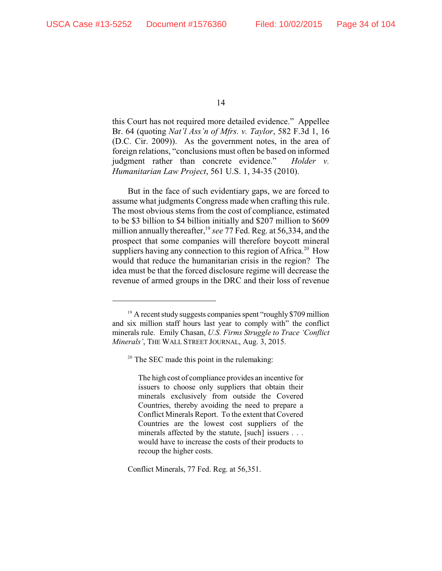this Court has not required more detailed evidence." Appellee Br. 64 (quoting *Nat'l Ass'n of Mfrs. v. Taylor*, 582 F.3d 1, 16 (D.C. Cir. 2009)). As the government notes, in the area of foreign relations, "conclusions must often be based on informed judgment rather than concrete evidence." *Holder v. Humanitarian Law Project*, 561 U.S. 1, 34-35 (2010).

But in the face of such evidentiary gaps, we are forced to assume what judgments Congress made when crafting this rule. The most obvious stems from the cost of compliance, estimated to be \$3 billion to \$4 billion initially and \$207 million to \$609 million annually thereafter,  $\frac{19}{9}$  see 77 Fed. Reg. at 56,334, and the prospect that some companies will therefore boycott mineral suppliers having any connection to this region of Africa.<sup>20</sup> How would that reduce the humanitarian crisis in the region? The idea must be that the forced disclosure regime will decrease the revenue of armed groups in the DRC and their loss of revenue

The high cost of compliance provides an incentive for issuers to choose only suppliers that obtain their minerals exclusively from outside the Covered Countries, thereby avoiding the need to prepare a Conflict Minerals Report. To the extent that Covered Countries are the lowest cost suppliers of the minerals affected by the statute, [such] issuers . . . would have to increase the costs of their products to recoup the higher costs.

Conflict Minerals, 77 Fed. Reg. at 56,351.

<sup>&</sup>lt;sup>19</sup> A recent study suggests companies spent "roughly \$709 million" and six million staff hours last year to comply with" the conflict minerals rule. Emily Chasan, *U.S. Firms Struggle to Trace 'Conflict Minerals'*, THE WALL STREET JOURNAL, Aug. 3, 2015.

 $20$  The SEC made this point in the rulemaking: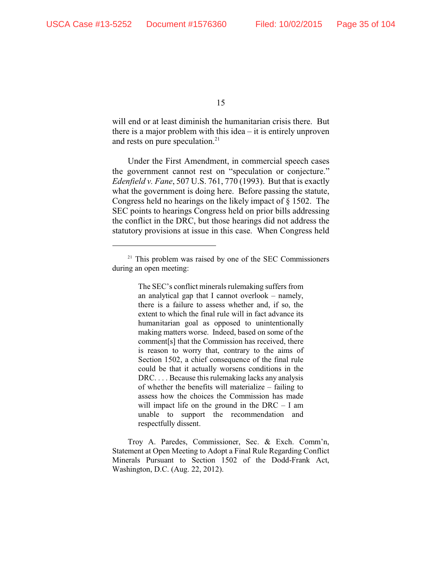will end or at least diminish the humanitarian crisis there. But there is a major problem with this idea – it is entirely unproven and rests on pure speculation.<sup>21</sup>

Under the First Amendment, in commercial speech cases the government cannot rest on "speculation or conjecture." *Edenfield v. Fane*, 507 U.S. 761, 770 (1993). But that is exactly what the government is doing here. Before passing the statute, Congress held no hearings on the likely impact of § 1502. The SEC points to hearings Congress held on prior bills addressing the conflict in the DRC, but those hearings did not address the statutory provisions at issue in this case. When Congress held

The SEC's conflict minerals rulemaking suffers from an analytical gap that I cannot overlook – namely, there is a failure to assess whether and, if so, the extent to which the final rule will in fact advance its humanitarian goal as opposed to unintentionally making matters worse. Indeed, based on some of the comment[s] that the Commission has received, there is reason to worry that, contrary to the aims of Section 1502, a chief consequence of the final rule could be that it actually worsens conditions in the DRC. . . . Because this rulemaking lacks any analysis of whether the benefits will materialize – failing to assess how the choices the Commission has made will impact life on the ground in the DRC – I am unable to support the recommendation and respectfully dissent.

Troy A. Paredes, Commissioner, Sec. & Exch. Comm'n, Statement at Open Meeting to Adopt a Final Rule Regarding Conflict Minerals Pursuant to Section 1502 of the Dodd-Frank Act, Washington, D.C. (Aug. 22, 2012).

 $21$  This problem was raised by one of the SEC Commissioners during an open meeting: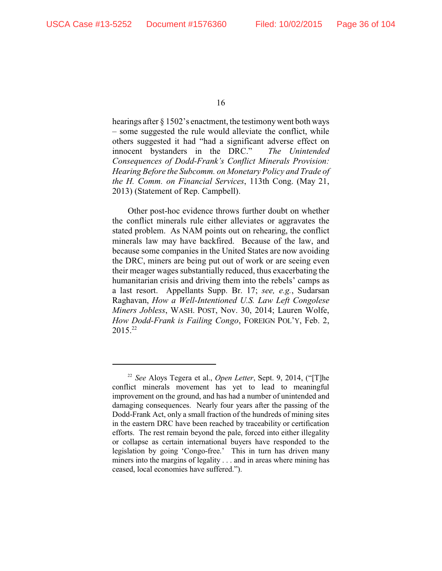hearings after  $\S 1502$ 's enactment, the testimony went both ways – some suggested the rule would alleviate the conflict, while others suggested it had "had a significant adverse effect on innocent bystanders in the DRC." *The Unintended Consequences of Dodd-Frank's Conflict Minerals Provision: Hearing Before the Subcomm. on Monetary Policy and Trade of the H. Comm. on Financial Services*, 113th Cong. (May 21, 2013) (Statement of Rep. Campbell).

Other post-hoc evidence throws further doubt on whether the conflict minerals rule either alleviates or aggravates the stated problem. As NAM points out on rehearing, the conflict minerals law may have backfired. Because of the law, and because some companies in the United States are now avoiding the DRC, miners are being put out of work or are seeing even their meager wages substantially reduced, thus exacerbating the humanitarian crisis and driving them into the rebels' camps as a last resort. Appellants Supp. Br. 17; *see, e.g.*, Sudarsan Raghavan, *How a Well-Intentioned U.S. Law Left Congolese Miners Jobless*, WASH. POST, Nov. 30, 2014; Lauren Wolfe, *How Dodd-Frank is Failing Congo*, FOREIGN POL'Y, Feb. 2, 2015.<sup>22</sup>

<sup>&</sup>lt;sup>22</sup> See Aloys Tegera et al., *Open Letter*, Sept. 9, 2014, ("The conflict minerals movement has yet to lead to meaningful improvement on the ground, and has had a number of unintended and damaging consequences. Nearly four years after the passing of the Dodd-Frank Act, only a small fraction of the hundreds of mining sites in the eastern DRC have been reached by traceability or certification efforts. The rest remain beyond the pale, forced into either illegality or collapse as certain international buyers have responded to the legislation by going 'Congo-free.' This in turn has driven many miners into the margins of legality . . . and in areas where mining has ceased, local economies have suffered.").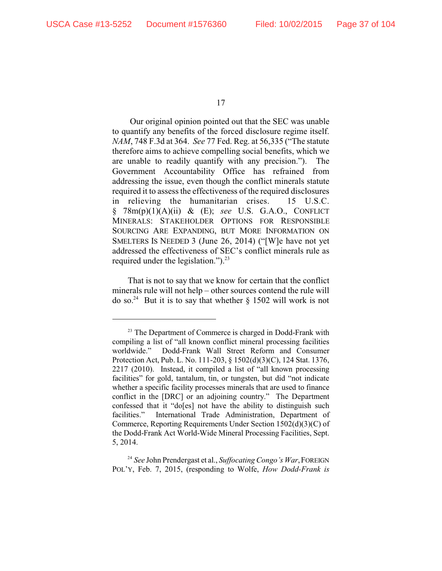Our original opinion pointed out that the SEC was unable to quantify any benefits of the forced disclosure regime itself. *NAM*, 748 F.3d at 364. *See* 77 Fed. Reg. at 56,335 ("The statute therefore aims to achieve compelling social benefits, which we are unable to readily quantify with any precision."). The Government Accountability Office has refrained from addressing the issue, even though the conflict minerals statute required it to assess the effectiveness of the required disclosures in relieving the humanitarian crises. 15 U.S.C. § 78m(p)(1)(A)(ii) & (E); *see* U.S. G.A.O., CONFLICT MINERALS: STAKEHOLDER OPTIONS FOR RESPONSIBLE SOURCING ARE EXPANDING, BUT MORE INFORMATION ON SMELTERS IS NEEDED 3 (June 26, 2014) ("[W]e have not yet addressed the effectiveness of SEC's conflict minerals rule as required under the legislation." $)^{23}$ 

That is not to say that we know for certain that the conflict minerals rule will not help – other sources contend the rule will do so.<sup>24</sup> But it is to say that whether  $\S$  1502 will work is not

 $23$  The Department of Commerce is charged in Dodd-Frank with compiling a list of "all known conflict mineral processing facilities worldwide." Dodd-Frank Wall Street Reform and Consumer Protection Act, Pub. L. No. 111-203, § 1502(d)(3)(C), 124 Stat. 1376, 2217 (2010). Instead, it compiled a list of "all known processing facilities" for gold, tantalum, tin, or tungsten, but did "not indicate whether a specific facility processes minerals that are used to finance conflict in the [DRC] or an adjoining country." The Department confessed that it "do[es] not have the ability to distinguish such facilities." International Trade Administration, Department of Commerce, Reporting Requirements Under Section 1502(d)(3)(C) of the Dodd-Frank Act World-Wide Mineral Processing Facilities, Sept. 5, 2014.

*See* John Prendergast et al., *Suffocating Congo's War*,FOREIGN 24 POL'Y, Feb. 7, 2015, (responding to Wolfe, *How Dodd-Frank is*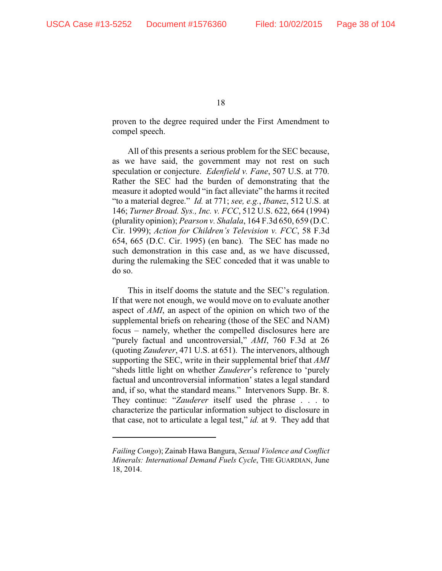proven to the degree required under the First Amendment to compel speech.

All of this presents a serious problem for the SEC because, as we have said, the government may not rest on such speculation or conjecture. *Edenfield v. Fane*, 507 U.S. at 770. Rather the SEC had the burden of demonstrating that the measure it adopted would "in fact alleviate" the harms it recited "to a material degree." *Id.* at 771; *see, e.g.*, *Ibanez*, 512 U.S. at 146; *Turner Broad. Sys., Inc. v. FCC*, 512 U.S. 622, 664 (1994) (plurality opinion); *Pearson v. Shalala*, 164 F.3d 650, 659 (D.C. Cir. 1999); *Action for Children's Television v. FCC*, 58 F.3d 654, 665 (D.C. Cir. 1995) (en banc). The SEC has made no such demonstration in this case and, as we have discussed, during the rulemaking the SEC conceded that it was unable to do so.

This in itself dooms the statute and the SEC's regulation. If that were not enough, we would move on to evaluate another aspect of *AMI*, an aspect of the opinion on which two of the supplemental briefs on rehearing (those of the SEC and NAM) focus – namely, whether the compelled disclosures here are "purely factual and uncontroversial," *AMI*, 760 F.3d at 26 (quoting *Zauderer*, 471 U.S. at 651). The intervenors, although supporting the SEC, write in their supplemental brief that *AMI* "sheds little light on whether *Zauderer*'s reference to 'purely factual and uncontroversial information' states a legal standard and, if so, what the standard means." Intervenors Supp. Br. 8. They continue: "*Zauderer* itself used the phrase . . . to characterize the particular information subject to disclosure in that case, not to articulate a legal test," *id.* at 9. They add that

*Failing Congo*); Zainab Hawa Bangura, *Sexual Violence and Conflict Minerals: International Demand Fuels Cycle*, THE GUARDIAN, June 18, 2014.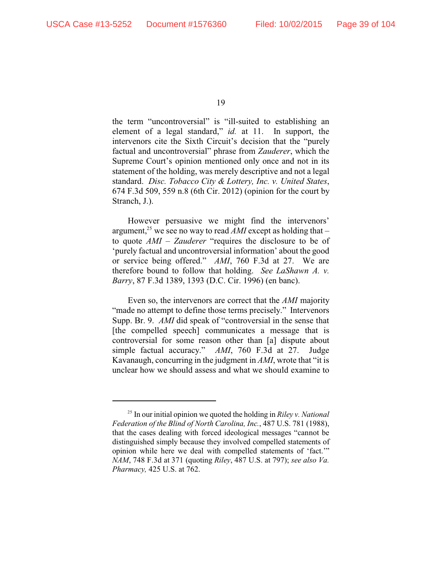the term "uncontroversial" is "ill-suited to establishing an element of a legal standard," *id.* at 11. In support, the intervenors cite the Sixth Circuit's decision that the "purely factual and uncontroversial" phrase from *Zauderer*, which the Supreme Court's opinion mentioned only once and not in its statement of the holding, was merely descriptive and not a legal standard. *Disc. Tobacco City & Lottery, Inc. v. United States*, 674 F.3d 509, 559 n.8 (6th Cir. 2012) (opinion for the court by Stranch, J.).

However persuasive we might find the intervenors' argument,<sup>25</sup> we see no way to read  $AMI$  except as holding that  $$ to quote *AMI* – *Zauderer* "requires the disclosure to be of 'purely factual and uncontroversial information' about the good or service being offered." *AMI*, 760 F.3d at 27. We are therefore bound to follow that holding. *See LaShawn A. v. Barry*, 87 F.3d 1389, 1393 (D.C. Cir. 1996) (en banc).

Even so, the intervenors are correct that the *AMI* majority "made no attempt to define those terms precisely." Intervenors Supp. Br. 9. *AMI* did speak of "controversial in the sense that [the compelled speech] communicates a message that is controversial for some reason other than [a] dispute about simple factual accuracy." *AMI*, 760 F.3d at 27. Judge Kavanaugh, concurring in the judgment in *AMI*, wrote that "it is unclear how we should assess and what we should examine to

<sup>&</sup>lt;sup>25</sup> In our initial opinion we quoted the holding in *Riley v. National Federation of the Blind of North Carolina, Inc.*, 487 U.S. 781 (1988), that the cases dealing with forced ideological messages "cannot be distinguished simply because they involved compelled statements of opinion while here we deal with compelled statements of 'fact.'" *NAM*, 748 F.3d at 371 (quoting *Riley*, 487 U.S. at 797); *see also Va. Pharmacy,* 425 U.S. at 762.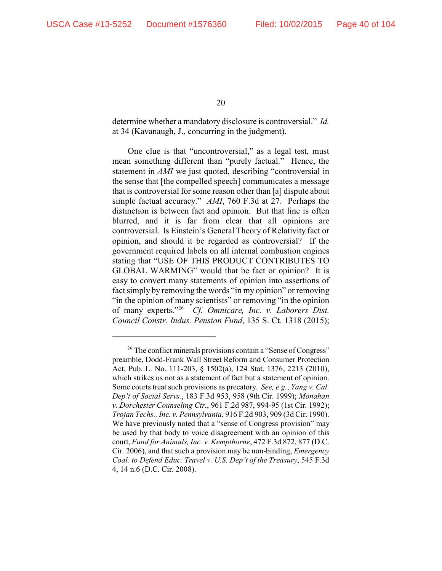determine whether a mandatory disclosure is controversial." *Id.* at 34 (Kavanaugh, J., concurring in the judgment).

One clue is that "uncontroversial," as a legal test, must mean something different than "purely factual." Hence, the statement in *AMI* we just quoted, describing "controversial in the sense that [the compelled speech] communicates a message that is controversial for some reason other than [a] dispute about simple factual accuracy." *AMI*, 760 F.3d at 27. Perhaps the distinction is between fact and opinion. But that line is often blurred, and it is far from clear that all opinions are controversial. Is Einstein's General Theory of Relativity fact or opinion, and should it be regarded as controversial? If the government required labels on all internal combustion engines stating that "USE OF THIS PRODUCT CONTRIBUTES TO GLOBAL WARMING" would that be fact or opinion? It is easy to convert many statements of opinion into assertions of fact simply by removing the words "in my opinion" or removing "in the opinion of many scientists" or removing "in the opinion" of many experts."<sup>26</sup> *Cf. Omnicare, Inc. v. Laborers Dist. Council Constr. Indus. Pension Fund*, 135 S. Ct. 1318 (2015);

<sup>&</sup>lt;sup>26</sup> The conflict minerals provisions contain a "Sense of Congress" preamble, Dodd-Frank Wall Street Reform and Consumer Protection Act, Pub. L. No. 111-203, § 1502(a), 124 Stat. 1376, 2213 (2010), which strikes us not as a statement of fact but a statement of opinion. Some courts treat such provisions as precatory. *See, e.g.*, *Yang v. Cal. Dep't of Social Servs.*, 183 F.3d 953, 958 (9th Cir. 1999); *Monahan v. Dorchester Counseling Ctr.*, 961 F.2d 987, 994-95 (1st Cir. 1992); *Trojan Techs., Inc. v. Pennsylvania*, 916 F.2d 903, 909 (3d Cir. 1990). We have previously noted that a "sense of Congress provision" may be used by that body to voice disagreement with an opinion of this court, *Fund for Animals, Inc. v. Kempthorne*, 472 F.3d 872, 877 (D.C. Cir. 2006), and that such a provision may be non-binding, *Emergency Coal. to Defend Educ. Travel v. U.S. Dep't of the Treasury*, 545 F.3d 4, 14 n.6 (D.C. Cir. 2008).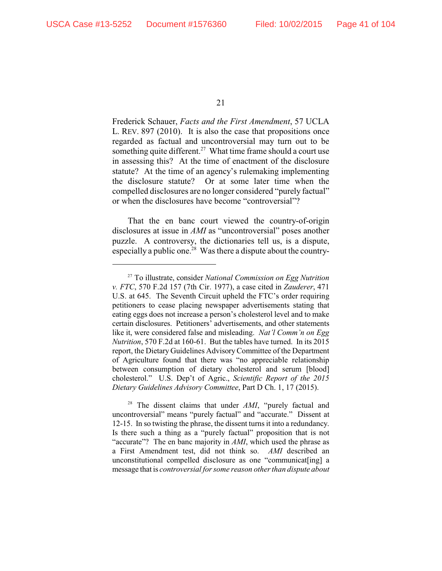Frederick Schauer, *Facts and the First Amendment*, 57 UCLA L. REV. 897 (2010). It is also the case that propositions once regarded as factual and uncontroversial may turn out to be something quite different.<sup>27</sup> What time frame should a court use in assessing this? At the time of enactment of the disclosure statute? At the time of an agency's rulemaking implementing the disclosure statute? Or at some later time when the compelled disclosures are no longer considered "purely factual" or when the disclosures have become "controversial"?

That the en banc court viewed the country-of-origin disclosures at issue in *AMI* as "uncontroversial" poses another puzzle. A controversy, the dictionaries tell us, is a dispute, especially a public one.<sup>28</sup> Was there a dispute about the country-

To illustrate, consider *National Commission on Egg Nutrition* <sup>27</sup> *v. FTC*, 570 F.2d 157 (7th Cir. 1977), a case cited in *Zauderer*, 471 U.S. at 645. The Seventh Circuit upheld the FTC's order requiring petitioners to cease placing newspaper advertisements stating that eating eggs does not increase a person's cholesterol level and to make certain disclosures. Petitioners' advertisements, and other statements like it, were considered false and misleading. *Nat'l Comm'n on Egg Nutrition*, 570 F.2d at 160-61. But the tables have turned. In its 2015 report, the Dietary Guidelines AdvisoryCommittee of the Department of Agriculture found that there was "no appreciable relationship between consumption of dietary cholesterol and serum [blood] cholesterol." U.S. Dep't of Agric., *Scientific Report of the 2015 Dietary Guidelines Advisory Committee*, Part D Ch. 1, 17 (2015).

<sup>&</sup>lt;sup>28</sup> The dissent claims that under *AMI*, "purely factual and uncontroversial" means "purely factual" and "accurate." Dissent at 12-15. In so twisting the phrase, the dissent turnsit into a redundancy. Is there such a thing as a "purely factual" proposition that is not "accurate"? The en banc majority in *AMI*, which used the phrase as a First Amendment test, did not think so. *AMI* described an unconstitutional compelled disclosure as one "communicat[ing] a message that is *controversial for some reason otherthan dispute about*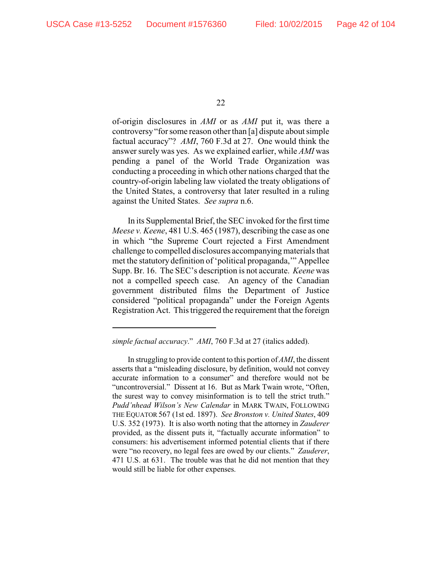of-origin disclosures in *AMI* or as *AMI* put it, was there a controversy "forsome reason other than [a] dispute about simple factual accuracy"? *AMI*, 760 F.3d at 27. One would think the answer surely was yes. As we explained earlier, while *AMI* was pending a panel of the World Trade Organization was conducting a proceeding in which other nations charged that the country-of-origin labeling law violated the treaty obligations of the United States, a controversy that later resulted in a ruling against the United States. *See supra* n.6.

In its Supplemental Brief, the SEC invoked for the first time *Meese v. Keene*, 481 U.S. 465 (1987), describing the case as one in which "the Supreme Court rejected a First Amendment challenge to compelled disclosures accompanying materials that met the statutory definition of 'political propaganda,'" Appellee Supp. Br. 16. The SEC's description is not accurate. *Keene* was not a compelled speech case. An agency of the Canadian government distributed films the Department of Justice considered "political propaganda" under the Foreign Agents Registration Act. This triggered the requirement that the foreign

*simple factual accuracy*." *AMI*, 760 F.3d at 27 (italics added).

In struggling to provide content to this portion of *AMI*, the dissent asserts that a "misleading disclosure, by definition, would not convey accurate information to a consumer" and therefore would not be "uncontroversial." Dissent at 16. But as Mark Twain wrote, "Often, the surest way to convey misinformation is to tell the strict truth." *Pudd'nhead Wilson's New Calendar* in MARK TWAIN, FOLLOWING THE EQUATOR 567 (1st ed. 1897). *See Bronston v. United States*, 409 U.S. 352 (1973). It is also worth noting that the attorney in *Zauderer* provided, as the dissent puts it, "factually accurate information" to consumers: his advertisement informed potential clients that if there were "no recovery, no legal fees are owed by our clients." *Zauderer*, 471 U.S. at 631. The trouble was that he did not mention that they would still be liable for other expenses.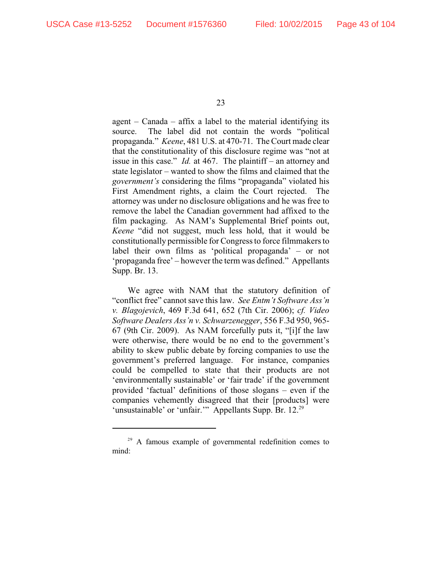agent – Canada – affix a label to the material identifying its source. The label did not contain the words "political propaganda." *Keene*, 481 U.S. at 470-71. The Court made clear that the constitutionality of this disclosure regime was "not at issue in this case." *Id.* at 467. The plaintiff – an attorney and state legislator – wanted to show the films and claimed that the *government's* considering the films "propaganda" violated his First Amendment rights, a claim the Court rejected. The attorney was under no disclosure obligations and he was free to remove the label the Canadian government had affixed to the film packaging. As NAM's Supplemental Brief points out, *Keene* "did not suggest, much less hold, that it would be constitutionally permissible for Congress to force filmmakers to label their own films as 'political propaganda' – or not 'propaganda free' – however the term was defined." Appellants Supp. Br. 13.

We agree with NAM that the statutory definition of "conflict free" cannot save this law. *See Entm't Software Ass'n v. Blagojevich*, 469 F.3d 641, 652 (7th Cir. 2006); *cf. Video Software Dealers Ass'n v. Schwarzenegger*, 556 F.3d 950, 965- 67 (9th Cir. 2009). As NAM forcefully puts it, "[i]f the law were otherwise, there would be no end to the government's ability to skew public debate by forcing companies to use the government's preferred language. For instance, companies could be compelled to state that their products are not 'environmentally sustainable' or 'fair trade' if the government provided 'factual' definitions of those slogans – even if the companies vehemently disagreed that their [products] were 'unsustainable' or 'unfair.'" Appellants Supp. Br. 12.<sup>29</sup>

 $29$  A famous example of governmental redefinition comes to mind: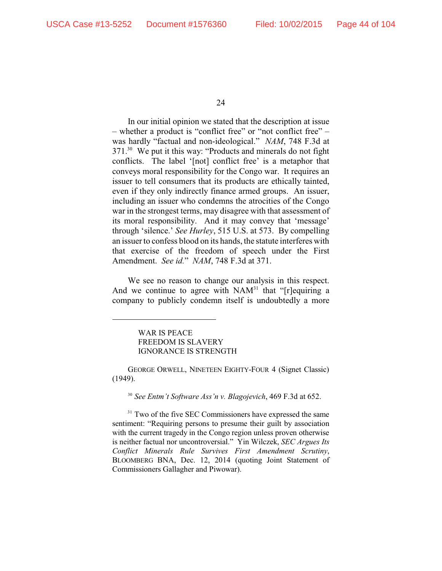In our initial opinion we stated that the description at issue – whether a product is "conflict free" or "not conflict free" – was hardly "factual and non-ideological." *NAM*, 748 F.3d at  $371<sup>30</sup>$  We put it this way: "Products and minerals do not fight conflicts. The label '[not] conflict free' is a metaphor that conveys moral responsibility for the Congo war. It requires an issuer to tell consumers that its products are ethically tainted, even if they only indirectly finance armed groups. An issuer, including an issuer who condemns the atrocities of the Congo war in the strongest terms, may disagree with that assessment of its moral responsibility. And it may convey that 'message' through 'silence.' *See Hurley*, 515 U.S. at 573. By compelling an issuer to confess blood on its hands, the statute interferes with that exercise of the freedom of speech under the First Amendment. *See id.*" *NAM*, 748 F.3d at 371.

We see no reason to change our analysis in this respect. And we continue to agree with  $NAM<sup>31</sup>$  that "[r]equiring a company to publicly condemn itself is undoubtedly a more

> WAR IS PEACE FREEDOM IS SLAVERY IGNORANCE IS STRENGTH

GEORGE ORWELL, NINETEEN EIGHTY-FOUR 4 (Signet Classic) (1949).

*See Entm't Software Ass'n v. Blagojevich*, 469 F.3d at 652. 30

<sup>31</sup> Two of the five SEC Commissioners have expressed the same sentiment: "Requiring persons to presume their guilt by association with the current tragedy in the Congo region unless proven otherwise is neither factual nor uncontroversial." Yin Wilczek, *SEC Argues Its Conflict Minerals Rule Survives First Amendment Scrutiny*, BLOOMBERG BNA, Dec. 12, 2014 (quoting Joint Statement of Commissioners Gallagher and Piwowar).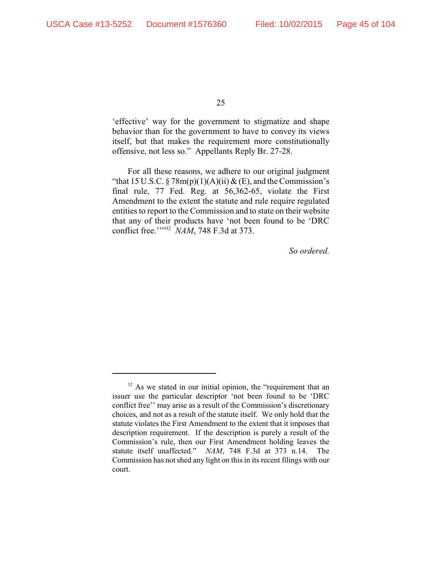'effective' way for the government to stigmatize and shape behavior than for the government to have to convey its views itself, but that makes the requirement more constitutionally offensive, not less so." Appellants Reply Br. 27-28.

For all these reasons, we adhere to our original judgment "that 15 U.S.C.  $\S 78m(p)(1)(A)(ii) \& (E)$ , and the Commission's final rule, 77 Fed. Reg. at 56,362-65, violate the First Amendment to the extent the statute and rule require regulated entities to report to the Commission and to state on their website that any of their products have 'not been found to be 'DRC conflict free.''"<sup>32</sup> NAM, 748 F.3d at 373.

*So ordered.*

 $32$  As we stated in our initial opinion, the "requirement that an issuer use the particular descriptor 'not been found to be 'DRC conflict free'' may arise as a result of the Commission's discretionary choices, and not as a result of the statute itself. We only hold that the statute violates the First Amendment to the extent that it imposes that description requirement. If the description is purely a result of the Commission's rule, then our First Amendment holding leaves the statute itself unaffected." *NAM*, 748 F.3d at 373 n.14. The Commission has not shed any light on this in its recent filings with our court.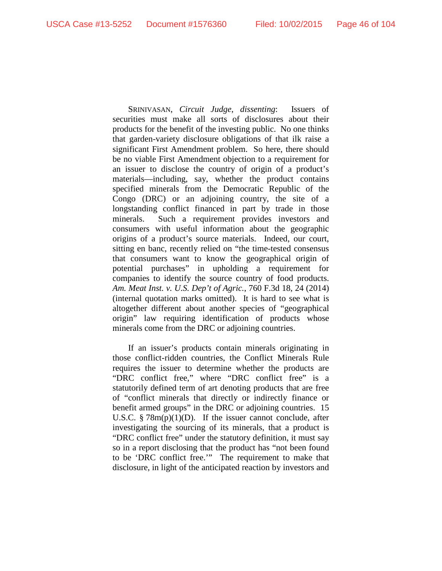SRINIVASAN, *Circuit Judge*, *dissenting*: Issuers of securities must make all sorts of disclosures about their products for the benefit of the investing public. No one thinks that garden-variety disclosure obligations of that ilk raise a significant First Amendment problem. So here, there should be no viable First Amendment objection to a requirement for an issuer to disclose the country of origin of a product's materials—including, say, whether the product contains specified minerals from the Democratic Republic of the Congo (DRC) or an adjoining country, the site of a longstanding conflict financed in part by trade in those minerals. Such a requirement provides investors and consumers with useful information about the geographic origins of a product's source materials. Indeed, our court, sitting en banc, recently relied on "the time-tested consensus that consumers want to know the geographical origin of potential purchases" in upholding a requirement for companies to identify the source country of food products. *Am. Meat Inst. v. U.S. Dep't of Agric.*, 760 F.3d 18, 24 (2014) (internal quotation marks omitted). It is hard to see what is altogether different about another species of "geographical origin" law requiring identification of products whose minerals come from the DRC or adjoining countries.

If an issuer's products contain minerals originating in those conflict-ridden countries, the Conflict Minerals Rule requires the issuer to determine whether the products are "DRC conflict free," where "DRC conflict free" is a statutorily defined term of art denoting products that are free of "conflict minerals that directly or indirectly finance or benefit armed groups" in the DRC or adjoining countries. 15 U.S.C.  $\S 78m(p)(1)(D)$ . If the issuer cannot conclude, after investigating the sourcing of its minerals, that a product is "DRC conflict free" under the statutory definition, it must say so in a report disclosing that the product has "not been found to be 'DRC conflict free.'" The requirement to make that disclosure, in light of the anticipated reaction by investors and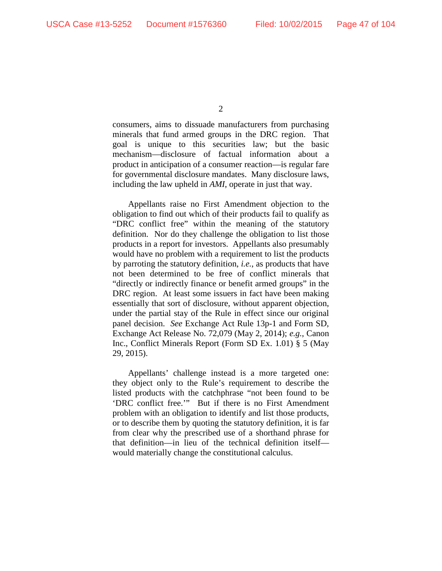$\mathcal{L}$ 

consumers, aims to dissuade manufacturers from purchasing minerals that fund armed groups in the DRC region. That goal is unique to this securities law; but the basic mechanism—disclosure of factual information about a product in anticipation of a consumer reaction—is regular fare for governmental disclosure mandates. Many disclosure laws, including the law upheld in *AMI*, operate in just that way.

Appellants raise no First Amendment objection to the obligation to find out which of their products fail to qualify as "DRC conflict free" within the meaning of the statutory definition. Nor do they challenge the obligation to list those products in a report for investors. Appellants also presumably would have no problem with a requirement to list the products by parroting the statutory definition, *i.e.*, as products that have not been determined to be free of conflict minerals that "directly or indirectly finance or benefit armed groups" in the DRC region. At least some issuers in fact have been making essentially that sort of disclosure, without apparent objection, under the partial stay of the Rule in effect since our original panel decision. *See* Exchange Act Rule 13p-1 and Form SD, Exchange Act Release No. 72,079 (May 2, 2014); *e.g.*, Canon Inc., Conflict Minerals Report (Form SD Ex. 1.01) § 5 (May 29, 2015).

Appellants' challenge instead is a more targeted one: they object only to the Rule's requirement to describe the listed products with the catchphrase "not been found to be 'DRC conflict free.'" But if there is no First Amendment problem with an obligation to identify and list those products, or to describe them by quoting the statutory definition, it is far from clear why the prescribed use of a shorthand phrase for that definition—in lieu of the technical definition itself would materially change the constitutional calculus.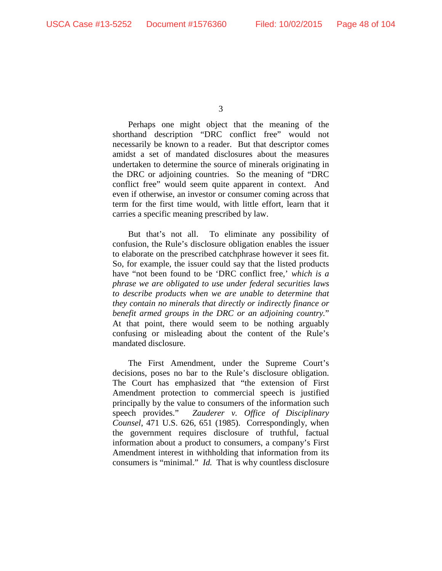Perhaps one might object that the meaning of the shorthand description "DRC conflict free" would not necessarily be known to a reader. But that descriptor comes amidst a set of mandated disclosures about the measures undertaken to determine the source of minerals originating in the DRC or adjoining countries. So the meaning of "DRC conflict free" would seem quite apparent in context. And even if otherwise, an investor or consumer coming across that term for the first time would, with little effort, learn that it carries a specific meaning prescribed by law.

But that's not all. To eliminate any possibility of confusion, the Rule's disclosure obligation enables the issuer to elaborate on the prescribed catchphrase however it sees fit. So, for example, the issuer could say that the listed products have "not been found to be 'DRC conflict free,' *which is a phrase we are obligated to use under federal securities laws to describe products when we are unable to determine that they contain no minerals that directly or indirectly finance or benefit armed groups in the DRC or an adjoining country.*" At that point, there would seem to be nothing arguably confusing or misleading about the content of the Rule's mandated disclosure.

The First Amendment, under the Supreme Court's decisions, poses no bar to the Rule's disclosure obligation. The Court has emphasized that "the extension of First Amendment protection to commercial speech is justified principally by the value to consumers of the information such speech provides." *Zauderer v. Office of Disciplinary Counsel*, 471 U.S. 626, 651 (1985). Correspondingly, when the government requires disclosure of truthful, factual information about a product to consumers, a company's First Amendment interest in withholding that information from its consumers is "minimal." *Id.* That is why countless disclosure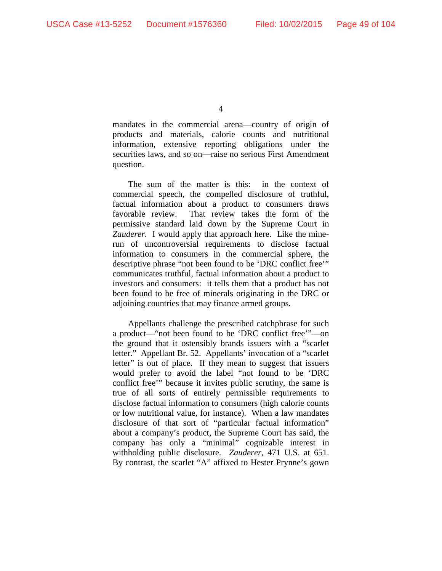mandates in the commercial arena—country of origin of products and materials, calorie counts and nutritional information, extensive reporting obligations under the securities laws, and so on—raise no serious First Amendment question.

The sum of the matter is this: in the context of commercial speech, the compelled disclosure of truthful, factual information about a product to consumers draws favorable review. That review takes the form of the permissive standard laid down by the Supreme Court in *Zauderer*. I would apply that approach here. Like the minerun of uncontroversial requirements to disclose factual information to consumers in the commercial sphere, the descriptive phrase "not been found to be 'DRC conflict free'" communicates truthful, factual information about a product to investors and consumers: it tells them that a product has not been found to be free of minerals originating in the DRC or adjoining countries that may finance armed groups.

Appellants challenge the prescribed catchphrase for such a product—"not been found to be 'DRC conflict free'"—on the ground that it ostensibly brands issuers with a "scarlet letter." Appellant Br. 52. Appellants' invocation of a "scarlet letter" is out of place. If they mean to suggest that issuers would prefer to avoid the label "not found to be 'DRC conflict free'" because it invites public scrutiny, the same is true of all sorts of entirely permissible requirements to disclose factual information to consumers (high calorie counts or low nutritional value, for instance). When a law mandates disclosure of that sort of "particular factual information" about a company's product, the Supreme Court has said, the company has only a "minimal" cognizable interest in withholding public disclosure. *Zauderer*, 471 U.S. at 651. By contrast, the scarlet "A" affixed to Hester Prynne's gown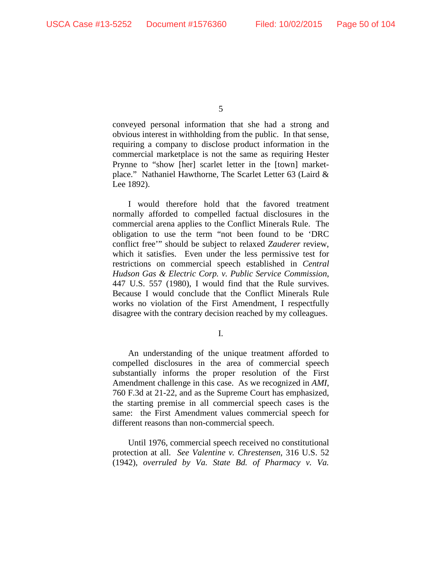conveyed personal information that she had a strong and obvious interest in withholding from the public. In that sense, requiring a company to disclose product information in the commercial marketplace is not the same as requiring Hester Prynne to "show [her] scarlet letter in the [town] marketplace." Nathaniel Hawthorne, The Scarlet Letter 63 (Laird & Lee 1892).

I would therefore hold that the favored treatment normally afforded to compelled factual disclosures in the commercial arena applies to the Conflict Minerals Rule. The obligation to use the term "not been found to be 'DRC conflict free'" should be subject to relaxed *Zauderer* review, which it satisfies. Even under the less permissive test for restrictions on commercial speech established in *Central Hudson Gas & Electric Corp. v. Public Service Commission*, 447 U.S. 557 (1980), I would find that the Rule survives. Because I would conclude that the Conflict Minerals Rule works no violation of the First Amendment, I respectfully disagree with the contrary decision reached by my colleagues.

I.

An understanding of the unique treatment afforded to compelled disclosures in the area of commercial speech substantially informs the proper resolution of the First Amendment challenge in this case. As we recognized in *AMI*, 760 F.3d at 21-22, and as the Supreme Court has emphasized, the starting premise in all commercial speech cases is the same: the First Amendment values commercial speech for different reasons than non-commercial speech.

Until 1976, commercial speech received no constitutional protection at all. *See Valentine v. Chrestensen*, 316 U.S. 52 (1942), *overruled by Va. State Bd. of Pharmacy v. Va.*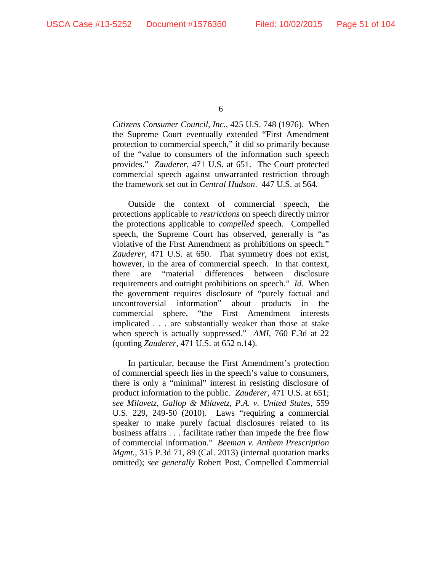*Citizens Consumer Council, Inc.*, 425 U.S. 748 (1976). When the Supreme Court eventually extended "First Amendment protection to commercial speech," it did so primarily because of the "value to consumers of the information such speech provides." *Zauderer*, 471 U.S. at 651. The Court protected commercial speech against unwarranted restriction through the framework set out in *Central Hudson*. 447 U.S. at 564.

Outside the context of commercial speech, the protections applicable to *restrictions* on speech directly mirror the protections applicable to *compelled* speech. Compelled speech, the Supreme Court has observed, generally is "as violative of the First Amendment as prohibitions on speech." *Zauderer*, 471 U.S. at 650. That symmetry does not exist, however, in the area of commercial speech. In that context, there are "material differences between disclosure requirements and outright prohibitions on speech." *Id.* When the government requires disclosure of "purely factual and uncontroversial information" about products in the commercial sphere, "the First Amendment interests implicated . . . are substantially weaker than those at stake when speech is actually suppressed." *AMI*, 760 F.3d at 22 (quoting *Zauderer*, 471 U.S. at 652 n.14).

In particular, because the First Amendment's protection of commercial speech lies in the speech's value to consumers, there is only a "minimal" interest in resisting disclosure of product information to the public. *Zauderer*, 471 U.S. at 651; *see Milavetz, Gallop & Milavetz, P.A. v. United States*, 559 U.S. 229, 249-50 (2010). Laws "requiring a commercial speaker to make purely factual disclosures related to its business affairs . . . facilitate rather than impede the free flow of commercial information." *Beeman v. Anthem Prescription Mgmt.*, 315 P.3d 71, 89 (Cal. 2013) (internal quotation marks omitted); *see generally* Robert Post, Compelled Commercial

<sup>6</sup>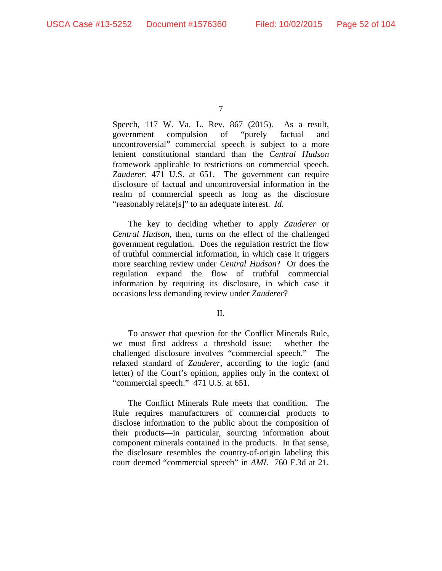Speech, 117 W. Va. L. Rev. 867 (2015). As a result, government compulsion of "purely factual and uncontroversial" commercial speech is subject to a more lenient constitutional standard than the *Central Hudson*  framework applicable to restrictions on commercial speech. *Zauderer*, 471 U.S. at 651. The government can require disclosure of factual and uncontroversial information in the realm of commercial speech as long as the disclosure "reasonably relate[s]" to an adequate interest. *Id.*

The key to deciding whether to apply *Zauderer* or *Central Hudson*, then, turns on the effect of the challenged government regulation. Does the regulation restrict the flow of truthful commercial information, in which case it triggers more searching review under *Central Hudson*? Or does the regulation expand the flow of truthful commercial information by requiring its disclosure, in which case it occasions less demanding review under *Zauderer*?

II.

To answer that question for the Conflict Minerals Rule, we must first address a threshold issue: whether the challenged disclosure involves "commercial speech." The relaxed standard of *Zauderer*, according to the logic (and letter) of the Court's opinion, applies only in the context of "commercial speech." 471 U.S. at 651.

The Conflict Minerals Rule meets that condition. The Rule requires manufacturers of commercial products to disclose information to the public about the composition of their products—in particular, sourcing information about component minerals contained in the products. In that sense, the disclosure resembles the country-of-origin labeling this court deemed "commercial speech" in *AMI*. 760 F.3d at 21.

<sup>7</sup>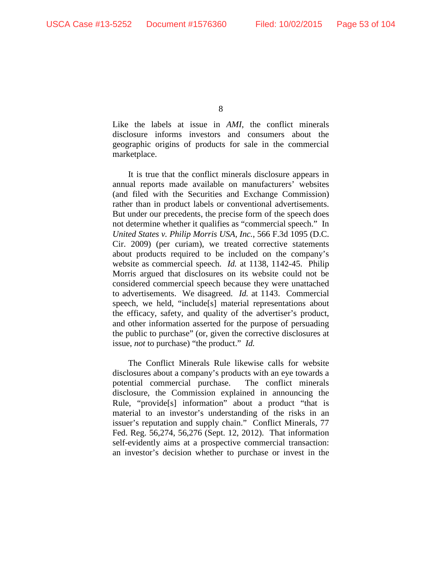Like the labels at issue in *AMI*, the conflict minerals disclosure informs investors and consumers about the geographic origins of products for sale in the commercial marketplace.

It is true that the conflict minerals disclosure appears in annual reports made available on manufacturers' websites (and filed with the Securities and Exchange Commission) rather than in product labels or conventional advertisements. But under our precedents, the precise form of the speech does not determine whether it qualifies as "commercial speech." In *United States v. Philip Morris USA, Inc.*, 566 F.3d 1095 (D.C. Cir. 2009) (per curiam), we treated corrective statements about products required to be included on the company's website as commercial speech. *Id.* at 1138, 1142-45. Philip Morris argued that disclosures on its website could not be considered commercial speech because they were unattached to advertisements. We disagreed. *Id.* at 1143. Commercial speech, we held, "include[s] material representations about the efficacy, safety, and quality of the advertiser's product, and other information asserted for the purpose of persuading the public to purchase" (or, given the corrective disclosures at issue, *not* to purchase) "the product." *Id.*

The Conflict Minerals Rule likewise calls for website disclosures about a company's products with an eye towards a potential commercial purchase. The conflict minerals disclosure, the Commission explained in announcing the Rule, "provide[s] information" about a product "that is material to an investor's understanding of the risks in an issuer's reputation and supply chain." Conflict Minerals, 77 Fed. Reg. 56,274, 56,276 (Sept. 12, 2012). That information self-evidently aims at a prospective commercial transaction: an investor's decision whether to purchase or invest in the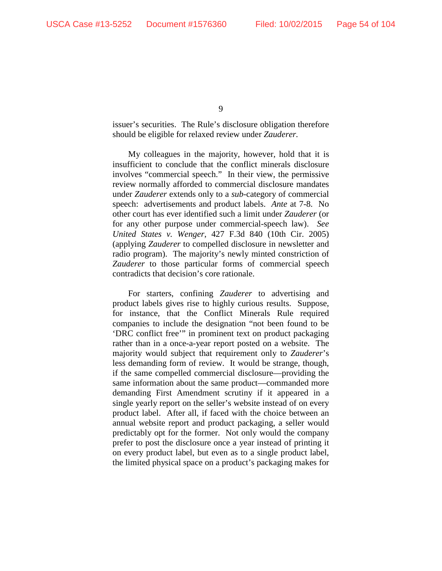issuer's securities. The Rule's disclosure obligation therefore should be eligible for relaxed review under *Zauderer.*

My colleagues in the majority, however, hold that it is insufficient to conclude that the conflict minerals disclosure involves "commercial speech." In their view, the permissive review normally afforded to commercial disclosure mandates under *Zauderer* extends only to a *sub*-category of commercial speech: advertisements and product labels. *Ante* at 7-8. No other court has ever identified such a limit under *Zauderer* (or for any other purpose under commercial-speech law). *See United States v. Wenger*, 427 F.3d 840 (10th Cir. 2005) (applying *Zauderer* to compelled disclosure in newsletter and radio program). The majority's newly minted constriction of *Zauderer* to those particular forms of commercial speech contradicts that decision's core rationale.

For starters, confining *Zauderer* to advertising and product labels gives rise to highly curious results. Suppose, for instance, that the Conflict Minerals Rule required companies to include the designation "not been found to be 'DRC conflict free'" in prominent text on product packaging rather than in a once-a-year report posted on a website. The majority would subject that requirement only to *Zauderer*'s less demanding form of review. It would be strange, though, if the same compelled commercial disclosure—providing the same information about the same product—commanded more demanding First Amendment scrutiny if it appeared in a single yearly report on the seller's website instead of on every product label. After all, if faced with the choice between an annual website report and product packaging, a seller would predictably opt for the former. Not only would the company prefer to post the disclosure once a year instead of printing it on every product label, but even as to a single product label, the limited physical space on a product's packaging makes for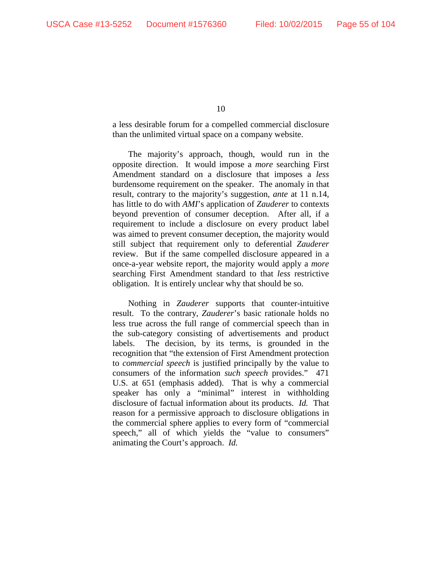a less desirable forum for a compelled commercial disclosure than the unlimited virtual space on a company website.

The majority's approach, though, would run in the opposite direction. It would impose a *more* searching First Amendment standard on a disclosure that imposes a *less*  burdensome requirement on the speaker. The anomaly in that result, contrary to the majority's suggestion, *ante* at 11 n.14, has little to do with *AMI*'s application of *Zauderer* to contexts beyond prevention of consumer deception. After all, if a requirement to include a disclosure on every product label was aimed to prevent consumer deception, the majority would still subject that requirement only to deferential *Zauderer* review. But if the same compelled disclosure appeared in a once-a-year website report, the majority would apply a *more* searching First Amendment standard to that *less* restrictive obligation. It is entirely unclear why that should be so.

Nothing in *Zauderer* supports that counter-intuitive result. To the contrary, *Zauderer*'s basic rationale holds no less true across the full range of commercial speech than in the sub-category consisting of advertisements and product labels. The decision, by its terms, is grounded in the recognition that "the extension of First Amendment protection to *commercial speech* is justified principally by the value to consumers of the information *such speech* provides." 471 U.S. at 651 (emphasis added). That is why a commercial speaker has only a "minimal" interest in withholding disclosure of factual information about its products. *Id.* That reason for a permissive approach to disclosure obligations in the commercial sphere applies to every form of "commercial speech," all of which yields the "value to consumers" animating the Court's approach. *Id.*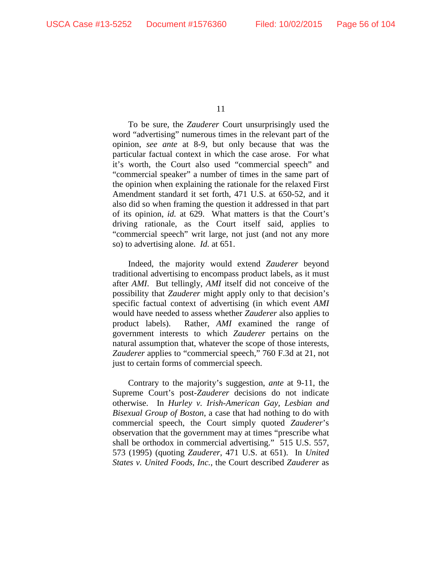To be sure, the *Zauderer* Court unsurprisingly used the word "advertising" numerous times in the relevant part of the opinion, *see ante* at 8-9, but only because that was the particular factual context in which the case arose. For what it's worth, the Court also used "commercial speech" and "commercial speaker" a number of times in the same part of the opinion when explaining the rationale for the relaxed First Amendment standard it set forth, 471 U.S. at 650-52, and it also did so when framing the question it addressed in that part of its opinion, *id.* at 629. What matters is that the Court's driving rationale, as the Court itself said, applies to "commercial speech" writ large, not just (and not any more so) to advertising alone. *Id.* at 651.

Indeed, the majority would extend *Zauderer* beyond traditional advertising to encompass product labels, as it must after *AMI*. But tellingly, *AMI* itself did not conceive of the possibility that *Zauderer* might apply only to that decision's specific factual context of advertising (in which event *AMI* would have needed to assess whether *Zauderer* also applies to product labels). Rather, *AMI* examined the range of government interests to which *Zauderer* pertains on the natural assumption that, whatever the scope of those interests, *Zauderer* applies to "commercial speech," 760 F.3d at 21, not just to certain forms of commercial speech.

Contrary to the majority's suggestion, *ante* at 9-11, the Supreme Court's post-*Zauderer* decisions do not indicate otherwise. In *Hurley v. Irish-American Gay, Lesbian and Bisexual Group of Boston*, a case that had nothing to do with commercial speech, the Court simply quoted *Zauderer*'s observation that the government may at times "prescribe what shall be orthodox in commercial advertising." 515 U.S. 557, 573 (1995) (quoting *Zauderer*, 471 U.S. at 651). In *United States v. United Foods, Inc.*, the Court described *Zauderer* as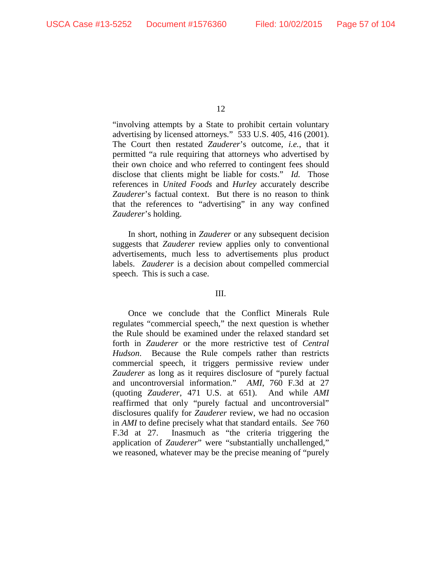"involving attempts by a State to prohibit certain voluntary advertising by licensed attorneys." 533 U.S. 405, 416 (2001). The Court then restated *Zauderer*'s outcome, *i.e.*, that it permitted "a rule requiring that attorneys who advertised by their own choice and who referred to contingent fees should disclose that clients might be liable for costs." *Id.* Those references in *United Foods* and *Hurley* accurately describe *Zauderer*'s factual context. But there is no reason to think that the references to "advertising" in any way confined *Zauderer*'s holding.

In short, nothing in *Zauderer* or any subsequent decision suggests that *Zauderer* review applies only to conventional advertisements, much less to advertisements plus product labels. *Zauderer* is a decision about compelled commercial speech. This is such a case.

## III.

Once we conclude that the Conflict Minerals Rule regulates "commercial speech," the next question is whether the Rule should be examined under the relaxed standard set forth in *Zauderer* or the more restrictive test of *Central Hudson*. Because the Rule compels rather than restricts commercial speech, it triggers permissive review under *Zauderer* as long as it requires disclosure of "purely factual and uncontroversial information." *AMI*, 760 F.3d at 27 (quoting *Zauderer*, 471 U.S. at 651). And while *AMI* reaffirmed that only "purely factual and uncontroversial" disclosures qualify for *Zauderer* review, we had no occasion in *AMI* to define precisely what that standard entails. *See* 760 F.3d at 27. Inasmuch as "the criteria triggering the application of *Zauderer*" were "substantially unchallenged," we reasoned, whatever may be the precise meaning of "purely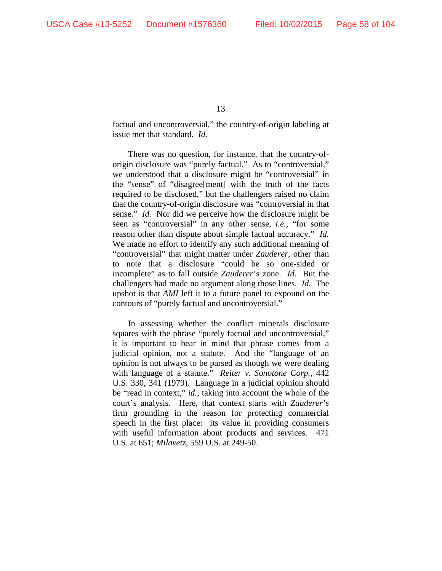factual and uncontroversial," the country-of-origin labeling at issue met that standard. *Id.*

There was no question, for instance, that the country-oforigin disclosure was "purely factual." As to "controversial," we understood that a disclosure might be "controversial" in the "sense" of "disagree[ment] with the truth of the facts required to be disclosed," but the challengers raised no claim that the country-of-origin disclosure was "controversial in that sense." *Id.* Nor did we perceive how the disclosure might be seen as "controversial" in any other sense, *i.e.*, "for some reason other than dispute about simple factual accuracy." *Id.* We made no effort to identify any such additional meaning of "controversial" that might matter under *Zauderer*, other than to note that a disclosure "could be so one-sided or incomplete" as to fall outside *Zauderer*'s zone. *Id.* But the challengers had made no argument along those lines. *Id.* The upshot is that *AMI* left it to a future panel to expound on the contours of "purely factual and uncontroversial."

In assessing whether the conflict minerals disclosure squares with the phrase "purely factual and uncontroversial," it is important to bear in mind that phrase comes from a judicial opinion, not a statute. And the "language of an opinion is not always to be parsed as though we were dealing with language of a statute." *Reiter v. Sonotone Corp.*, 442 U.S. 330, 341 (1979). Language in a judicial opinion should be "read in context," *id.*, taking into account the whole of the court's analysis. Here, that context starts with *Zauderer*'*s*  firm grounding in the reason for protecting commercial speech in the first place: its value in providing consumers with useful information about products and services. 471 U.S. at 651; *Milavetz*, 559 U.S. at 249-50.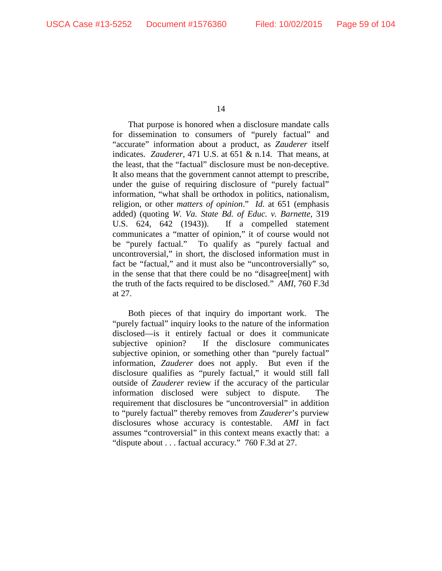That purpose is honored when a disclosure mandate calls for dissemination to consumers of "purely factual" and "accurate" information about a product, as *Zauderer* itself indicates. *Zauderer*, 471 U.S. at 651 & n.14. That means, at the least, that the "factual" disclosure must be non-deceptive. It also means that the government cannot attempt to prescribe, under the guise of requiring disclosure of "purely factual" information, "what shall be orthodox in politics, nationalism, religion, or other *matters of opinion*." *Id.* at 651 (emphasis added) (quoting *W. Va. State Bd. of Educ. v. Barnette*, 319 U.S. 624, 642 (1943)). If a compelled statement communicates a "matter of opinion," it of course would not be "purely factual." To qualify as "purely factual and uncontroversial," in short, the disclosed information must in fact be "factual," and it must also be "uncontroversially" so, in the sense that that there could be no "disagree[ment] with the truth of the facts required to be disclosed." *AMI*, 760 F.3d at 27.

Both pieces of that inquiry do important work. The "purely factual" inquiry looks to the nature of the information disclosed—is it entirely factual or does it communicate subjective opinion? If the disclosure communicates subjective opinion, or something other than "purely factual" information, *Zauderer* does not apply. But even if the disclosure qualifies as "purely factual," it would still fall outside of *Zauderer* review if the accuracy of the particular information disclosed were subject to dispute. The requirement that disclosures be "uncontroversial" in addition to "purely factual" thereby removes from *Zauderer*'s purview disclosures whose accuracy is contestable. *AMI* in fact assumes "controversial" in this context means exactly that: a "dispute about . . . factual accuracy." 760 F.3d at 27.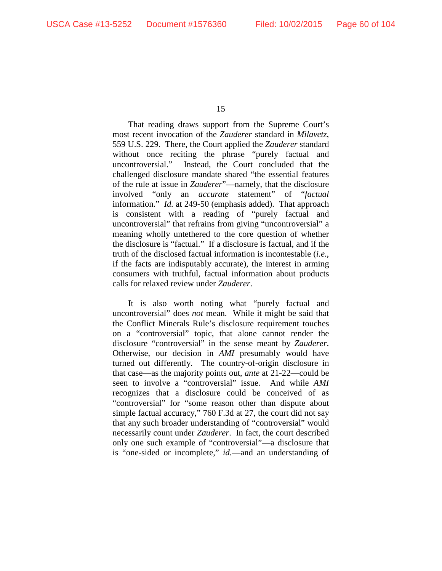That reading draws support from the Supreme Court's most recent invocation of the *Zauderer* standard in *Milavetz*, 559 U.S. 229. There, the Court applied the *Zauderer* standard without once reciting the phrase "purely factual and uncontroversial." Instead, the Court concluded that the challenged disclosure mandate shared "the essential features of the rule at issue in *Zauderer*"—namely, that the disclosure involved "only an *accurate* statement" of "*factual* information." *Id.* at 249-50 (emphasis added). That approach is consistent with a reading of "purely factual and uncontroversial" that refrains from giving "uncontroversial" a meaning wholly untethered to the core question of whether the disclosure is "factual." If a disclosure is factual, and if the truth of the disclosed factual information is incontestable (*i.e.*, if the facts are indisputably accurate), the interest in arming consumers with truthful, factual information about products calls for relaxed review under *Zauderer*.

It is also worth noting what "purely factual and uncontroversial" does *not* mean. While it might be said that the Conflict Minerals Rule's disclosure requirement touches on a "controversial" topic, that alone cannot render the disclosure "controversial" in the sense meant by *Zauderer*. Otherwise, our decision in *AMI* presumably would have turned out differently. The country-of-origin disclosure in that case—as the majority points out, *ante* at 21-22—could be seen to involve a "controversial" issue. And while *AMI*  recognizes that a disclosure could be conceived of as "controversial" for "some reason other than dispute about simple factual accuracy," 760 F.3d at 27, the court did not say that any such broader understanding of "controversial" would necessarily count under *Zauderer*. In fact, the court described only one such example of "controversial"—a disclosure that is "one-sided or incomplete," *id.*—and an understanding of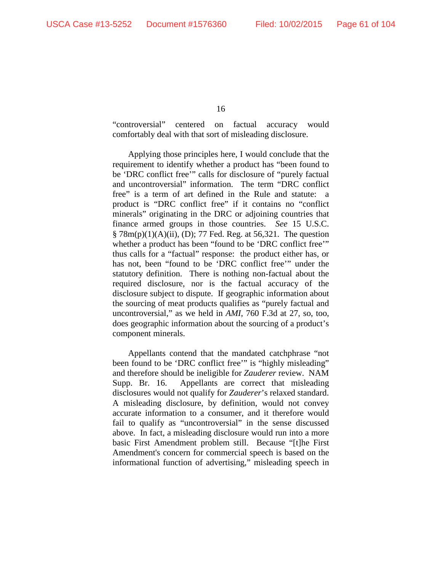"controversial" centered on factual accuracy would comfortably deal with that sort of misleading disclosure.

Applying those principles here, I would conclude that the requirement to identify whether a product has "been found to be 'DRC conflict free'" calls for disclosure of "purely factual and uncontroversial" information. The term "DRC conflict free" is a term of art defined in the Rule and statute: a product is "DRC conflict free" if it contains no "conflict minerals" originating in the DRC or adjoining countries that finance armed groups in those countries. *See* 15 U.S.C.  $§ 78m(p)(1)(A)(ii)$ , (D); 77 Fed. Reg. at 56,321. The question whether a product has been "found to be 'DRC conflict free'" thus calls for a "factual" response: the product either has, or has not, been "found to be 'DRC conflict free'" under the statutory definition. There is nothing non-factual about the required disclosure, nor is the factual accuracy of the disclosure subject to dispute. If geographic information about the sourcing of meat products qualifies as "purely factual and uncontroversial," as we held in *AMI*, 760 F.3d at 27, so, too, does geographic information about the sourcing of a product's component minerals.

Appellants contend that the mandated catchphrase "not been found to be 'DRC conflict free'" is "highly misleading" and therefore should be ineligible for *Zauderer* review. NAM Supp. Br. 16. Appellants are correct that misleading disclosures would not qualify for *Zauderer*'s relaxed standard. A misleading disclosure, by definition, would not convey accurate information to a consumer, and it therefore would fail to qualify as "uncontroversial" in the sense discussed above. In fact, a misleading disclosure would run into a more basic First Amendment problem still. Because "[t]he First Amendment's concern for commercial speech is based on the informational function of advertising," misleading speech in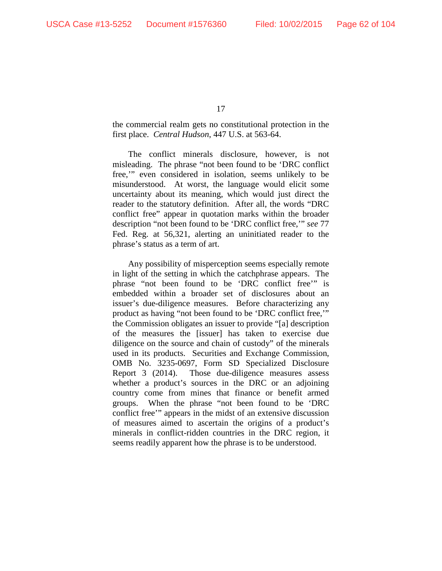the commercial realm gets no constitutional protection in the first place. *Central Hudson*, 447 U.S. at 563-64.

The conflict minerals disclosure, however, is not misleading. The phrase "not been found to be 'DRC conflict free,'" even considered in isolation, seems unlikely to be misunderstood. At worst, the language would elicit some uncertainty about its meaning, which would just direct the reader to the statutory definition. After all, the words "DRC conflict free" appear in quotation marks within the broader description "not been found to be 'DRC conflict free,'" *see* 77 Fed. Reg. at 56,321, alerting an uninitiated reader to the phrase's status as a term of art.

Any possibility of misperception seems especially remote in light of the setting in which the catchphrase appears. The phrase "not been found to be 'DRC conflict free'" is embedded within a broader set of disclosures about an issuer's due-diligence measures. Before characterizing any product as having "not been found to be 'DRC conflict free,'" the Commission obligates an issuer to provide "[a] description of the measures the [issuer] has taken to exercise due diligence on the source and chain of custody" of the minerals used in its products. Securities and Exchange Commission, OMB No. 3235-0697, Form SD Specialized Disclosure Report 3 (2014). Those due-diligence measures assess whether a product's sources in the DRC or an adjoining country come from mines that finance or benefit armed groups. When the phrase "not been found to be 'DRC conflict free'" appears in the midst of an extensive discussion of measures aimed to ascertain the origins of a product's minerals in conflict-ridden countries in the DRC region, it seems readily apparent how the phrase is to be understood.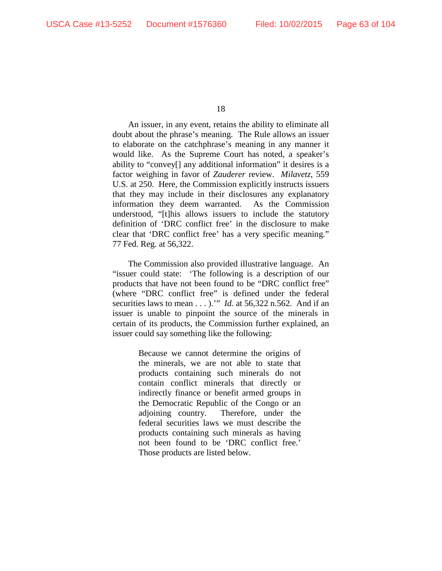An issuer, in any event, retains the ability to eliminate all doubt about the phrase's meaning. The Rule allows an issuer to elaborate on the catchphrase's meaning in any manner it would like. As the Supreme Court has noted, a speaker's ability to "convey[] any additional information" it desires is a factor weighing in favor of *Zauderer* review. *Milavetz*, 559 U.S. at 250. Here, the Commission explicitly instructs issuers that they may include in their disclosures any explanatory information they deem warranted. As the Commission understood, "[t]his allows issuers to include the statutory definition of 'DRC conflict free' in the disclosure to make clear that 'DRC conflict free' has a very specific meaning." 77 Fed. Reg. at 56,322.

The Commission also provided illustrative language. An "issuer could state: 'The following is a description of our products that have not been found to be "DRC conflict free" (where "DRC conflict free" is defined under the federal securities laws to mean . . . )." *Id.* at 56,322 n.562. And if an issuer is unable to pinpoint the source of the minerals in certain of its products, the Commission further explained, an issuer could say something like the following:

> Because we cannot determine the origins of the minerals, we are not able to state that products containing such minerals do not contain conflict minerals that directly or indirectly finance or benefit armed groups in the Democratic Republic of the Congo or an adjoining country. Therefore, under the federal securities laws we must describe the products containing such minerals as having not been found to be 'DRC conflict free.' Those products are listed below.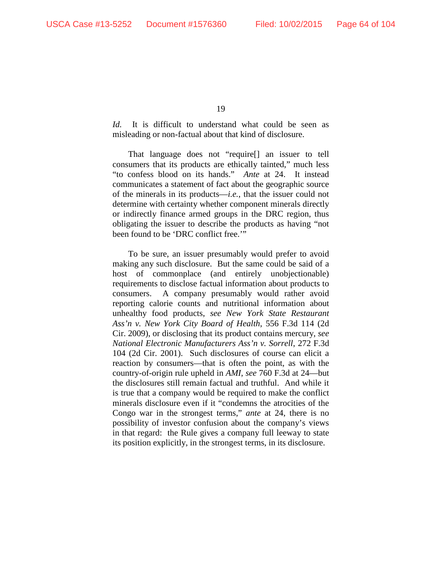*Id.* It is difficult to understand what could be seen as misleading or non-factual about that kind of disclosure.

That language does not "require[] an issuer to tell consumers that its products are ethically tainted," much less "to confess blood on its hands." *Ante* at 24. It instead communicates a statement of fact about the geographic source of the minerals in its products—*i.e.*, that the issuer could not determine with certainty whether component minerals directly or indirectly finance armed groups in the DRC region, thus obligating the issuer to describe the products as having "not been found to be 'DRC conflict free.'"

To be sure, an issuer presumably would prefer to avoid making any such disclosure. But the same could be said of a host of commonplace (and entirely unobjectionable) requirements to disclose factual information about products to consumers. A company presumably would rather avoid reporting calorie counts and nutritional information about unhealthy food products, *see New York State Restaurant Ass'n v. New York City Board of Health*, 556 F.3d 114 (2d Cir. 2009), or disclosing that its product contains mercury, *see National Electronic Manufacturers Ass'n v. Sorrell*, 272 F.3d 104 (2d Cir. 2001). Such disclosures of course can elicit a reaction by consumers—that is often the point, as with the country-of-origin rule upheld in *AMI*, *see* 760 F.3d at 24—but the disclosures still remain factual and truthful. And while it is true that a company would be required to make the conflict minerals disclosure even if it "condemns the atrocities of the Congo war in the strongest terms," *ante* at 24, there is no possibility of investor confusion about the company's views in that regard: the Rule gives a company full leeway to state its position explicitly, in the strongest terms, in its disclosure.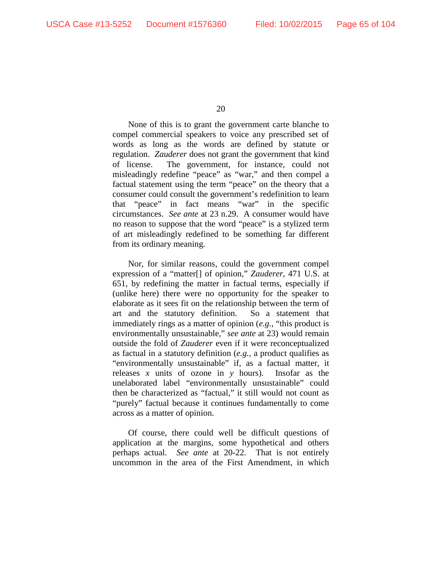None of this is to grant the government carte blanche to compel commercial speakers to voice any prescribed set of words as long as the words are defined by statute or regulation. *Zauderer* does not grant the government that kind of license. The government, for instance, could not misleadingly redefine "peace" as "war," and then compel a factual statement using the term "peace" on the theory that a consumer could consult the government's redefinition to learn that "peace" in fact means "war" in the specific circumstances. *See ante* at 23 n.29. A consumer would have no reason to suppose that the word "peace" is a stylized term of art misleadingly redefined to be something far different from its ordinary meaning.

Nor, for similar reasons, could the government compel expression of a "matter[] of opinion," *Zauderer*, 471 U.S. at 651, by redefining the matter in factual terms, especially if (unlike here) there were no opportunity for the speaker to elaborate as it sees fit on the relationship between the term of art and the statutory definition. So a statement that immediately rings as a matter of opinion (*e.g.*, "this product is environmentally unsustainable," *see ante* at 23) would remain outside the fold of *Zauderer* even if it were reconceptualized as factual in a statutory definition (*e.g.*, a product qualifies as "environmentally unsustainable" if, as a factual matter, it releases *x* units of ozone in *y* hours). Insofar as the unelaborated label "environmentally unsustainable" could then be characterized as "factual," it still would not count as "purely" factual because it continues fundamentally to come across as a matter of opinion.

Of course, there could well be difficult questions of application at the margins, some hypothetical and others perhaps actual. *See ante* at 20-22. That is not entirely uncommon in the area of the First Amendment, in which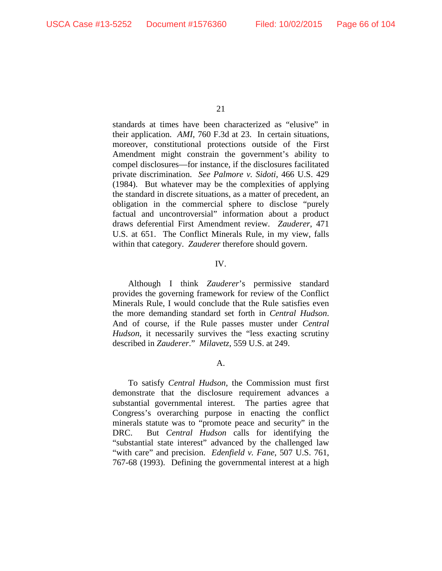standards at times have been characterized as "elusive" in their application. *AMI*, 760 F.3d at 23. In certain situations, moreover, constitutional protections outside of the First Amendment might constrain the government's ability to compel disclosures—for instance, if the disclosures facilitated private discrimination. *See Palmore v. Sidoti*, 466 U.S. 429 (1984). But whatever may be the complexities of applying the standard in discrete situations, as a matter of precedent, an obligation in the commercial sphere to disclose "purely factual and uncontroversial" information about a product draws deferential First Amendment review. *Zauderer*, 471 U.S. at 651. The Conflict Minerals Rule, in my view, falls within that category. *Zauderer* therefore should govern.

## IV.

Although I think *Zauderer*'s permissive standard provides the governing framework for review of the Conflict Minerals Rule, I would conclude that the Rule satisfies even the more demanding standard set forth in *Central Hudson*. And of course, if the Rule passes muster under *Central Hudson*, it necessarily survives the "less exacting scrutiny described in *Zauderer*." *Milavetz*, 559 U.S. at 249.

## A.

To satisfy *Central Hudson*, the Commission must first demonstrate that the disclosure requirement advances a substantial governmental interest. The parties agree that Congress's overarching purpose in enacting the conflict minerals statute was to "promote peace and security" in the DRC. But *Central Hudson* calls for identifying the "substantial state interest" advanced by the challenged law "with care" and precision. *Edenfield v. Fane*, 507 U.S. 761, 767-68 (1993). Defining the governmental interest at a high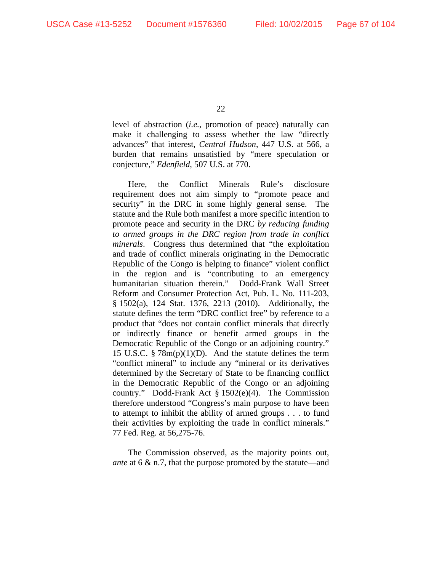level of abstraction (*i.e.*, promotion of peace) naturally can make it challenging to assess whether the law "directly advances" that interest, *Central Hudson*, 447 U.S. at 566, a burden that remains unsatisfied by "mere speculation or conjecture," *Edenfield*, 507 U.S. at 770.

Here, the Conflict Minerals Rule's disclosure requirement does not aim simply to "promote peace and security" in the DRC in some highly general sense. The statute and the Rule both manifest a more specific intention to promote peace and security in the DRC *by reducing funding to armed groups in the DRC region from trade in conflict minerals*. Congress thus determined that "the exploitation and trade of conflict minerals originating in the Democratic Republic of the Congo is helping to finance" violent conflict in the region and is "contributing to an emergency humanitarian situation therein." Dodd-Frank Wall Street Reform and Consumer Protection Act, Pub. L. No. 111-203, § 1502(a), 124 Stat. 1376, 2213 (2010). Additionally, the statute defines the term "DRC conflict free" by reference to a product that "does not contain conflict minerals that directly or indirectly finance or benefit armed groups in the Democratic Republic of the Congo or an adjoining country." 15 U.S.C. § 78m(p)(1)(D). And the statute defines the term "conflict mineral" to include any "mineral or its derivatives determined by the Secretary of State to be financing conflict in the Democratic Republic of the Congo or an adjoining country." Dodd-Frank Act § 1502(e)(4). The Commission therefore understood "Congress's main purpose to have been to attempt to inhibit the ability of armed groups . . . to fund their activities by exploiting the trade in conflict minerals." 77 Fed. Reg. at 56,275-76.

The Commission observed, as the majority points out, *ante* at 6 & n.7, that the purpose promoted by the statute—and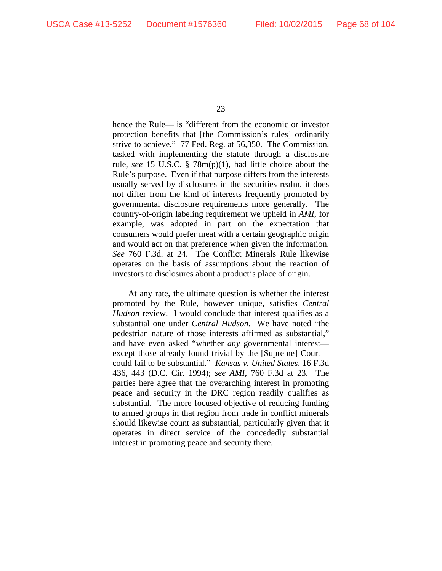hence the Rule— is "different from the economic or investor protection benefits that [the Commission's rules] ordinarily strive to achieve." 77 Fed. Reg. at 56,350. The Commission, tasked with implementing the statute through a disclosure rule, *see* 15 U.S.C. § 78m(p)(1), had little choice about the Rule's purpose. Even if that purpose differs from the interests usually served by disclosures in the securities realm, it does not differ from the kind of interests frequently promoted by governmental disclosure requirements more generally. The country-of-origin labeling requirement we upheld in *AMI*, for example, was adopted in part on the expectation that consumers would prefer meat with a certain geographic origin and would act on that preference when given the information. *See* 760 F.3d. at 24. The Conflict Minerals Rule likewise operates on the basis of assumptions about the reaction of investors to disclosures about a product's place of origin.

At any rate, the ultimate question is whether the interest promoted by the Rule, however unique, satisfies *Central Hudson* review. I would conclude that interest qualifies as a substantial one under *Central Hudson*. We have noted "the pedestrian nature of those interests affirmed as substantial," and have even asked "whether *any* governmental interest except those already found trivial by the [Supreme] Court could fail to be substantial." *Kansas v. United States*, 16 F.3d 436, 443 (D.C. Cir. 1994); *see AMI*, 760 F.3d at 23. The parties here agree that the overarching interest in promoting peace and security in the DRC region readily qualifies as substantial. The more focused objective of reducing funding to armed groups in that region from trade in conflict minerals should likewise count as substantial, particularly given that it operates in direct service of the concededly substantial interest in promoting peace and security there.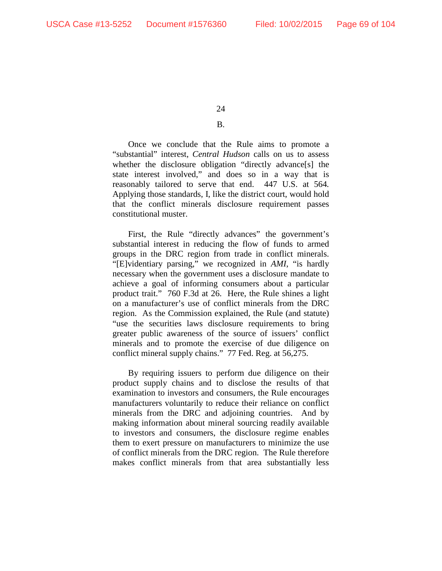## B.

Once we conclude that the Rule aims to promote a "substantial" interest, *Central Hudson* calls on us to assess whether the disclosure obligation "directly advance[s] the state interest involved," and does so in a way that is reasonably tailored to serve that end. 447 U.S. at 564*.* Applying those standards, I, like the district court, would hold that the conflict minerals disclosure requirement passes constitutional muster.

First, the Rule "directly advances" the government's substantial interest in reducing the flow of funds to armed groups in the DRC region from trade in conflict minerals. "[E]videntiary parsing," we recognized in *AMI*, "is hardly necessary when the government uses a disclosure mandate to achieve a goal of informing consumers about a particular product trait." 760 F.3d at 26. Here, the Rule shines a light on a manufacturer's use of conflict minerals from the DRC region. As the Commission explained, the Rule (and statute) "use the securities laws disclosure requirements to bring greater public awareness of the source of issuers' conflict minerals and to promote the exercise of due diligence on conflict mineral supply chains." 77 Fed. Reg. at 56,275.

By requiring issuers to perform due diligence on their product supply chains and to disclose the results of that examination to investors and consumers, the Rule encourages manufacturers voluntarily to reduce their reliance on conflict minerals from the DRC and adjoining countries. And by making information about mineral sourcing readily available to investors and consumers, the disclosure regime enables them to exert pressure on manufacturers to minimize the use of conflict minerals from the DRC region. The Rule therefore makes conflict minerals from that area substantially less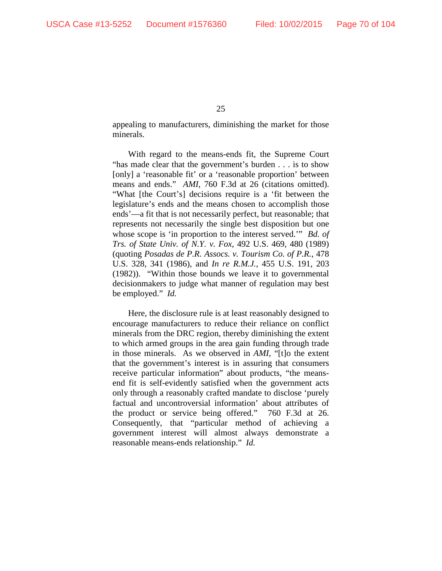appealing to manufacturers, diminishing the market for those minerals.

With regard to the means-ends fit, the Supreme Court "has made clear that the government's burden . . . is to show [only] a 'reasonable fit' or a 'reasonable proportion' between means and ends." *AMI*, 760 F.3d at 26 (citations omitted). "What [the Court's] decisions require is a 'fit between the legislature's ends and the means chosen to accomplish those ends'—a fit that is not necessarily perfect, but reasonable; that represents not necessarily the single best disposition but one whose scope is 'in proportion to the interest served.'" *Bd. of Trs. of State Univ. of N.Y. v. Fox*, 492 U.S. 469, 480 (1989) (quoting *Posadas de P.R. Assocs. v. Tourism Co. of P.R.*, 478 U.S. 328, 341 (1986), and *In re R.M.J.*, 455 U.S. 191, 203 (1982)). "Within those bounds we leave it to governmental decisionmakers to judge what manner of regulation may best be employed." *Id.*

Here, the disclosure rule is at least reasonably designed to encourage manufacturers to reduce their reliance on conflict minerals from the DRC region, thereby diminishing the extent to which armed groups in the area gain funding through trade in those minerals. As we observed in *AMI*, "[t]o the extent that the government's interest is in assuring that consumers receive particular information" about products, "the meansend fit is self-evidently satisfied when the government acts only through a reasonably crafted mandate to disclose 'purely factual and uncontroversial information' about attributes of the product or service being offered." 760 F.3d at 26. Consequently, that "particular method of achieving a government interest will almost always demonstrate a reasonable means-ends relationship." *Id.*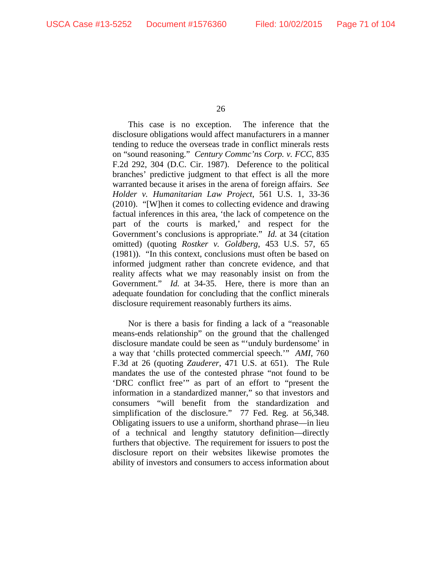This case is no exception. The inference that the disclosure obligations would affect manufacturers in a manner tending to reduce the overseas trade in conflict minerals rests on "sound reasoning." *Century Commc'ns Corp. v. FCC*, 835 F.2d 292, 304 (D.C. Cir. 1987). Deference to the political branches' predictive judgment to that effect is all the more warranted because it arises in the arena of foreign affairs. *See Holder v. Humanitarian Law Project*, 561 U.S. 1, 33-36 (2010). "[W]hen it comes to collecting evidence and drawing factual inferences in this area, 'the lack of competence on the part of the courts is marked,' and respect for the Government's conclusions is appropriate." *Id.* at 34 (citation omitted) (quoting *Rostker v. Goldberg*, 453 U.S. 57, 65 (1981)). "In this context, conclusions must often be based on informed judgment rather than concrete evidence, and that reality affects what we may reasonably insist on from the Government." *Id.* at 34-35. Here, there is more than an adequate foundation for concluding that the conflict minerals disclosure requirement reasonably furthers its aims.

Nor is there a basis for finding a lack of a "reasonable means-ends relationship" on the ground that the challenged disclosure mandate could be seen as "'unduly burdensome' in a way that 'chills protected commercial speech.'" *AMI*, 760 F.3d at 26 (quoting *Zauderer*, 471 U.S. at 651). The Rule mandates the use of the contested phrase "not found to be 'DRC conflict free'" as part of an effort to "present the information in a standardized manner," so that investors and consumers "will benefit from the standardization and simplification of the disclosure." 77 Fed. Reg. at 56,348. Obligating issuers to use a uniform, shorthand phrase—in lieu of a technical and lengthy statutory definition—directly furthers that objective. The requirement for issuers to post the disclosure report on their websites likewise promotes the ability of investors and consumers to access information about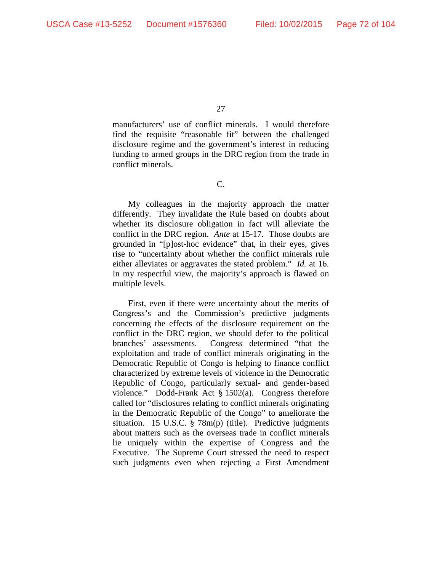manufacturers' use of conflict minerals. I would therefore find the requisite "reasonable fit" between the challenged disclosure regime and the government's interest in reducing funding to armed groups in the DRC region from the trade in conflict minerals.

C.

My colleagues in the majority approach the matter differently. They invalidate the Rule based on doubts about whether its disclosure obligation in fact will alleviate the conflict in the DRC region. *Ante* at 15-17. Those doubts are grounded in "[p]ost-hoc evidence" that, in their eyes, gives rise to "uncertainty about whether the conflict minerals rule either alleviates or aggravates the stated problem." *Id.* at 16. In my respectful view, the majority's approach is flawed on multiple levels.

First, even if there were uncertainty about the merits of Congress's and the Commission's predictive judgments concerning the effects of the disclosure requirement on the conflict in the DRC region, we should defer to the political branches' assessments. Congress determined "that the exploitation and trade of conflict minerals originating in the Democratic Republic of Congo is helping to finance conflict characterized by extreme levels of violence in the Democratic Republic of Congo, particularly sexual- and gender-based violence." Dodd-Frank Act § 1502(a). Congress therefore called for "disclosures relating to conflict minerals originating in the Democratic Republic of the Congo" to ameliorate the situation. 15 U.S.C. § 78m(p) (title). Predictive judgments about matters such as the overseas trade in conflict minerals lie uniquely within the expertise of Congress and the Executive. The Supreme Court stressed the need to respect such judgments even when rejecting a First Amendment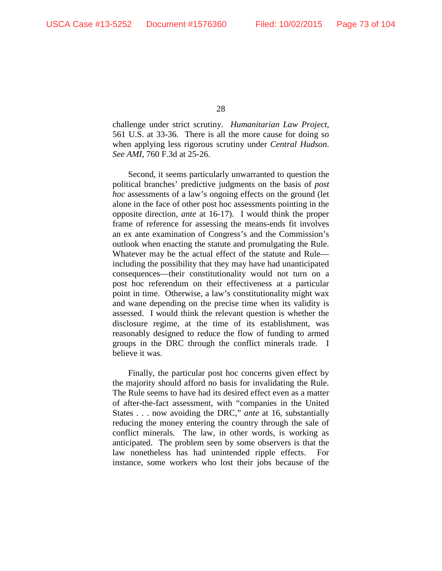28

challenge under strict scrutiny. *Humanitarian Law Project*, 561 U.S. at 33-36. There is all the more cause for doing so when applying less rigorous scrutiny under *Central Hudson*. *See AMI*, 760 F.3d at 25-26.

Second, it seems particularly unwarranted to question the political branches' predictive judgments on the basis of *post hoc* assessments of a law's ongoing effects on the ground (let alone in the face of other post hoc assessments pointing in the opposite direction, *ante* at 16-17). I would think the proper frame of reference for assessing the means-ends fit involves an ex ante examination of Congress's and the Commission's outlook when enacting the statute and promulgating the Rule. Whatever may be the actual effect of the statute and Rule including the possibility that they may have had unanticipated consequences—their constitutionality would not turn on a post hoc referendum on their effectiveness at a particular point in time. Otherwise, a law's constitutionality might wax and wane depending on the precise time when its validity is assessed. I would think the relevant question is whether the disclosure regime, at the time of its establishment, was reasonably designed to reduce the flow of funding to armed groups in the DRC through the conflict minerals trade. I believe it was.

Finally, the particular post hoc concerns given effect by the majority should afford no basis for invalidating the Rule. The Rule seems to have had its desired effect even as a matter of after-the-fact assessment, with "companies in the United States . . . now avoiding the DRC," *ante* at 16, substantially reducing the money entering the country through the sale of conflict minerals. The law, in other words, is working as anticipated. The problem seen by some observers is that the law nonetheless has had unintended ripple effects. For instance, some workers who lost their jobs because of the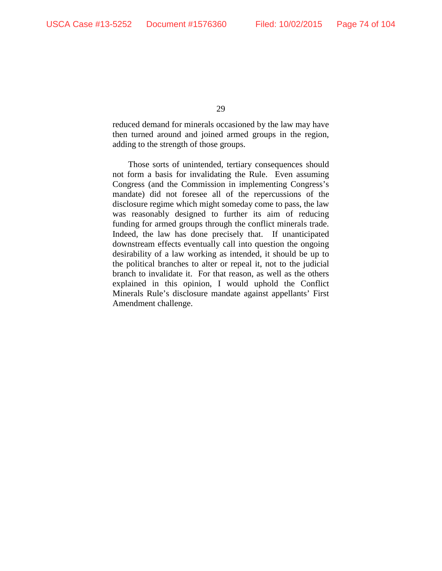29

reduced demand for minerals occasioned by the law may have then turned around and joined armed groups in the region, adding to the strength of those groups.

Those sorts of unintended, tertiary consequences should not form a basis for invalidating the Rule. Even assuming Congress (and the Commission in implementing Congress's mandate) did not foresee all of the repercussions of the disclosure regime which might someday come to pass, the law was reasonably designed to further its aim of reducing funding for armed groups through the conflict minerals trade. Indeed, the law has done precisely that. If unanticipated downstream effects eventually call into question the ongoing desirability of a law working as intended, it should be up to the political branches to alter or repeal it, not to the judicial branch to invalidate it. For that reason, as well as the others explained in this opinion, I would uphold the Conflict Minerals Rule's disclosure mandate against appellants' First Amendment challenge.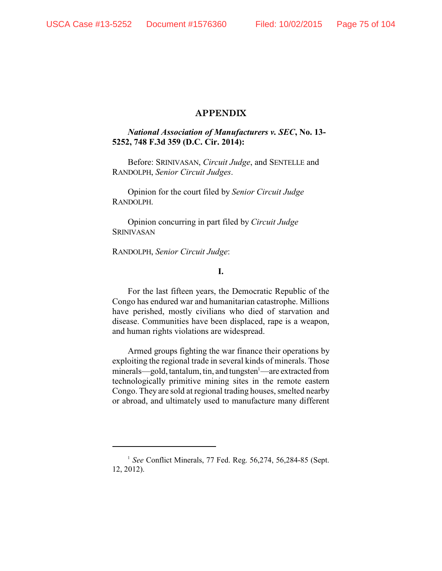#### *National Association of Manufacturers v. SEC***, No. 13- 5252, 748 F.3d 359 (D.C. Cir. 2014):**

Before: SRINIVASAN, *Circuit Judge*, and SENTELLE and RANDOLPH, *Senior Circuit Judges*.

Opinion for the court filed by *Senior Circuit Judge* RANDOLPH.

Opinion concurring in part filed by *Circuit Judge* SRINIVASAN

RANDOLPH, *Senior Circuit Judge*:

### **I.**

For the last fifteen years, the Democratic Republic of the Congo has endured war and humanitarian catastrophe. Millions have perished, mostly civilians who died of starvation and disease. Communities have been displaced, rape is a weapon, and human rights violations are widespread.

Armed groups fighting the war finance their operations by exploiting the regional trade in several kinds of minerals. Those minerals—gold, tantalum, tin, and tungsten<sup>1</sup>—are extracted from technologically primitive mining sites in the remote eastern Congo. They are sold at regional trading houses, smelted nearby or abroad, and ultimately used to manufacture many different

<sup>&</sup>lt;sup>1</sup> See Conflict Minerals, 77 Fed. Reg. 56,274, 56,284-85 (Sept. 12, 2012).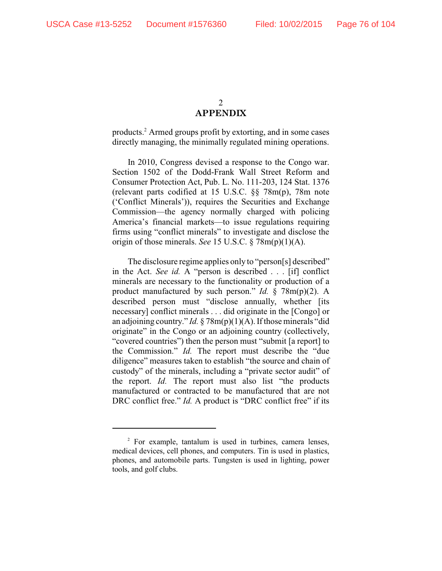products.<sup>2</sup> Armed groups profit by extorting, and in some cases directly managing, the minimally regulated mining operations.

In 2010, Congress devised a response to the Congo war. Section 1502 of the Dodd-Frank Wall Street Reform and Consumer Protection Act, Pub. L. No. 111-203, 124 Stat. 1376 (relevant parts codified at 15 U.S.C. §§ 78m(p), 78m note ('Conflict Minerals')), requires the Securities and Exchange Commission—the agency normally charged with policing America's financial markets—to issue regulations requiring firms using "conflict minerals" to investigate and disclose the origin of those minerals. *See* 15 U.S.C. § 78m(p)(1)(A).

The disclosure regime applies only to "person[s] described" in the Act. *See id.* A "person is described . . . [if] conflict minerals are necessary to the functionality or production of a product manufactured by such person." *Id.* § 78m(p)(2). A described person must "disclose annually, whether [its necessary] conflict minerals . . . did originate in the [Congo] or an adjoining country." *Id.* § 78m(p)(1)(A). If those minerals "did originate" in the Congo or an adjoining country (collectively, "covered countries") then the person must "submit [a report] to the Commission." *Id.* The report must describe the "due diligence" measures taken to establish "the source and chain of custody" of the minerals, including a "private sector audit" of the report. *Id.* The report must also list "the products manufactured or contracted to be manufactured that are not DRC conflict free." *Id.* A product is "DRC conflict free" if its

<sup>&</sup>lt;sup>2</sup> For example, tantalum is used in turbines, camera lenses, medical devices, cell phones, and computers. Tin is used in plastics, phones, and automobile parts. Tungsten is used in lighting, power tools, and golf clubs.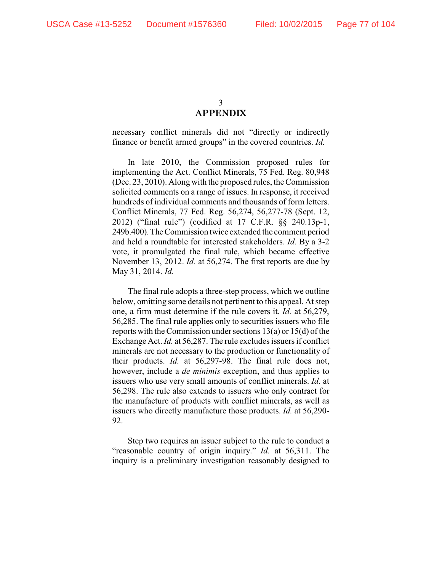necessary conflict minerals did not "directly or indirectly finance or benefit armed groups" in the covered countries. *Id.* 

In late 2010, the Commission proposed rules for implementing the Act. Conflict Minerals, 75 Fed. Reg. 80,948 (Dec. 23, 2010). Along with the proposed rules, the Commission solicited comments on a range of issues. In response, it received hundreds of individual comments and thousands of form letters. Conflict Minerals, 77 Fed. Reg. 56,274, 56,277-78 (Sept. 12, 2012) ("final rule") (codified at 17 C.F.R. §§ 240.13p-1, 249b.400).TheCommission twice extended the comment period and held a roundtable for interested stakeholders. *Id.* By a 3-2 vote, it promulgated the final rule, which became effective November 13, 2012. *Id.* at 56,274. The first reports are due by May 31, 2014. *Id.*

The final rule adopts a three-step process, which we outline below, omitting some details not pertinent to this appeal. At step one, a firm must determine if the rule covers it. *Id.* at 56,279, 56,285. The final rule applies only to securities issuers who file reports with the Commission under sections 13(a) or 15(d) of the Exchange Act. *Id.* at 56,287. The rule excludes issuers if conflict minerals are not necessary to the production or functionality of their products. *Id.* at 56,297-98. The final rule does not, however, include a *de minimis* exception, and thus applies to issuers who use very small amounts of conflict minerals. *Id.* at 56,298. The rule also extends to issuers who only contract for the manufacture of products with conflict minerals, as well as issuers who directly manufacture those products. *Id.* at 56,290- 92.

Step two requires an issuer subject to the rule to conduct a "reasonable country of origin inquiry." *Id.* at 56,311. The inquiry is a preliminary investigation reasonably designed to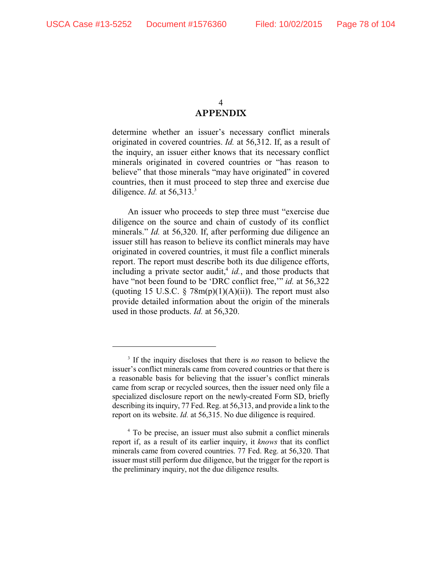determine whether an issuer's necessary conflict minerals originated in covered countries. *Id.* at 56,312. If, as a result of the inquiry, an issuer either knows that its necessary conflict minerals originated in covered countries or "has reason to believe" that those minerals "may have originated" in covered countries, then it must proceed to step three and exercise due diligence. *Id.* at 56,313.<sup>3</sup>

An issuer who proceeds to step three must "exercise due diligence on the source and chain of custody of its conflict minerals." *Id.* at 56,320. If, after performing due diligence an issuer still has reason to believe its conflict minerals may have originated in covered countries, it must file a conflict minerals report. The report must describe both its due diligence efforts, including a private sector audit,  $id$ , and those products that have "not been found to be 'DRC conflict free," *id.* at 56,322 (quoting 15 U.S.C.  $\S$  78m(p)(1)(A)(ii)). The report must also provide detailed information about the origin of the minerals used in those products. *Id.* at 56,320.

 $\frac{3}{3}$  If the inquiry discloses that there is *no* reason to believe the issuer's conflict minerals came from covered countries or that there is a reasonable basis for believing that the issuer's conflict minerals came from scrap or recycled sources, then the issuer need only file a specialized disclosure report on the newly-created Form SD, briefly describing its inquiry, 77 Fed. Reg. at 56,313, and provide a link to the report on its website. *Id.* at 56,315. No due diligence is required.

<sup>&</sup>lt;sup>4</sup> To be precise, an issuer must also submit a conflict minerals report if, as a result of its earlier inquiry, it *knows* that its conflict minerals came from covered countries. 77 Fed. Reg. at 56,320. That issuer must still perform due diligence, but the trigger for the report is the preliminary inquiry, not the due diligence results.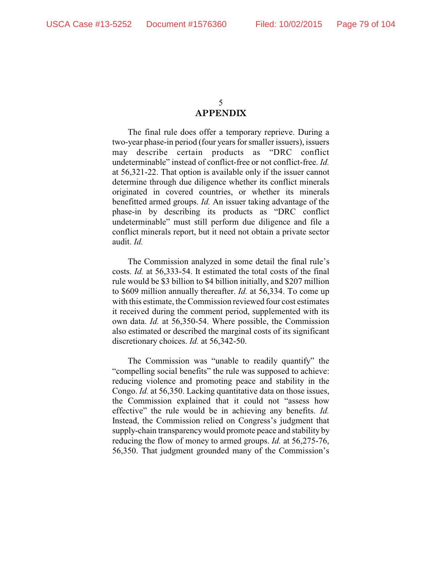The final rule does offer a temporary reprieve. During a two-year phase-in period (four years for smaller issuers), issuers may describe certain products as "DRC conflict undeterminable" instead of conflict-free or not conflict-free. *Id.* at 56,321-22. That option is available only if the issuer cannot determine through due diligence whether its conflict minerals originated in covered countries, or whether its minerals benefitted armed groups. *Id.* An issuer taking advantage of the phase-in by describing its products as "DRC conflict undeterminable" must still perform due diligence and file a conflict minerals report, but it need not obtain a private sector audit. *Id.*

The Commission analyzed in some detail the final rule's costs. *Id.* at 56,333-54. It estimated the total costs of the final rule would be \$3 billion to \$4 billion initially, and \$207 million to \$609 million annually thereafter. *Id.* at 56,334. To come up with this estimate, the Commission reviewed four cost estimates it received during the comment period, supplemented with its own data. *Id.* at 56,350-54. Where possible, the Commission also estimated or described the marginal costs of its significant discretionary choices. *Id.* at 56,342-50.

The Commission was "unable to readily quantify" the "compelling social benefits" the rule was supposed to achieve: reducing violence and promoting peace and stability in the Congo. *Id.* at 56,350. Lacking quantitative data on those issues, the Commission explained that it could not "assess how effective" the rule would be in achieving any benefits. *Id.* Instead, the Commission relied on Congress's judgment that supply-chain transparencywould promote peace and stability by reducing the flow of money to armed groups. *Id.* at 56,275-76, 56,350. That judgment grounded many of the Commission's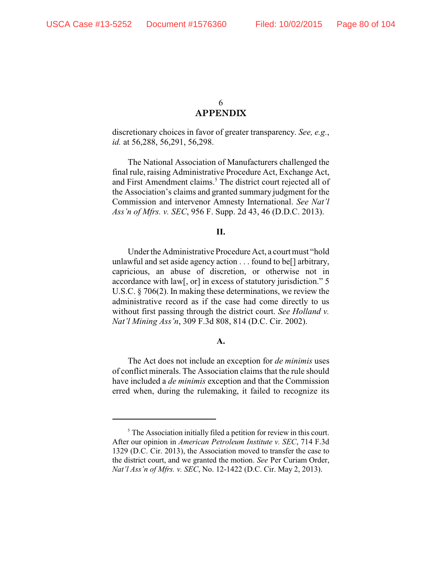discretionary choices in favor of greater transparency. *See, e.g.*, *id.* at 56,288, 56,291, 56,298.

The National Association of Manufacturers challenged the final rule, raising Administrative Procedure Act, Exchange Act, and First Amendment claims.<sup>5</sup> The district court rejected all of the Association's claims and granted summary judgment for the Commission and intervenor Amnesty International. *See Nat'l Ass'n of Mfrs. v. SEC*, 956 F. Supp. 2d 43, 46 (D.D.C. 2013).

#### **II.**

Under the Administrative Procedure Act, a court must "hold unlawful and set aside agency action . . . found to be[] arbitrary, capricious, an abuse of discretion, or otherwise not in accordance with law[, or] in excess of statutory jurisdiction." 5 U.S.C. § 706(2). In making these determinations, we review the administrative record as if the case had come directly to us without first passing through the district court. *See Holland v. Nat'l Mining Ass'n*, 309 F.3d 808, 814 (D.C. Cir. 2002).

#### **A.**

The Act does not include an exception for *de minimis* uses of conflict minerals. The Association claims that the rule should have included a *de minimis* exception and that the Commission erred when, during the rulemaking, it failed to recognize its

 $\delta$ . The Association initially filed a petition for review in this court. After our opinion in *American Petroleum Institute v. SEC*, 714 F.3d 1329 (D.C. Cir. 2013), the Association moved to transfer the case to the district court, and we granted the motion. *See* Per Curiam Order, *Nat'l Ass'n of Mfrs. v. SEC*, No. 12-1422 (D.C. Cir. May 2, 2013).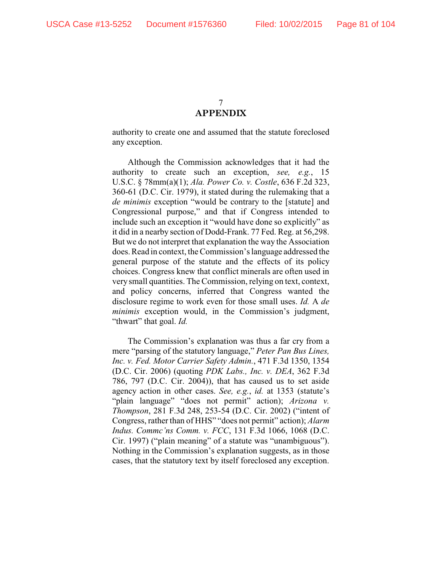authority to create one and assumed that the statute foreclosed any exception.

Although the Commission acknowledges that it had the authority to create such an exception, *see, e.g.*, 15 U.S.C. § 78mm(a)(1); *Ala. Power Co. v. Costle*, 636 F.2d 323, 360-61 (D.C. Cir. 1979), it stated during the rulemaking that a *de minimis* exception "would be contrary to the [statute] and Congressional purpose," and that if Congress intended to include such an exception it "would have done so explicitly" as it did in a nearby section of Dodd-Frank. 77 Fed. Reg. at 56,298. But we do not interpret that explanation the way the Association does. Read in context, the Commission's language addressed the general purpose of the statute and the effects of its policy choices. Congress knew that conflict minerals are often used in very small quantities. The Commission, relying on text, context, and policy concerns, inferred that Congress wanted the disclosure regime to work even for those small uses. *Id.* A *de minimis* exception would, in the Commission's judgment, "thwart" that goal. *Id.*

The Commission's explanation was thus a far cry from a mere "parsing of the statutory language," *Peter Pan Bus Lines, Inc. v. Fed. Motor Carrier Safety Admin.*, 471 F.3d 1350, 1354 (D.C. Cir. 2006) (quoting *PDK Labs., Inc. v. DEA*, 362 F.3d 786, 797 (D.C. Cir. 2004)), that has caused us to set aside agency action in other cases. *See, e.g.*, *id.* at 1353 (statute's "plain language" "does not permit" action); *Arizona v. Thompson*, 281 F.3d 248, 253-54 (D.C. Cir. 2002) ("intent of Congress, rather than of HHS" "does not permit" action); *Alarm Indus. Commc'ns Comm. v. FCC*, 131 F.3d 1066, 1068 (D.C. Cir. 1997) ("plain meaning" of a statute was "unambiguous"). Nothing in the Commission's explanation suggests, as in those cases, that the statutory text by itself foreclosed any exception.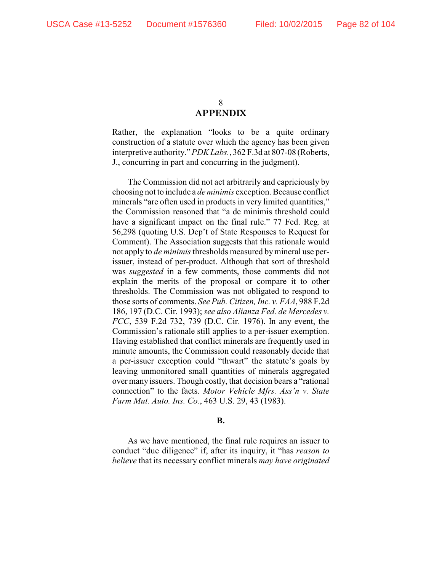Rather, the explanation "looks to be a quite ordinary construction of a statute over which the agency has been given interpretive authority." *PDK Labs.*, 362 F.3d at 807-08 (Roberts, J., concurring in part and concurring in the judgment).

The Commission did not act arbitrarily and capriciously by choosing not to include a *de minimis* exception. Because conflict minerals "are often used in products in very limited quantities," the Commission reasoned that "a de minimis threshold could have a significant impact on the final rule." 77 Fed. Reg. at 56,298 (quoting U.S. Dep't of State Responses to Request for Comment). The Association suggests that this rationale would not apply to *de minimis* thresholds measured bymineral use perissuer, instead of per-product. Although that sort of threshold was *suggested* in a few comments, those comments did not explain the merits of the proposal or compare it to other thresholds. The Commission was not obligated to respond to those sorts of comments. *See Pub. Citizen, Inc. v. FAA*, 988 F.2d 186, 197 (D.C. Cir. 1993); *see also Alianza Fed. de Mercedes v. FCC*, 539 F.2d 732, 739 (D.C. Cir. 1976). In any event, the Commission's rationale still applies to a per-issuer exemption. Having established that conflict minerals are frequently used in minute amounts, the Commission could reasonably decide that a per-issuer exception could "thwart" the statute's goals by leaving unmonitored small quantities of minerals aggregated over many issuers. Though costly, that decision bears a "rational connection" to the facts. *Motor Vehicle Mfrs. Ass'n v. State Farm Mut. Auto. Ins. Co.*, 463 U.S. 29, 43 (1983).

#### **B.**

As we have mentioned, the final rule requires an issuer to conduct "due diligence" if, after its inquiry, it "has *reason to believe* that its necessary conflict minerals *may have originated*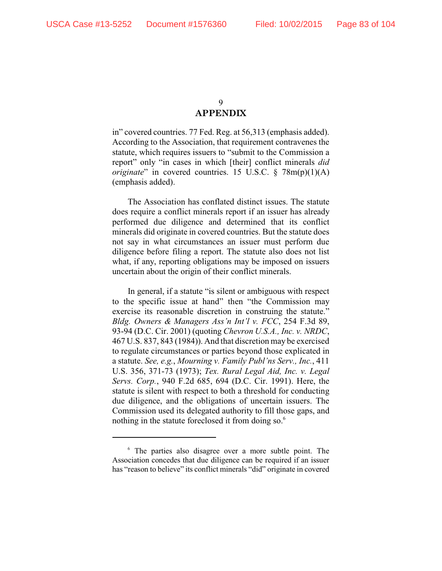in" covered countries. 77 Fed. Reg. at 56,313 (emphasis added). According to the Association, that requirement contravenes the statute, which requires issuers to "submit to the Commission a report" only "in cases in which [their] conflict minerals *did originate*" in covered countries. 15 U.S.C. § 78m(p)(1)(A) (emphasis added).

The Association has conflated distinct issues. The statute does require a conflict minerals report if an issuer has already performed due diligence and determined that its conflict minerals did originate in covered countries. But the statute does not say in what circumstances an issuer must perform due diligence before filing a report. The statute also does not list what, if any, reporting obligations may be imposed on issuers uncertain about the origin of their conflict minerals.

In general, if a statute "is silent or ambiguous with respect to the specific issue at hand" then "the Commission may exercise its reasonable discretion in construing the statute." *Bldg. Owners & Managers Ass'n Int'l v. FCC*, 254 F.3d 89, 93-94 (D.C. Cir. 2001) (quoting *Chevron U.S.A., Inc. v. NRDC*, 467 U.S. 837, 843 (1984)). And that discretion may be exercised to regulate circumstances or parties beyond those explicated in a statute. *See, e.g.*, *Mourning v. Family Publ'ns Serv., Inc.*, 411 U.S. 356, 371-73 (1973); *Tex. Rural Legal Aid, Inc. v. Legal Servs. Corp.*, 940 F.2d 685, 694 (D.C. Cir. 1991). Here, the statute is silent with respect to both a threshold for conducting due diligence, and the obligations of uncertain issuers. The Commission used its delegated authority to fill those gaps, and nothing in the statute foreclosed it from doing so.<sup>6</sup>

<sup>&</sup>lt;sup>6</sup> The parties also disagree over a more subtle point. The Association concedes that due diligence can be required if an issuer has "reason to believe" its conflict minerals "did" originate in covered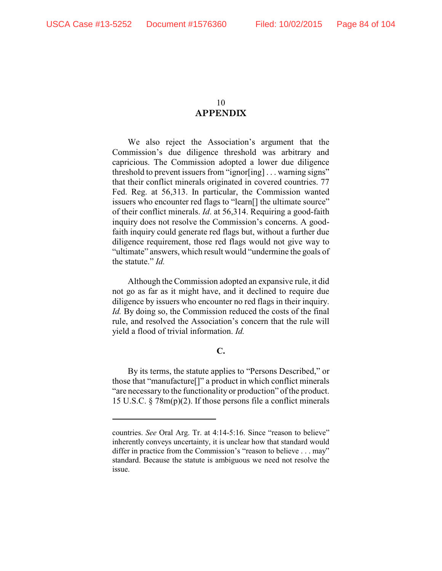We also reject the Association's argument that the Commission's due diligence threshold was arbitrary and capricious. The Commission adopted a lower due diligence threshold to prevent issuers from "ignor[ing] . . . warning signs" that their conflict minerals originated in covered countries. 77 Fed. Reg. at 56,313. In particular, the Commission wanted issuers who encounter red flags to "learn[] the ultimate source" of their conflict minerals. *Id*. at 56,314. Requiring a good-faith inquiry does not resolve the Commission's concerns. A goodfaith inquiry could generate red flags but, without a further due diligence requirement, those red flags would not give way to "ultimate" answers, which result would "undermine the goals of the statute." *Id.*

Although the Commission adopted an expansive rule, it did not go as far as it might have, and it declined to require due diligence by issuers who encounter no red flags in their inquiry. *Id.* By doing so, the Commission reduced the costs of the final rule, and resolved the Association's concern that the rule will yield a flood of trivial information. *Id.*

#### **C.**

By its terms, the statute applies to "Persons Described," or those that "manufacture[]" a product in which conflict minerals "are necessary to the functionality or production" of the product. 15 U.S.C. § 78m(p)(2). If those persons file a conflict minerals

countries. *See* Oral Arg. Tr. at 4:14-5:16. Since "reason to believe" inherently conveys uncertainty, it is unclear how that standard would differ in practice from the Commission's "reason to believe . . . may" standard. Because the statute is ambiguous we need not resolve the issue.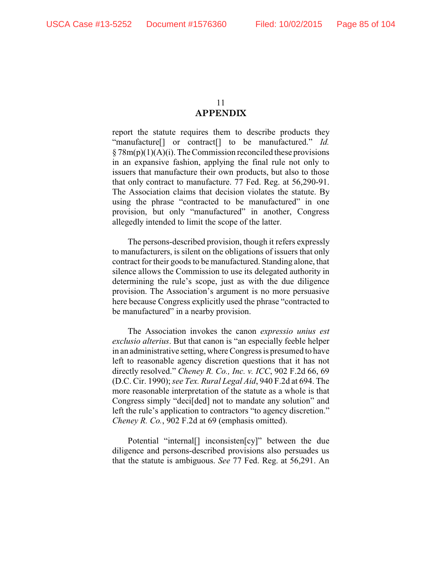report the statute requires them to describe products they "manufacture[] or contract[] to be manufactured." *Id.*  $\S 78m(p)(1)(A)(i)$ . The Commission reconciled these provisions in an expansive fashion, applying the final rule not only to issuers that manufacture their own products, but also to those that only contract to manufacture. 77 Fed. Reg. at 56,290-91. The Association claims that decision violates the statute. By using the phrase "contracted to be manufactured" in one provision, but only "manufactured" in another, Congress allegedly intended to limit the scope of the latter.

The persons-described provision, though it refers expressly to manufacturers, is silent on the obligations of issuers that only contract for their goods to be manufactured. Standing alone, that silence allows the Commission to use its delegated authority in determining the rule's scope, just as with the due diligence provision. The Association's argument is no more persuasive here because Congress explicitly used the phrase "contracted to be manufactured" in a nearby provision.

The Association invokes the canon *expressio unius est exclusio alterius*. But that canon is "an especially feeble helper in an administrative setting, where Congress is presumed to have left to reasonable agency discretion questions that it has not directly resolved." *Cheney R. Co., Inc. v. ICC*, 902 F.2d 66, 69 (D.C. Cir. 1990); *see Tex. Rural Legal Aid*, 940 F.2d at 694. The more reasonable interpretation of the statute as a whole is that Congress simply "deci[ded] not to mandate any solution" and left the rule's application to contractors "to agency discretion." *Cheney R. Co.*, 902 F.2d at 69 (emphasis omitted).

Potential "internal[] inconsisten[cy]" between the due diligence and persons-described provisions also persuades us that the statute is ambiguous. *See* 77 Fed. Reg. at 56,291. An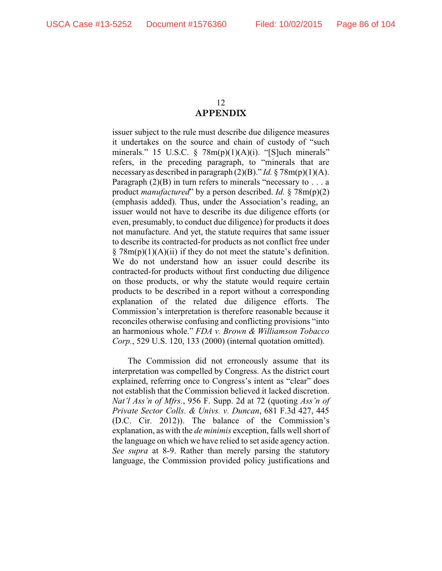issuer subject to the rule must describe due diligence measures it undertakes on the source and chain of custody of "such minerals." 15 U.S.C. § 78m(p)(1)(A)(i). "[S]uch minerals" refers, in the preceding paragraph, to "minerals that are necessary as described in paragraph (2)(B)." *Id.* § 78m(p)(1)(A). Paragraph  $(2)(B)$  in turn refers to minerals "necessary to . . . a product *manufactured*" by a person described. *Id.* § 78m(p)(2) (emphasis added). Thus, under the Association's reading, an issuer would not have to describe its due diligence efforts (or even, presumably, to conduct due diligence) for products it does not manufacture. And yet, the statute requires that same issuer to describe its contracted-for products as not conflict free under  $\S 78m(p)(1)(A)(ii)$  if they do not meet the statute's definition. We do not understand how an issuer could describe its contracted-for products without first conducting due diligence on those products, or why the statute would require certain products to be described in a report without a corresponding explanation of the related due diligence efforts. The Commission's interpretation is therefore reasonable because it reconciles otherwise confusing and conflicting provisions "into an harmonious whole." *FDA v. Brown & Williamson Tobacco Corp.*, 529 U.S. 120, 133 (2000) (internal quotation omitted).

The Commission did not erroneously assume that its interpretation was compelled by Congress. As the district court explained, referring once to Congress's intent as "clear" does not establish that the Commission believed it lacked discretion. *Nat'l Ass'n of Mfrs.*, 956 F. Supp. 2d at 72 (quoting *Ass'n of Private Sector Colls. & Univs. v. Duncan*, 681 F.3d 427, 445 (D.C. Cir. 2012)). The balance of the Commission's explanation, as with the *de minimis* exception, falls well short of the language on which we have relied to set aside agency action. *See supra* at 8-9. Rather than merely parsing the statutory language, the Commission provided policy justifications and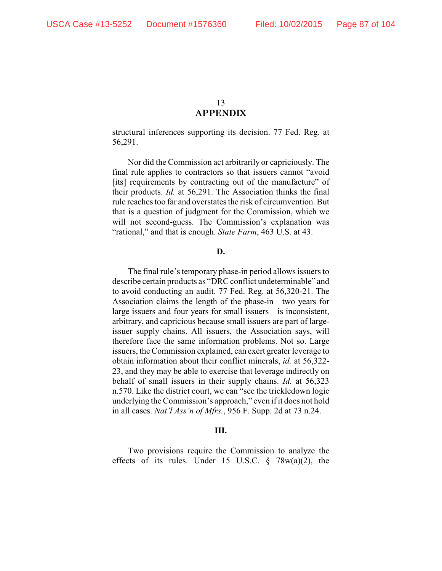structural inferences supporting its decision. 77 Fed. Reg. at 56,291.

Nor did the Commission act arbitrarily or capriciously. The final rule applies to contractors so that issuers cannot "avoid [its] requirements by contracting out of the manufacture" of their products. *Id.* at 56,291. The Association thinks the final rule reaches too far and overstates the risk of circumvention. But that is a question of judgment for the Commission, which we will not second-guess. The Commission's explanation was "rational," and that is enough. *State Farm*, 463 U.S. at 43.

#### **D.**

The final rule's temporary phase-in period allows issuers to describe certain products as "DRC conflict undeterminable" and to avoid conducting an audit. 77 Fed. Reg. at 56,320-21. The Association claims the length of the phase-in—two years for large issuers and four years for small issuers—is inconsistent, arbitrary, and capricious because small issuers are part of largeissuer supply chains. All issuers, the Association says, will therefore face the same information problems. Not so. Large issuers, the Commission explained, can exert greater leverage to obtain information about their conflict minerals, *id.* at 56,322- 23, and they may be able to exercise that leverage indirectly on behalf of small issuers in their supply chains. *Id.* at 56,323 n.570. Like the district court, we can "see the trickledown logic underlying the Commission's approach," even if it does not hold in all cases. *Nat'l Ass'n of Mfrs.*, 956 F. Supp. 2d at 73 n.24.

#### **III.**

Two provisions require the Commission to analyze the effects of its rules. Under 15 U.S.C.  $\S$  78w(a)(2), the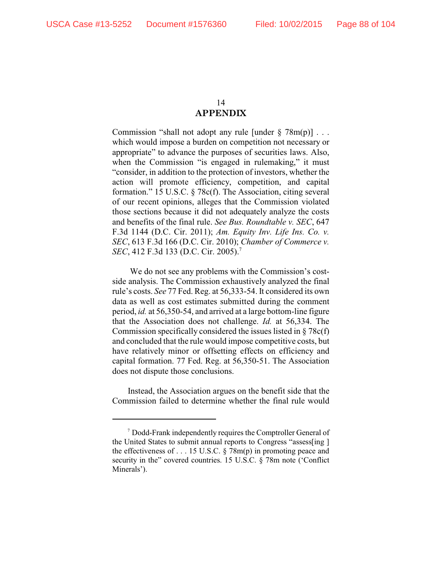Commission "shall not adopt any rule [under  $\S 78m(p)$ ]... which would impose a burden on competition not necessary or appropriate" to advance the purposes of securities laws. Also, when the Commission "is engaged in rulemaking," it must "consider, in addition to the protection of investors, whether the action will promote efficiency, competition, and capital formation." 15 U.S.C. § 78c(f). The Association, citing several of our recent opinions, alleges that the Commission violated those sections because it did not adequately analyze the costs and benefits of the final rule. *See Bus. Roundtable v. SEC*, 647 F.3d 1144 (D.C. Cir. 2011); *Am. Equity Inv. Life Ins. Co. v. SEC*, 613 F.3d 166 (D.C. Cir. 2010); *Chamber of Commerce v. SEC*, 412 F.3d 133 (D.C. Cir. 2005).<sup>7</sup>

 We do not see any problems with the Commission's costside analysis. The Commission exhaustively analyzed the final rule's costs. *See* 77 Fed. Reg. at 56,333-54. It considered its own data as well as cost estimates submitted during the comment period, *id.* at 56,350-54, and arrived at a large bottom-line figure that the Association does not challenge. *Id.* at 56,334. The Commission specifically considered the issues listed in  $\S 78c(f)$ and concluded that the rule would impose competitive costs, but have relatively minor or offsetting effects on efficiency and capital formation. 77 Fed. Reg. at 56,350-51. The Association does not dispute those conclusions.

Instead, the Association argues on the benefit side that the Commission failed to determine whether the final rule would

 $\alpha$ <sup>7</sup> Dodd-Frank independently requires the Comptroller General of the United States to submit annual reports to Congress "assess[ing ] the effectiveness of . . . 15 U.S.C. § 78m(p) in promoting peace and security in the" covered countries. 15 U.S.C. § 78m note ('Conflict Minerals').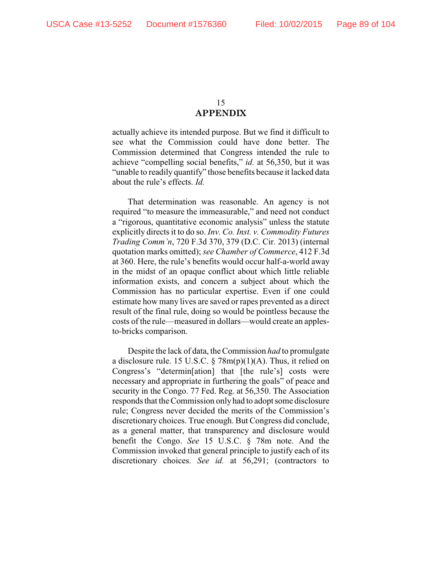actually achieve its intended purpose. But we find it difficult to see what the Commission could have done better. The Commission determined that Congress intended the rule to achieve "compelling social benefits," *id.* at 56,350, but it was "unable to readily quantify" those benefits because it lacked data about the rule's effects. *Id.*

That determination was reasonable. An agency is not required "to measure the immeasurable," and need not conduct a "rigorous, quantitative economic analysis" unless the statute explicitly directs it to do so. *Inv. Co. Inst. v. Commodity Futures Trading Comm'n*, 720 F.3d 370, 379 (D.C. Cir. 2013) (internal quotation marks omitted); *see Chamber of Commerce*, 412 F.3d at 360. Here, the rule's benefits would occur half-a-world away in the midst of an opaque conflict about which little reliable information exists, and concern a subject about which the Commission has no particular expertise. Even if one could estimate how many lives are saved or rapes prevented as a direct result of the final rule, doing so would be pointless because the costs of the rule—measured in dollars—would create an applesto-bricks comparison.

Despite the lack of data, the Commission *had* to promulgate a disclosure rule. 15 U.S.C.  $\S$  78m(p)(1)(A). Thus, it relied on Congress's "determin[ation] that [the rule's] costs were necessary and appropriate in furthering the goals" of peace and security in the Congo. 77 Fed. Reg. at 56,350. The Association responds that the Commission onlyhad to adopt some disclosure rule; Congress never decided the merits of the Commission's discretionary choices. True enough. But Congress did conclude, as a general matter, that transparency and disclosure would benefit the Congo. *See* 15 U.S.C. § 78m note. And the Commission invoked that general principle to justify each of its discretionary choices. *See id.* at 56,291; (contractors to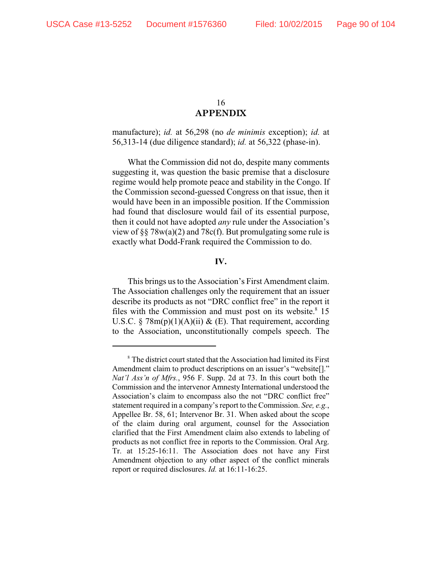manufacture); *id.* at 56,298 (no *de minimis* exception); *id.* at 56,313-14 (due diligence standard); *id.* at 56,322 (phase-in).

What the Commission did not do, despite many comments suggesting it, was question the basic premise that a disclosure regime would help promote peace and stability in the Congo. If the Commission second-guessed Congress on that issue, then it would have been in an impossible position. If the Commission had found that disclosure would fail of its essential purpose, then it could not have adopted *any* rule under the Association's view of  $\S$ § 78 $w$ (a)(2) and 78 $c$ (f). But promulgating some rule is exactly what Dodd-Frank required the Commission to do.

#### **IV.**

This brings us to the Association's First Amendment claim. The Association challenges only the requirement that an issuer describe its products as not "DRC conflict free" in the report it files with the Commission and must post on its website.<sup>8</sup> 15 U.S.C. §  $78m(p)(1)(A)(ii)$  & (E). That requirement, according to the Association, unconstitutionally compels speech. The

<sup>&</sup>lt;sup>8</sup> The district court stated that the Association had limited its First Amendment claim to product descriptions on an issuer's "website[]." *Nat'l Ass'n of Mfrs.*, 956 F. Supp. 2d at 73. In this court both the Commission and the intervenor Amnesty International understood the Association's claim to encompass also the not "DRC conflict free" statement required in a company's report to the Commission. *See, e.g.*, Appellee Br. 58, 61; Intervenor Br. 31. When asked about the scope of the claim during oral argument, counsel for the Association clarified that the First Amendment claim also extends to labeling of products as not conflict free in reports to the Commission. Oral Arg. Tr. at 15:25-16:11. The Association does not have any First Amendment objection to any other aspect of the conflict minerals report or required disclosures. *Id.* at 16:11-16:25.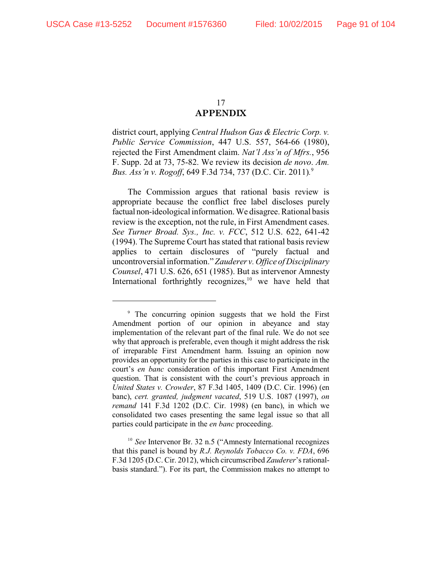district court, applying *Central Hudson Gas & Electric Corp. v. Public Service Commission*, 447 U.S. 557, 564-66 (1980), rejected the First Amendment claim. *Nat'l Ass'n of Mfrs.*, 956 F. Supp. 2d at 73, 75-82. We review its decision *de novo*. *Am. Bus. Ass'n v. Rogoff*, 649 F.3d 734, 737 (D.C. Cir. 2011)*.* 9

The Commission argues that rational basis review is appropriate because the conflict free label discloses purely factual non-ideological information. We disagree. Rational basis review is the exception, not the rule, in First Amendment cases. *See Turner Broad. Sys., Inc. v. FCC*, 512 U.S. 622, 641-42 (1994). The Supreme Court has stated that rational basis review applies to certain disclosures of "purely factual and uncontroversial information." *Zauderer v. Office of Disciplinary Counsel*, 471 U.S. 626, 651 (1985). But as intervenor Amnesty International forthrightly recognizes, $10$  we have held that

<sup>&</sup>lt;sup>9</sup> The concurring opinion suggests that we hold the First Amendment portion of our opinion in abeyance and stay implementation of the relevant part of the final rule. We do not see why that approach is preferable, even though it might address the risk of irreparable First Amendment harm. Issuing an opinion now provides an opportunity for the parties in this case to participate in the court's *en banc* consideration of this important First Amendment question. That is consistent with the court's previous approach in *United States v. Crowder*, 87 F.3d 1405, 1409 (D.C. Cir. 1996) (en banc), *cert. granted, judgment vacated*, 519 U.S. 1087 (1997), *on remand* 141 F.3d 1202 (D.C. Cir. 1998) (en banc), in which we consolidated two cases presenting the same legal issue so that all parties could participate in the *en banc* proceeding.

<sup>&</sup>lt;sup>10</sup> See Intervenor Br. 32 n.5 ("Amnesty International recognizes that this panel is bound by *R.J. Reynolds Tobacco Co. v. FDA*, 696 F.3d 1205 (D.C. Cir. 2012), which circumscribed *Zauderer*'s rationalbasis standard."). For its part, the Commission makes no attempt to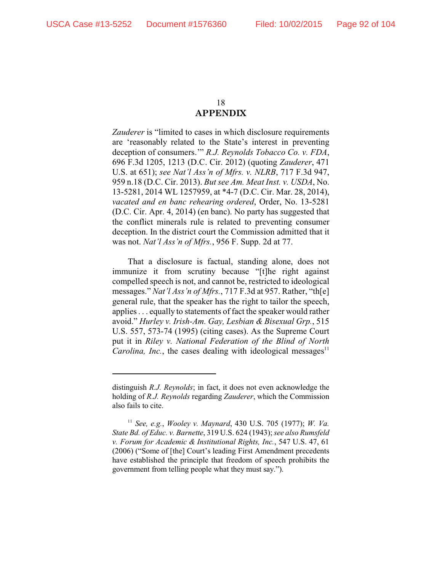*Zauderer* is "limited to cases in which disclosure requirements are 'reasonably related to the State's interest in preventing deception of consumers.'" *R.J. Reynolds Tobacco Co. v. FDA*, 696 F.3d 1205, 1213 (D.C. Cir. 2012) (quoting *Zauderer*, 471 U.S. at 651); *see Nat'l Ass'n of Mfrs. v. NLRB*, 717 F.3d 947, 959 n.18 (D.C. Cir. 2013). *But see Am. Meat Inst. v. USDA*, No. 13-5281, 2014 WL 1257959, at \*4-7 (D.C. Cir. Mar. 28, 2014), *vacated and en banc rehearing ordered*, Order, No. 13-5281 (D.C. Cir. Apr. 4, 2014) (en banc). No party has suggested that the conflict minerals rule is related to preventing consumer deception. In the district court the Commission admitted that it was not. *Nat'l Ass'n of Mfrs.*, 956 F. Supp. 2d at 77.

That a disclosure is factual, standing alone, does not immunize it from scrutiny because "[t]he right against compelled speech is not, and cannot be, restricted to ideological messages." *Nat'l Ass'n of Mfrs.*, 717 F.3d at 957. Rather, "th[e] general rule, that the speaker has the right to tailor the speech, applies . . . equally to statements of fact the speaker would rather avoid." *Hurley v. Irish-Am. Gay, Lesbian & Bisexual Grp.*, 515 U.S. 557, 573-74 (1995) (citing cases). As the Supreme Court put it in *Riley v. National Federation of the Blind of North Carolina, Inc.*, the cases dealing with ideological messages<sup>11</sup>

distinguish *R.J. Reynolds*; in fact, it does not even acknowledge the holding of *R.J. Reynolds* regarding *Zauderer*, which the Commission also fails to cite.

*See, e.g.*, *Wooley v. Maynard*, 430 U.S. 705 (1977); *W. Va.* <sup>11</sup> *State Bd. of Educ. v. Barnette*, 319 U.S. 624 (1943); *see also Rumsfeld v. Forum for Academic & Institutional Rights, Inc.*, 547 U.S. 47, 61 (2006) ("Some of [the] Court's leading First Amendment precedents have established the principle that freedom of speech prohibits the government from telling people what they must say.").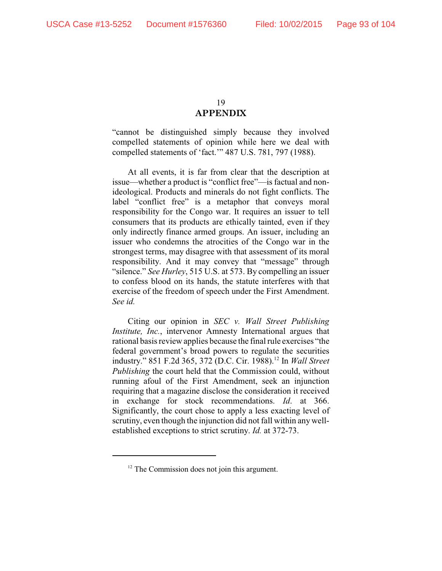"cannot be distinguished simply because they involved compelled statements of opinion while here we deal with compelled statements of 'fact.'" 487 U.S. 781, 797 (1988).

At all events, it is far from clear that the description at issue—whether a product is "conflict free"—is factual and nonideological. Products and minerals do not fight conflicts. The label "conflict free" is a metaphor that conveys moral responsibility for the Congo war. It requires an issuer to tell consumers that its products are ethically tainted, even if they only indirectly finance armed groups. An issuer, including an issuer who condemns the atrocities of the Congo war in the strongest terms, may disagree with that assessment of its moral responsibility. And it may convey that "message" through "silence." *See Hurley*, 515 U.S. at 573. By compelling an issuer to confess blood on its hands, the statute interferes with that exercise of the freedom of speech under the First Amendment. *See id.* 

Citing our opinion in *SEC v. Wall Street Publishing Institute, Inc.*, intervenor Amnesty International argues that rational basis review applies because the final rule exercises "the federal government's broad powers to regulate the securities industry." 851 F.2d 365, 372 (D.C. Cir. 1988).<sup>12</sup> In *Wall Street Publishing* the court held that the Commission could, without running afoul of the First Amendment, seek an injunction requiring that a magazine disclose the consideration it received in exchange for stock recommendations. *Id*. at 366. Significantly, the court chose to apply a less exacting level of scrutiny, even though the injunction did not fall within any wellestablished exceptions to strict scrutiny. *Id.* at 372-73.

 $12$  The Commission does not join this argument.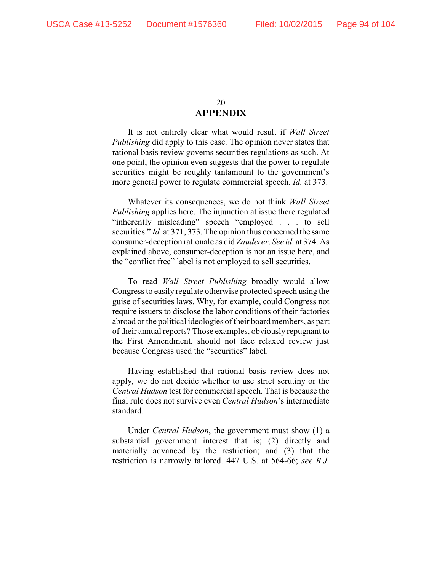It is not entirely clear what would result if *Wall Street Publishing* did apply to this case. The opinion never states that rational basis review governs securities regulations as such. At one point, the opinion even suggests that the power to regulate securities might be roughly tantamount to the government's more general power to regulate commercial speech. *Id.* at 373.

Whatever its consequences, we do not think *Wall Street Publishing* applies here. The injunction at issue there regulated "inherently misleading" speech "employed . . . to sell securities." *Id.* at 371, 373. The opinion thus concerned the same consumer-deception rationale as did *Zauderer*. *See id.* at 374. As explained above, consumer-deception is not an issue here, and the "conflict free" label is not employed to sell securities.

To read *Wall Street Publishing* broadly would allow Congress to easily regulate otherwise protected speech using the guise of securities laws. Why, for example, could Congress not require issuers to disclose the labor conditions of their factories abroad or the political ideologies of their board members, as part of their annual reports? Those examples, obviously repugnant to the First Amendment, should not face relaxed review just because Congress used the "securities" label.

Having established that rational basis review does not apply, we do not decide whether to use strict scrutiny or the *Central Hudson* test for commercial speech. That is because the final rule does not survive even *Central Hudson*'s intermediate standard.

Under *Central Hudson*, the government must show (1) a substantial government interest that is; (2) directly and materially advanced by the restriction; and (3) that the restriction is narrowly tailored. 447 U.S. at 564-66; *see R.J.*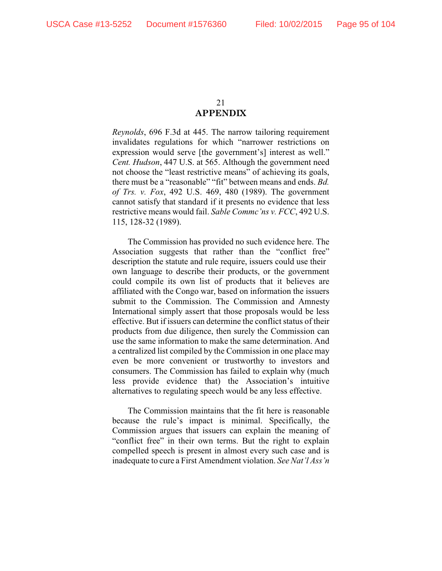*Reynolds*, 696 F.3d at 445. The narrow tailoring requirement invalidates regulations for which "narrower restrictions on expression would serve [the government's] interest as well." *Cent. Hudson*, 447 U.S. at 565. Although the government need not choose the "least restrictive means" of achieving its goals, there must be a "reasonable" "fit" between means and ends. *Bd. of Trs. v. Fox*, 492 U.S. 469, 480 (1989). The government cannot satisfy that standard if it presents no evidence that less restrictive means would fail. *Sable Commc'ns v. FCC*, 492 U.S. 115, 128-32 (1989).

The Commission has provided no such evidence here. The Association suggests that rather than the "conflict free" description the statute and rule require, issuers could use their own language to describe their products, or the government could compile its own list of products that it believes are affiliated with the Congo war, based on information the issuers submit to the Commission. The Commission and Amnesty International simply assert that those proposals would be less effective. But if issuers can determine the conflict status of their products from due diligence, then surely the Commission can use the same information to make the same determination. And a centralized list compiled by the Commission in one place may even be more convenient or trustworthy to investors and consumers. The Commission has failed to explain why (much less provide evidence that) the Association's intuitive alternatives to regulating speech would be any less effective.

The Commission maintains that the fit here is reasonable because the rule's impact is minimal. Specifically, the Commission argues that issuers can explain the meaning of "conflict free" in their own terms. But the right to explain compelled speech is present in almost every such case and is inadequate to cure a First Amendment violation. *See Nat'l Ass'n*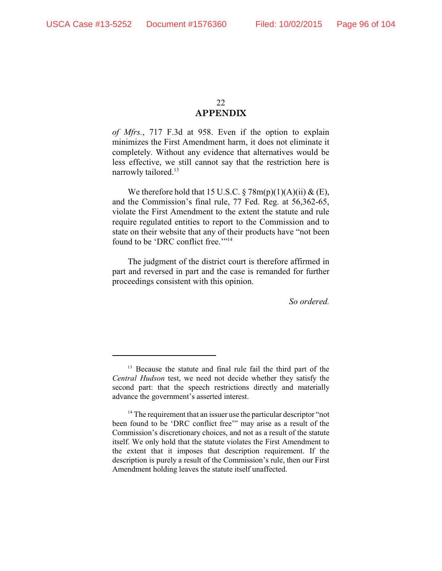*of Mfrs.*, 717 F.3d at 958. Even if the option to explain minimizes the First Amendment harm, it does not eliminate it completely. Without any evidence that alternatives would be less effective, we still cannot say that the restriction here is narrowly tailored.<sup>13</sup>

We therefore hold that 15 U.S.C.  $\S 78m(p)(1)(A)(ii) \& (E)$ , and the Commission's final rule, 77 Fed. Reg. at 56,362-65, violate the First Amendment to the extent the statute and rule require regulated entities to report to the Commission and to state on their website that any of their products have "not been found to be 'DRC conflict free."<sup>14</sup>

The judgment of the district court is therefore affirmed in part and reversed in part and the case is remanded for further proceedings consistent with this opinion.

*So ordered.*

 $13$  Because the statute and final rule fail the third part of the *Central Hudson* test, we need not decide whether they satisfy the second part: that the speech restrictions directly and materially advance the government's asserted interest.

 $14$ <sup>14</sup> The requirement that an issuer use the particular descriptor "not been found to be 'DRC conflict free'" may arise as a result of the Commission's discretionary choices, and not as a result of the statute itself. We only hold that the statute violates the First Amendment to the extent that it imposes that description requirement. If the description is purely a result of the Commission's rule, then our First Amendment holding leaves the statute itself unaffected.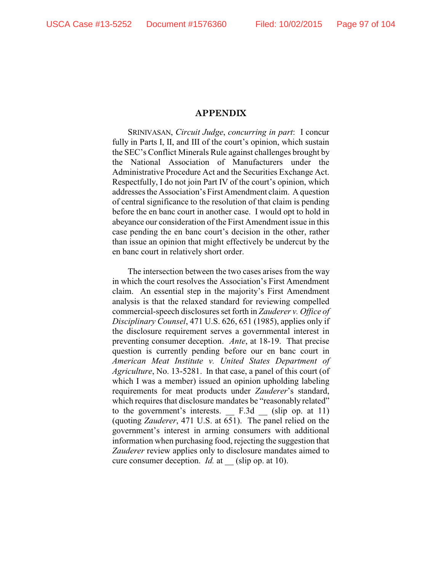SRINIVASAN, *Circuit Judge*, *concurring in part*: I concur fully in Parts I, II, and III of the court's opinion, which sustain the SEC's Conflict Minerals Rule against challenges brought by the National Association of Manufacturers under the Administrative Procedure Act and the Securities Exchange Act. Respectfully, I do not join Part IV of the court's opinion, which addresses the Association's First Amendment claim. A question of central significance to the resolution of that claim is pending before the en banc court in another case. I would opt to hold in abeyance our consideration of the First Amendment issue in this case pending the en banc court's decision in the other, rather than issue an opinion that might effectively be undercut by the en banc court in relatively short order.

The intersection between the two cases arises from the way in which the court resolves the Association's First Amendment claim. An essential step in the majority's First Amendment analysis is that the relaxed standard for reviewing compelled commercial-speech disclosures set forth in *Zauderer v. Office of Disciplinary Counsel*, 471 U.S. 626, 651 (1985), applies only if the disclosure requirement serves a governmental interest in preventing consumer deception. *Ante*, at 18-19. That precise question is currently pending before our en banc court in *American Meat Institute v. United States Department of Agriculture*, No. 13-5281. In that case, a panel of this court (of which I was a member) issued an opinion upholding labeling requirements for meat products under *Zauderer*'s standard, which requires that disclosure mandates be "reasonably related" to the government's interests.  $\quad$  F.3d  $\quad$  (slip op. at 11) (quoting *Zauderer*, 471 U.S. at 651). The panel relied on the government's interest in arming consumers with additional information when purchasing food, rejecting the suggestion that *Zauderer* review applies only to disclosure mandates aimed to cure consumer deception. *Id.* at (slip op. at 10).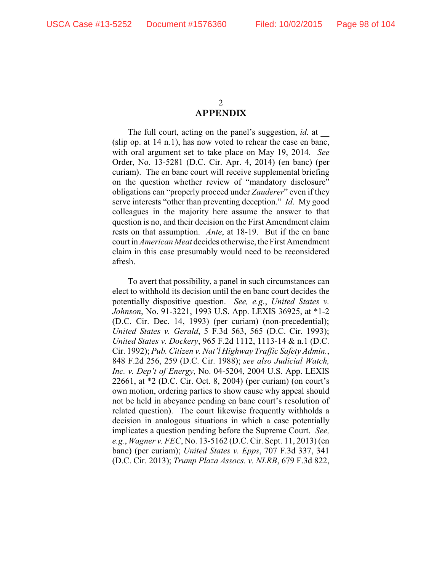The full court, acting on the panel's suggestion, *id.* at (slip op. at 14 n.1), has now voted to rehear the case en banc, with oral argument set to take place on May 19, 2014. *See* Order, No. 13-5281 (D.C. Cir. Apr. 4, 2014) (en banc) (per curiam). The en banc court will receive supplemental briefing on the question whether review of "mandatory disclosure" obligations can "properly proceed under *Zauderer*" even if they serve interests "other than preventing deception." *Id*. My good colleagues in the majority here assume the answer to that question is no, and their decision on the First Amendment claim rests on that assumption. *Ante*, at 18-19. But if the en banc court in *American Meat* decides otherwise, the First Amendment claim in this case presumably would need to be reconsidered afresh.

To avert that possibility, a panel in such circumstances can elect to withhold its decision until the en banc court decides the potentially dispositive question. *See, e.g.*, *United States v. Johnson*, No. 91-3221, 1993 U.S. App. LEXIS 36925, at \*1-2 (D.C. Cir. Dec. 14, 1993) (per curiam) (non-precedential); *United States v. Gerald*, 5 F.3d 563, 565 (D.C. Cir. 1993); *United States v. Dockery*, 965 F.2d 1112, 1113-14 & n.1 (D.C. Cir. 1992); *Pub. Citizen v. Nat'l Highway Traffic Safety Admin.*, 848 F.2d 256, 259 (D.C. Cir. 1988); *see also Judicial Watch, Inc. v. Dep't of Energy*, No. 04-5204, 2004 U.S. App. LEXIS 22661, at \*2 (D.C. Cir. Oct. 8, 2004) (per curiam) (on court's own motion, ordering parties to show cause why appeal should not be held in abeyance pending en banc court's resolution of related question). The court likewise frequently withholds a decision in analogous situations in which a case potentially implicates a question pending before the Supreme Court. *See, e.g.*, *Wagner v. FEC*, No. 13-5162 (D.C. Cir. Sept. 11, 2013) (en banc) (per curiam); *United States v. Epps*, 707 F.3d 337, 341 (D.C. Cir. 2013); *Trump Plaza Assocs. v. NLRB*, 679 F.3d 822,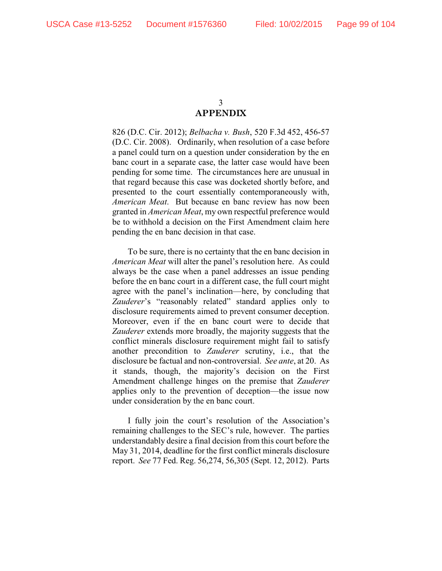826 (D.C. Cir. 2012); *Belbacha v. Bush*, 520 F.3d 452, 456-57 (D.C. Cir. 2008). Ordinarily, when resolution of a case before a panel could turn on a question under consideration by the en banc court in a separate case, the latter case would have been pending for some time. The circumstances here are unusual in that regard because this case was docketed shortly before, and presented to the court essentially contemporaneously with, *American Meat*. But because en banc review has now been granted in *American Meat*, my own respectful preference would be to withhold a decision on the First Amendment claim here pending the en banc decision in that case.

To be sure, there is no certainty that the en banc decision in *American Meat* will alter the panel's resolution here. As could always be the case when a panel addresses an issue pending before the en banc court in a different case, the full court might agree with the panel's inclination—here, by concluding that *Zauderer*'s "reasonably related" standard applies only to disclosure requirements aimed to prevent consumer deception. Moreover, even if the en banc court were to decide that *Zauderer* extends more broadly, the majority suggests that the conflict minerals disclosure requirement might fail to satisfy another precondition to *Zauderer* scrutiny, i.e., that the disclosure be factual and non-controversial. *See ante*, at 20. As it stands, though, the majority's decision on the First Amendment challenge hinges on the premise that *Zauderer* applies only to the prevention of deception—the issue now under consideration by the en banc court.

I fully join the court's resolution of the Association's remaining challenges to the SEC's rule, however. The parties understandably desire a final decision from this court before the May 31, 2014, deadline for the first conflict minerals disclosure report. *See* 77 Fed. Reg. 56,274, 56,305 (Sept. 12, 2012). Parts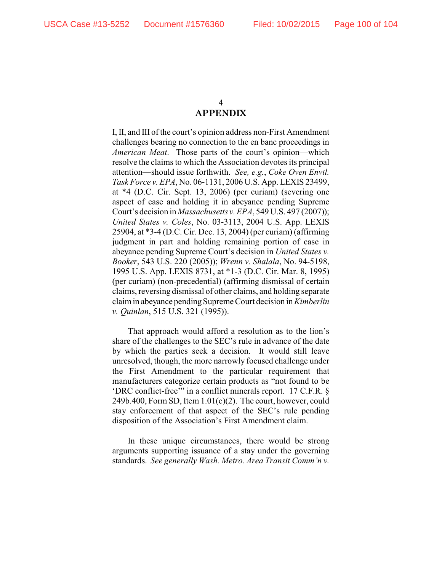I, II, and III of the court's opinion address non-First Amendment challenges bearing no connection to the en banc proceedings in *American Meat*. Those parts of the court's opinion—which resolve the claims to which the Association devotes its principal attention—should issue forthwith. *See, e.g.*, *Coke Oven Envtl. Task Force v. EPA*, No. 06-1131, 2006 U.S. App. LEXIS 23499, at \*4 (D.C. Cir. Sept. 13, 2006) (per curiam) (severing one aspect of case and holding it in abeyance pending Supreme Court's decision in *Massachusetts v. EPA*, 549 U.S. 497 (2007)); *United States v. Coles*, No. 03-3113, 2004 U.S. App. LEXIS 25904, at \*3-4 (D.C. Cir. Dec. 13, 2004) (per curiam) (affirming judgment in part and holding remaining portion of case in abeyance pending Supreme Court's decision in *United States v. Booker*, 543 U.S. 220 (2005)); *Wrenn v. Shalala*, No. 94-5198, 1995 U.S. App. LEXIS 8731, at \*1-3 (D.C. Cir. Mar. 8, 1995) (per curiam) (non-precedential) (affirming dismissal of certain claims, reversing dismissal of other claims, and holding separate claim in abeyance pendingSupreme Court decision in *Kimberlin v. Quinlan*, 515 U.S. 321 (1995)).

That approach would afford a resolution as to the lion's share of the challenges to the SEC's rule in advance of the date by which the parties seek a decision. It would still leave unresolved, though, the more narrowly focused challenge under the First Amendment to the particular requirement that manufacturers categorize certain products as "not found to be 'DRC conflict-free'" in a conflict minerals report. 17 C.F.R. § 249b.400, Form SD, Item  $1.01(c)(2)$ . The court, however, could stay enforcement of that aspect of the SEC's rule pending disposition of the Association's First Amendment claim.

In these unique circumstances, there would be strong arguments supporting issuance of a stay under the governing standards. *See generally Wash. Metro. Area Transit Comm'n v.*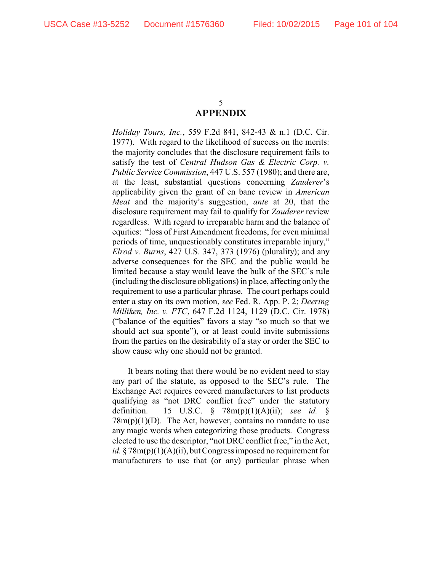*Holiday Tours, Inc.*, 559 F.2d 841, 842-43 & n.1 (D.C. Cir. 1977). With regard to the likelihood of success on the merits: the majority concludes that the disclosure requirement fails to satisfy the test of *Central Hudson Gas & Electric Corp. v. Public Service Commission*, 447 U.S. 557 (1980); and there are, at the least, substantial questions concerning *Zauderer*'s applicability given the grant of en banc review in *American Meat* and the majority's suggestion, *ante* at 20, that the disclosure requirement may fail to qualify for *Zauderer* review regardless. With regard to irreparable harm and the balance of equities: "loss of First Amendment freedoms, for even minimal periods of time, unquestionably constitutes irreparable injury," *Elrod v. Burns*, 427 U.S. 347, 373 (1976) (plurality); and any adverse consequences for the SEC and the public would be limited because a stay would leave the bulk of the SEC's rule (including the disclosure obligations) in place, affecting only the requirement to use a particular phrase. The court perhaps could enter a stay on its own motion, *see* Fed. R. App. P. 2; *Deering Milliken, Inc. v. FTC*, 647 F.2d 1124, 1129 (D.C. Cir. 1978) ("balance of the equities" favors a stay "so much so that we should act sua sponte"), or at least could invite submissions from the parties on the desirability of a stay or order the SEC to show cause why one should not be granted.

It bears noting that there would be no evident need to stay any part of the statute, as opposed to the SEC's rule. The Exchange Act requires covered manufacturers to list products qualifying as "not DRC conflict free" under the statutory definition. 15 U.S.C. § 78m(p)(1)(A)(ii); *see id.* §  $78m(p)(1)(D)$ . The Act, however, contains no mandate to use any magic words when categorizing those products. Congress elected to use the descriptor, "not DRC conflict free," in the Act, *id.* § 78m(p)(1)(A)(ii), but Congress imposed no requirement for manufacturers to use that (or any) particular phrase when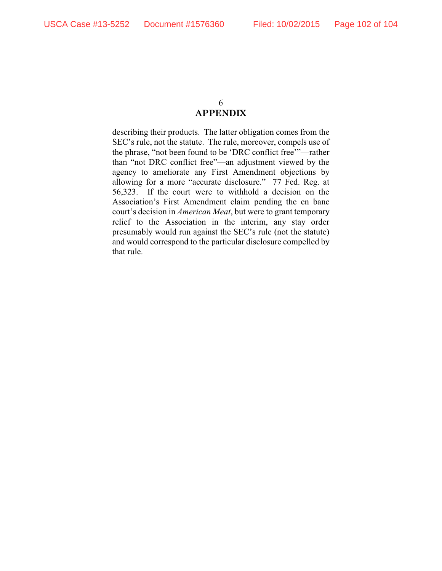describing their products. The latter obligation comes from the SEC's rule, not the statute. The rule, moreover, compels use of the phrase, "not been found to be 'DRC conflict free'"—rather than "not DRC conflict free"—an adjustment viewed by the agency to ameliorate any First Amendment objections by allowing for a more "accurate disclosure." 77 Fed. Reg. at 56,323. If the court were to withhold a decision on the Association's First Amendment claim pending the en banc court's decision in *American Meat*, but were to grant temporary relief to the Association in the interim, any stay order presumably would run against the SEC's rule (not the statute) and would correspond to the particular disclosure compelled by that rule.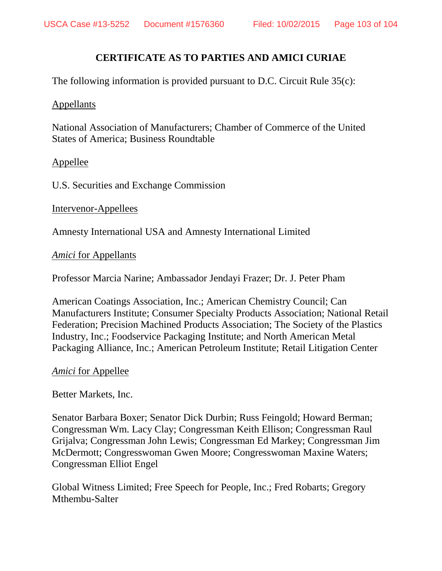# **CERTIFICATE AS TO PARTIES AND AMICI CURIAE**

The following information is provided pursuant to D.C. Circuit Rule 35(c):

# Appellants

National Association of Manufacturers; Chamber of Commerce of the United States of America; Business Roundtable

# Appellee

U.S. Securities and Exchange Commission

Intervenor-Appellees

Amnesty International USA and Amnesty International Limited

# *Amici* for Appellants

Professor Marcia Narine; Ambassador Jendayi Frazer; Dr. J. Peter Pham

American Coatings Association, Inc.; American Chemistry Council; Can Manufacturers Institute; Consumer Specialty Products Association; National Retail Federation; Precision Machined Products Association; The Society of the Plastics Industry, Inc.; Foodservice Packaging Institute; and North American Metal Packaging Alliance, Inc.; American Petroleum Institute; Retail Litigation Center

# *Amici* for Appellee

Better Markets, Inc.

Senator Barbara Boxer; Senator Dick Durbin; Russ Feingold; Howard Berman; Congressman Wm. Lacy Clay; Congressman Keith Ellison; Congressman Raul Grijalva; Congressman John Lewis; Congressman Ed Markey; Congressman Jim McDermott; Congresswoman Gwen Moore; Congresswoman Maxine Waters; Congressman Elliot Engel

Global Witness Limited; Free Speech for People, Inc.; Fred Robarts; Gregory Mthembu-Salter